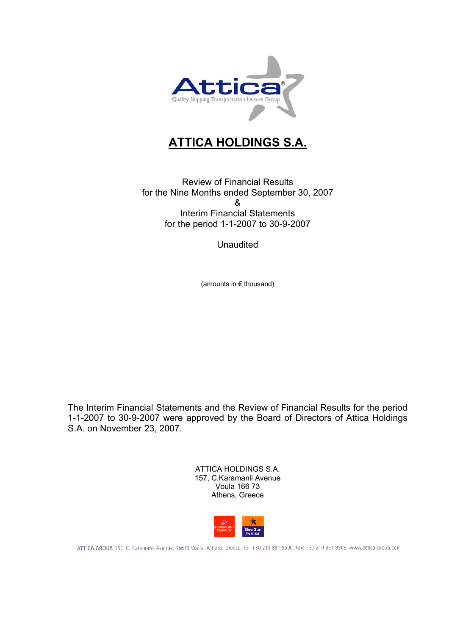

## **ATTICA HOLDINGS S.A.**

Review of Financial Results for the Nine Months ended September 30, 2007 & Interim Financial Statements for the period 1-1-2007 to 30-9-2007

**Unaudited** 

(amounts in € thousand)

The Interim Financial Statements and the Review of Financial Results for the period 1-1-2007 to 30-9-2007 were approved by the Board of Directors of Attica Holdings S.A. on November 23, 2007.

> ATTICA HOLDINGS S.A. 157, C.Karamanli Avenue Voula 166 73 Athens, Greece



ATTICA GROUP, 157, C. Karamanlı Avenue, 16673 Voula, Athens, Greece, Tel: +30 210 891 9500, Fax: +30 210 891 9509, www.attica-group.com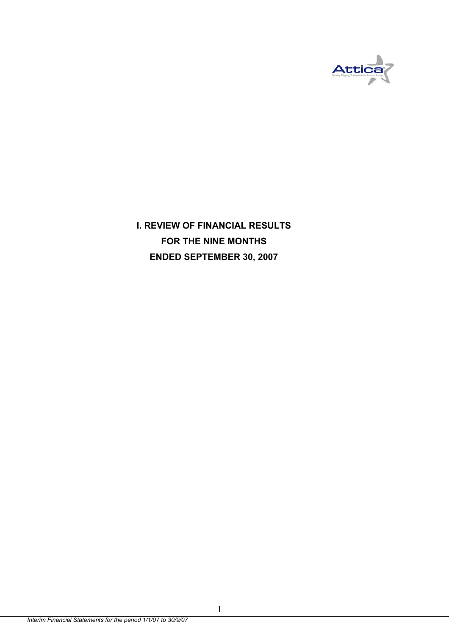

**I. REVIEW OF FINANCIAL RESULTS FOR THE NINE MONTHS ENDED SEPTEMBER 30, 2007** 

1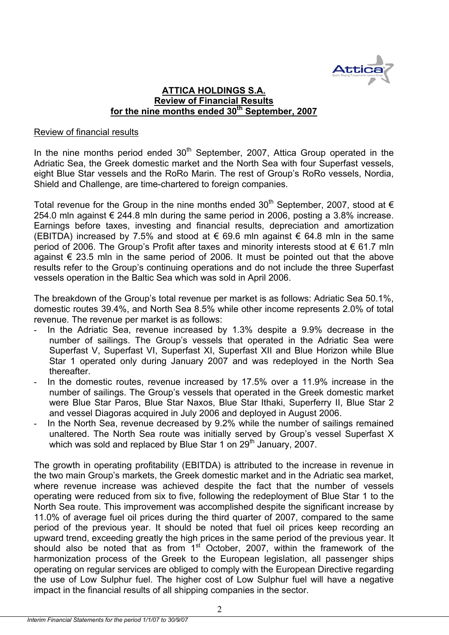

## **ATTICA HOLDINGS S.A. Review of Financial Results**  for the nine months ended 30<sup>th</sup> September, 2007

#### Review of financial results

In the nine months period ended  $30<sup>th</sup>$  September, 2007, Attica Group operated in the Adriatic Sea, the Greek domestic market and the North Sea with four Superfast vessels, eight Blue Star vessels and the RoRo Marin. The rest of Group's RoRo vessels, Nordia, Shield and Challenge, are time-chartered to foreign companies.

Total revenue for the Group in the nine months ended  $30<sup>th</sup>$  September, 2007, stood at  $\epsilon$ 254.0 mln against € 244.8 mln during the same period in 2006, posting a 3.8% increase. Earnings before taxes, investing and financial results, depreciation and amortization (EBITDA) increased by 7.5% and stood at  $\epsilon$  69.6 mln against  $\epsilon$  64.8 mln in the same period of 2006. The Group's Profit after taxes and minority interests stood at € 61.7 mln against  $\epsilon$  23.5 mln in the same period of 2006. It must be pointed out that the above results refer to the Group's continuing operations and do not include the three Superfast vessels operation in the Baltic Sea which was sold in April 2006.

The breakdown of the Group's total revenue per market is as follows: Adriatic Sea 50.1%, domestic routes 39.4%, and North Sea 8.5% while other income represents 2.0% of total revenue. The revenue per market is as follows:

- In the Adriatic Sea, revenue increased by 1.3% despite a 9.9% decrease in the number of sailings. The Group's vessels that operated in the Adriatic Sea were Superfast V, Superfast VI, Superfast XI, Superfast XII and Blue Horizon while Blue Star 1 operated only during January 2007 and was redeployed in the North Sea thereafter.
- In the domestic routes, revenue increased by 17.5% over a 11.9% increase in the number of sailings. The Group's vessels that operated in the Greek domestic market were Blue Star Paros, Blue Star Naxos, Blue Star Ithaki, Superferry II, Blue Star 2 and vessel Diagoras acquired in July 2006 and deployed in August 2006.
- In the North Sea, revenue decreased by 9.2% while the number of sailings remained unaltered. The North Sea route was initially served by Group's vessel Superfast X which was sold and replaced by Blue Star 1 on 29<sup>th</sup> January, 2007.

The growth in operating profitability (EBITDA) is attributed to the increase in revenue in the two main Group's markets, the Greek domestic market and in the Adriatic sea market, where revenue increase was achieved despite the fact that the number of vessels operating were reduced from six to five, following the redeployment of Blue Star 1 to the North Sea route. This improvement was accomplished despite the significant increase by 11.0% of average fuel oil prices during the third quarter of 2007, compared to the same period of the previous year. It should be noted that fuel oil prices keep recording an upward trend, exceeding greatly the high prices in the same period of the previous year. It should also be noted that as from  $1^{st}$  October, 2007, within the framework of the harmonization process of the Greek to the European legislation, all passenger ships operating on regular services are obliged to comply with the European Directive regarding the use of Low Sulphur fuel. The higher cost of Low Sulphur fuel will have a negative impact in the financial results of all shipping companies in the sector.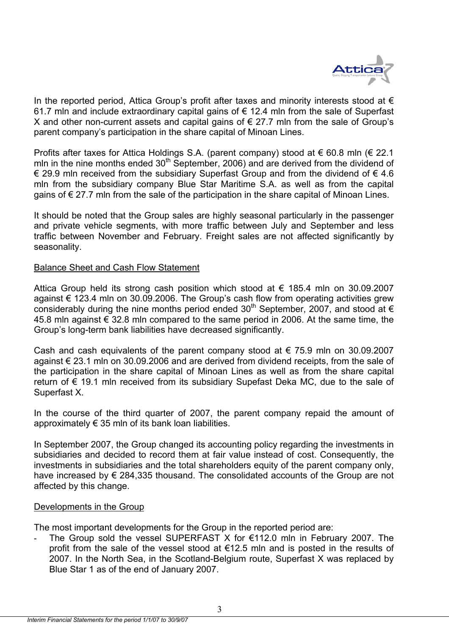

In the reported period, Attica Group's profit after taxes and minority interests stood at  $\epsilon$ 61.7 mln and include extraordinary capital gains of € 12.4 mln from the sale of Superfast X and other non-current assets and capital gains of € 27.7 mln from the sale of Group's parent company's participation in the share capital of Minoan Lines.

Profits after taxes for Attica Holdings S.A. (parent company) stood at € 60.8 mln (€ 22.1 mln in the nine months ended  $30<sup>th</sup>$  September, 2006) and are derived from the dividend of € 29.9 mln received from the subsidiary Superfast Group and from the dividend of  $∈$  4.6 mln from the subsidiary company Blue Star Maritime S.A. as well as from the capital gains of € 27.7 mln from the sale of the participation in the share capital of Minoan Lines.

It should be noted that the Group sales are highly seasonal particularly in the passenger and private vehicle segments, with more traffic between July and September and less traffic between November and February. Freight sales are not affected significantly by seasonality.

#### Balance Sheet and Cash Flow Statement

Attica Group held its strong cash position which stood at  $\epsilon$  185.4 mln on 30.09.2007 against € 123.4 mln on 30.09.2006. The Group's cash flow from operating activities grew considerably during the nine months period ended 30<sup>th</sup> September, 2007, and stood at  $\epsilon$ 45.8 mln against  $€ 32.8$  mln compared to the same period in 2006. At the same time, the Group's long-term bank liabilities have decreased significantly.

Cash and cash equivalents of the parent company stood at  $\epsilon$  75.9 mln on 30.09.2007 against € 23.1 mln on 30.09.2006 and are derived from dividend receipts, from the sale of the participation in the share capital of Minoan Lines as well as from the share capital return of € 19.1 mln received from its subsidiary Supefast Deka MC, due to the sale of Superfast X.

In the course of the third quarter of 2007, the parent company repaid the amount of approximately  $\epsilon$  35 mln of its bank loan liabilities.

In September 2007, the Group changed its accounting policy regarding the investments in subsidiaries and decided to record them at fair value instead of cost. Consequently, the investments in subsidiaries and the total shareholders equity of the parent company only, have increased by  $\epsilon$  284,335 thousand. The consolidated accounts of the Group are not affected by this change.

#### Developments in the Group

The most important developments for the Group in the reported period are:

The Group sold the vessel SUPERFAST X for  $€112.0$  mln in February 2007. The profit from the sale of the vessel stood at €12.5 mln and is posted in the results of 2007. In the North Sea, in the Scotland-Belgium route, Superfast X was replaced by Blue Star 1 as of the end of January 2007.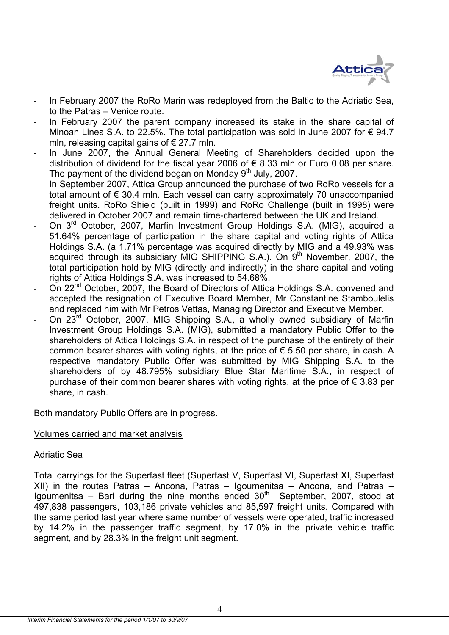

- In February 2007 the RoRo Marin was redeployed from the Baltic to the Adriatic Sea. to the Patras – Venice route.
- In February 2007 the parent company increased its stake in the share capital of Minoan Lines S.A. to 22.5%. The total participation was sold in June 2007 for  $\epsilon$  94.7 mln, releasing capital gains of  $\epsilon$  27.7 mln.
- In June 2007, the Annual General Meeting of Shareholders decided upon the distribution of dividend for the fiscal year 2006 of  $\epsilon$  8.33 mln or Euro 0.08 per share. The payment of the dividend began on Monday  $9<sup>th</sup>$  July, 2007.
- In September 2007, Attica Group announced the purchase of two RoRo vessels for a total amount of € 30.4 mln. Each vessel can carry approximately 70 unaccompanied freight units. RoRo Shield (built in 1999) and RoRo Challenge (built in 1998) were delivered in October 2007 and remain time-chartered between the UK and Ireland.
- On 3<sup>rd</sup> October, 2007, Marfin Investment Group Holdings S.A. (MIG), acquired a 51.64% percentage of participation in the share capital and voting rights of Attica Holdings S.A. (a 1.71% percentage was acquired directly by MIG and a 49.93% was acquired through its subsidiary MIG SHIPPING S.A.). On  $9<sup>th</sup>$  November, 2007, the total participation hold by MIG (directly and indirectly) in the share capital and voting rights of Attica Holdings S.A. was increased to 54.68%.
- On 22<sup>nd</sup> October, 2007, the Board of Directors of Attica Holdings S.A. convened and accepted the resignation of Executive Board Member, Mr Constantine Stamboulelis and replaced him with Mr Petros Vettas, Managing Director and Executive Member.
- On 23<sup>rd</sup> October, 2007, MIG Shipping S.A., a wholly owned subsidiary of Marfin Investment Group Holdings S.A. (MIG), submitted a mandatory Public Offer to the shareholders of Attica Holdings S.A. in respect of the purchase of the entirety of their common bearer shares with voting rights, at the price of  $\epsilon$  5.50 per share, in cash. A respective mandatory Public Offer was submitted by MIG Shipping S.A. to the shareholders of by 48.795% subsidiary Blue Star Maritime S.A., in respect of purchase of their common bearer shares with voting rights, at the price of  $\epsilon$  3.83 per share, in cash.

Both mandatory Public Offers are in progress.

## Volumes carried and market analysis

#### Adriatic Sea

Total carryings for the Superfast fleet (Superfast V, Superfast VI, Superfast XI, Superfast XII) in the routes Patras – Ancona, Patras – Igoumenitsa – Ancona, and Patras – Igoumenitsa – Bari during the nine months ended  $30<sup>th</sup>$  September, 2007, stood at 497,838 passengers, 103,186 private vehicles and 85,597 freight units. Compared with the same period last year where same number of vessels were operated, traffic increased by 14.2% in the passenger traffic segment, by 17.0% in the private vehicle traffic segment, and by 28.3% in the freight unit segment.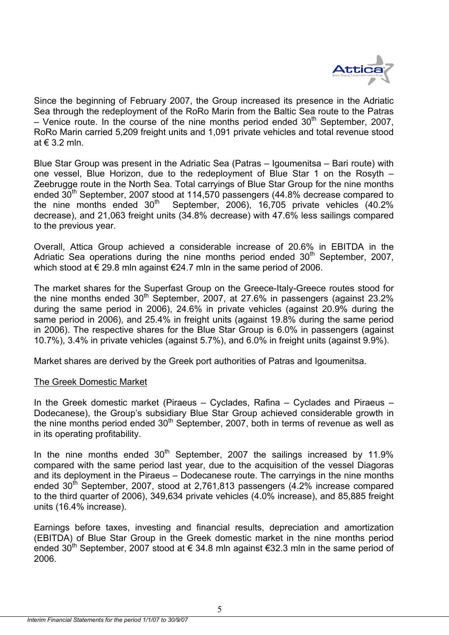

Since the beginning of February 2007, the Group increased its presence in the Adriatic Sea through the redeployment of the RoRo Marin from the Baltic Sea route to the Patras – Venice route. In the course of the nine months period ended  $30<sup>th</sup>$  September, 2007, RoRo Marin carried 5,209 freight units and 1,091 private vehicles and total revenue stood at  $\in$  3.2 mln.

Blue Star Group was present in the Adriatic Sea (Patras – Igoumenitsa – Bari route) with one vessel, Blue Horizon, due to the redeployment of Blue Star 1 on the Rosyth – Zeebrugge route in the North Sea. Total carryings of Blue Star Group for the nine months ended  $30^{th}$  September, 2007 stood at 114,570 passengers (44.8% decrease compared to the nine months ended  $30^{th}$  September, 2006), 16.705 private vehicles (40.2%) September, 2006), 16,705 private vehicles (40.2% decrease), and 21,063 freight units (34.8% decrease) with 47.6% less sailings compared to the previous year.

Overall, Attica Group achieved a considerable increase of 20.6% in EBITDA in the Adriatic Sea operations during the nine months period ended  $30<sup>th</sup>$  September, 2007, which stood at  $\epsilon$  29.8 mln against  $\epsilon$ 24.7 mln in the same period of 2006.

The market shares for the Superfast Group on the Greece-Italy-Greece routes stood for the nine months ended  $30<sup>th</sup>$  September, 2007, at 27.6% in passengers (against 23.2%) during the same period in 2006), 24.6% in private vehicles (against 20.9% during the same period in 2006), and 25.4% in freight units (against 19.8% during the same period in 2006). The respective shares for the Blue Star Group is 6.0% in passengers (against 10.7%), 3.4% in private vehicles (against 5.7%), and 6.0% in freight units (against 9.9%).

Market shares are derived by the Greek port authorities of Patras and Igoumenitsa.

## The Greek Domestic Market

In the Greek domestic market (Piraeus – Cyclades, Rafina – Cyclades and Piraeus – Dodecanese), the Group's subsidiary Blue Star Group achieved considerable growth in the nine months period ended  $30<sup>th</sup>$  September, 2007, both in terms of revenue as well as in its operating profitability.

In the nine months ended  $30<sup>th</sup>$  September, 2007 the sailings increased by 11.9% compared with the same period last year, due to the acquisition of the vessel Diagoras and its deployment in the Piraeus – Dodecanese route. The carryings in the nine months ended  $30<sup>th</sup>$  September, 2007, stood at 2,761,813 passengers (4.2% increase compared to the third quarter of 2006), 349,634 private vehicles (4.0% increase), and 85,885 freight units (16.4% increase).

Earnings before taxes, investing and financial results, depreciation and amortization (EBITDA) of Blue Star Group in the Greek domestic market in the nine months period ended 30<sup>th</sup> September, 2007 stood at  $\epsilon$  34.8 mln against  $\epsilon$ 32.3 mln in the same period of 2006.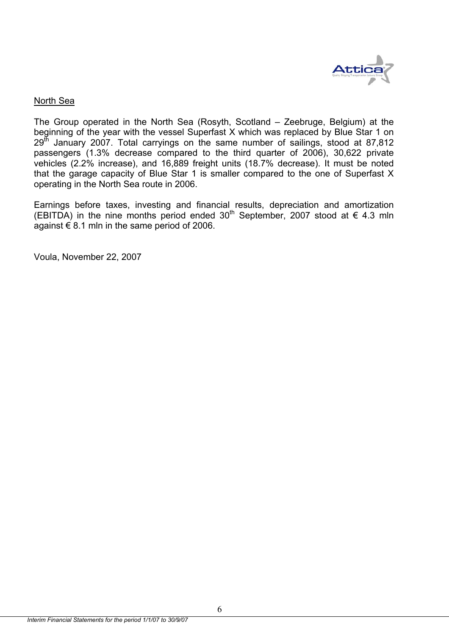

## North Sea

The Group operated in the North Sea (Rosyth, Scotland – Zeebruge, Belgium) at the beginning of the year with the vessel Superfast X which was replaced by Blue Star 1 on  $29<sup>th</sup>$  January 2007. Total carryings on the same number of sailings, stood at 87,812 passengers (1.3% decrease compared to the third quarter of 2006), 30,622 private vehicles (2.2% increase), and 16,889 freight units (18.7% decrease). It must be noted that the garage capacity of Blue Star 1 is smaller compared to the one of Superfast X operating in the North Sea route in 2006.

Earnings before taxes, investing and financial results, depreciation and amortization (EBITDA) in the nine months period ended 30<sup>th</sup> September, 2007 stood at  $\in$  4.3 mln against  $\epsilon$  8.1 mln in the same period of 2006.

Voula, November 22, 2007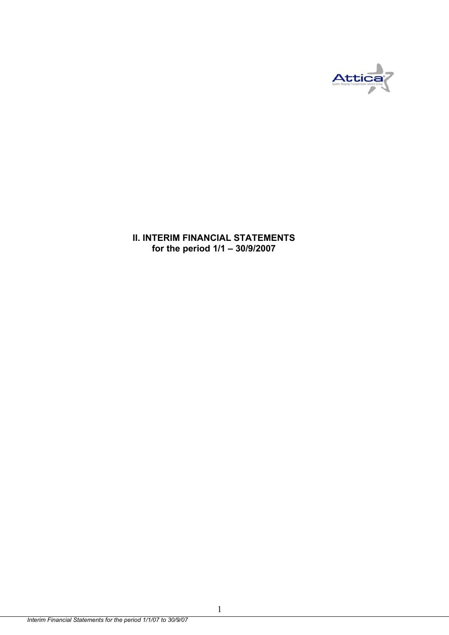

**II. INTERIM FINANCIAL STATEMENTS for the period 1/1 – 30/9/2007** 

1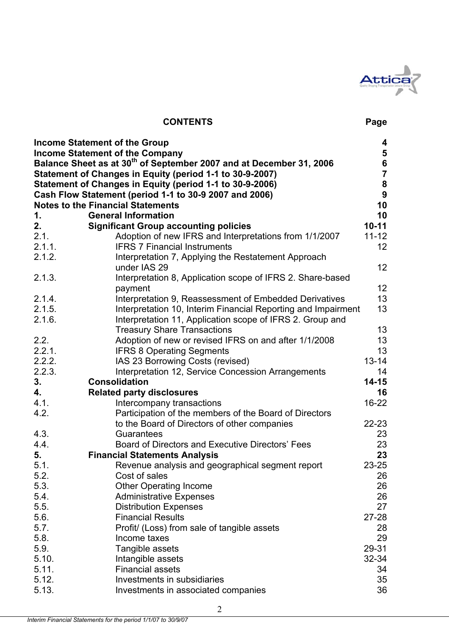

## **CONTENTS Page**

|        | <b>Income Statement of the Group</b>                                            | 4                |
|--------|---------------------------------------------------------------------------------|------------------|
|        | <b>Income Statement of the Company</b>                                          |                  |
|        | Balance Sheet as at 30 <sup>th</sup> of September 2007 and at December 31, 2006 | 5<br>6<br>7      |
|        | Statement of Changes in Equity (period 1-1 to 30-9-2007)                        |                  |
|        | Statement of Changes in Equity (period 1-1 to 30-9-2006)                        | ${\bf 8}$        |
|        | Cash Flow Statement (period 1-1 to 30-9 2007 and 2006)                          | $\boldsymbol{9}$ |
|        | <b>Notes to the Financial Statements</b>                                        | 10               |
| 1.     | <b>General Information</b>                                                      | 10               |
| 2.     | <b>Significant Group accounting policies</b>                                    | $10 - 11$        |
| 2.1.   | Adoption of new IFRS and Interpretations from 1/1/2007                          | $11 - 12$        |
| 2.1.1. | <b>IFRS 7 Financial Instruments</b>                                             | 12               |
| 2.1.2. | Interpretation 7, Applying the Restatement Approach<br>under IAS 29             | 12               |
| 2.1.3. | Interpretation 8, Application scope of IFRS 2. Share-based                      |                  |
|        | payment                                                                         | 12               |
| 2.1.4. | Interpretation 9, Reassessment of Embedded Derivatives                          | 13               |
| 2.1.5. | Interpretation 10, Interim Financial Reporting and Impairment                   | 13               |
| 2.1.6. | Interpretation 11, Application scope of IFRS 2. Group and                       |                  |
|        | <b>Treasury Share Transactions</b>                                              | 13               |
| 2.2.   | Adoption of new or revised IFRS on and after 1/1/2008                           | 13               |
| 2.2.1. | <b>IFRS 8 Operating Segments</b>                                                | 13               |
| 2.2.2. | IAS 23 Borrowing Costs (revised)                                                | $13 - 14$        |
| 2.2.3. | Interpretation 12, Service Concession Arrangements                              | 14               |
| 3.     | <b>Consolidation</b>                                                            | $14 - 15$        |
| 4.     | <b>Related party disclosures</b>                                                | 16               |
| 4.1.   | Intercompany transactions                                                       | $16 - 22$        |
| 4.2.   | Participation of the members of the Board of Directors                          |                  |
|        | to the Board of Directors of other companies                                    | 22-23            |
| 4.3.   | Guarantees                                                                      | 23               |
| 4.4.   | Board of Directors and Executive Directors' Fees                                | 23               |
| 5.     | <b>Financial Statements Analysis</b>                                            | 23               |
| 5.1.   | Revenue analysis and geographical segment report                                | 23-25            |
| 5.2.   | Cost of sales                                                                   | 26               |
| 5.3.   | <b>Other Operating Income</b>                                                   | 26               |
| 5.4.   | <b>Administrative Expenses</b>                                                  | 26               |
| 5.5.   | <b>Distribution Expenses</b>                                                    | 27               |
| 5.6.   | <b>Financial Results</b>                                                        | $27 - 28$        |
| 5.7.   | Profit/ (Loss) from sale of tangible assets                                     | 28               |
| 5.8.   | Income taxes                                                                    | 29               |
| 5.9.   | Tangible assets                                                                 | 29-31            |
| 5.10.  | Intangible assets                                                               | 32-34            |
| 5.11.  | <b>Financial assets</b>                                                         | 34               |
| 5.12.  | Investments in subsidiaries                                                     | 35               |
| 5.13.  | Investments in associated companies                                             | 36               |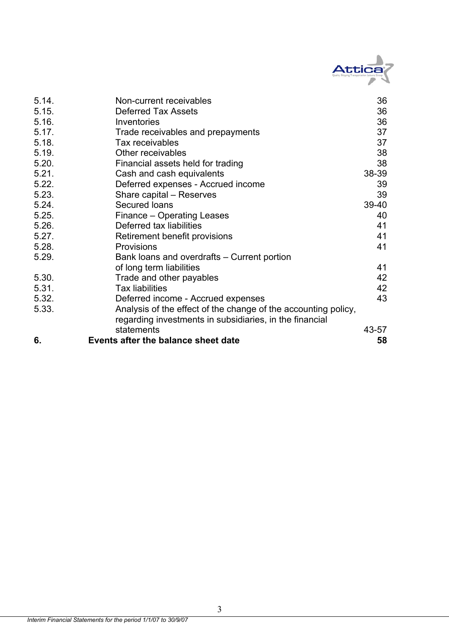

| 5.14. | Non-current receivables                                        | 36    |
|-------|----------------------------------------------------------------|-------|
| 5.15. | <b>Deferred Tax Assets</b>                                     | 36    |
| 5.16. | Inventories                                                    | 36    |
| 5.17. | Trade receivables and prepayments                              | 37    |
| 5.18. | Tax receivables                                                | 37    |
| 5.19. | Other receivables                                              | 38    |
| 5.20. | Financial assets held for trading                              | 38    |
| 5.21. | Cash and cash equivalents                                      | 38-39 |
| 5.22. | Deferred expenses - Accrued income                             | 39    |
| 5.23. | Share capital – Reserves                                       | 39    |
| 5.24. | Secured Ioans                                                  | 39-40 |
| 5.25. | Finance - Operating Leases                                     | 40    |
| 5.26. | Deferred tax liabilities                                       | 41    |
| 5.27. | Retirement benefit provisions                                  | 41    |
| 5.28. | <b>Provisions</b>                                              | 41    |
| 5.29. | Bank loans and overdrafts – Current portion                    |       |
|       | of long term liabilities                                       | 41    |
| 5.30. | Trade and other payables                                       | 42    |
| 5.31. | <b>Tax liabilities</b>                                         | 42    |
| 5.32. | Deferred income - Accrued expenses                             | 43    |
| 5.33. | Analysis of the effect of the change of the accounting policy, |       |
|       | regarding investments in subsidiaries, in the financial        |       |
|       | statements                                                     | 43-57 |
| 6.    | Events after the balance sheet date                            | 58    |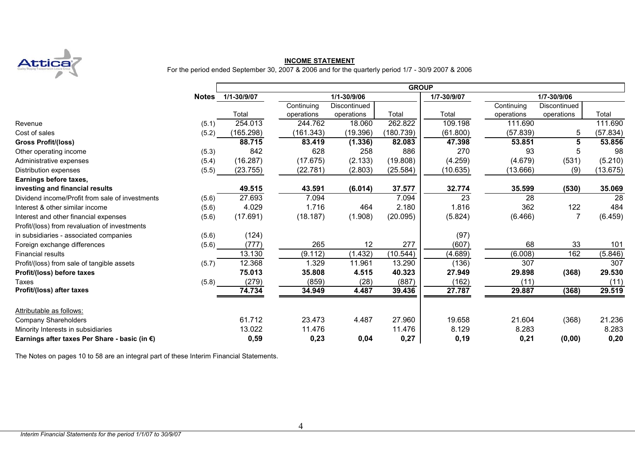

## **INCOME STATEMENT**

For the period ended September 30, 2007 & 2006 and for the quarterly period 1/7 - 30/9 2007 & 2006

|                                                 |              |             |            |              |           | <b>GROUP</b>    |            |              |          |  |  |  |  |  |
|-------------------------------------------------|--------------|-------------|------------|--------------|-----------|-----------------|------------|--------------|----------|--|--|--|--|--|
|                                                 | <b>Notes</b> | 1/1-30/9/07 |            | 1/1-30/9/06  |           | 1/7-30/9/07     |            | 1/7-30/9/06  |          |  |  |  |  |  |
|                                                 |              |             | Continuing | Discontinued |           |                 | Continuing | Discontinued |          |  |  |  |  |  |
|                                                 |              | Total       | operations | operations   | Total     | Total           | operations | operations   | Total    |  |  |  |  |  |
| Revenue                                         | (5.1)        | 254.013     | 244.762    | 18.060       | 262.822   | 109.198         | 111.690    |              | 111.690  |  |  |  |  |  |
| Cost of sales                                   | (5.2)        | (165.298)   | (161.343)  | (19.396)     | (180.739) | (61.800)        | (57.839)   | 5            | (57.834) |  |  |  |  |  |
| <b>Gross Profit/(loss)</b>                      |              | 88.715      | 83.419     | (1.336)      | 82.083    | 47.398          | 53.851     | 5            | 53.856   |  |  |  |  |  |
| Other operating income                          | (5.3)        | 842         | 628        | 258          | 886       | 270             | 93         | 5            | 98       |  |  |  |  |  |
| Administrative expenses                         | (5.4)        | (16.287)    | (17.675)   | (2.133)      | (19.808)  | (4.259)         | (4.679)    | (531)        | (5.210)  |  |  |  |  |  |
| Distribution expenses                           | (5.5)        | (23.755)    | (22.781)   | (2.803)      | (25.584)  | (10.635)        | (13.666)   | (9)          | (13.675) |  |  |  |  |  |
| Earnings before taxes,                          |              |             |            |              |           |                 |            |              |          |  |  |  |  |  |
| investing and financial results                 |              | 49.515      | 43.591     | (6.014)      | 37.577    | 32.774          | 35.599     | (530)        | 35.069   |  |  |  |  |  |
| Dividend income/Profit from sale of investments | (5.6)        | 27.693      | 7.094      |              | 7.094     | $\overline{23}$ | 28         |              | 28       |  |  |  |  |  |
| Interest & other similar income                 | (5.6)        | 4.029       | 1.716      | 464          | 2.180     | 1.816           | 362        | 122          | 484      |  |  |  |  |  |
| Interest and other financial expenses           | (5.6)        | (17.691)    | (18.187)   | (1.908)      | (20.095)  | (5.824)         | (6.466)    | 7            | (6.459)  |  |  |  |  |  |
| Profit/(loss) from revaluation of investments   |              |             |            |              |           |                 |            |              |          |  |  |  |  |  |
| in subsidiaries - associated companies          | (5.6)        | (124)       |            |              |           | (97)            |            |              |          |  |  |  |  |  |
| Foreign exchange differences                    | (5.6)        | (777)       | 265        | 12           | 277       | (607)           | 68         | 33           | 101      |  |  |  |  |  |
| <b>Financial results</b>                        |              | 13.130      | (9.112)    | (1.432)      | (10.544)  | (4.689)         | (6.008)    | 162          | (5.846)  |  |  |  |  |  |
| Profit/(loss) from sale of tangible assets      | (5.7)        | 12.368      | 1.329      | 11.961       | 13.290    | (136)           | 307        |              | 307      |  |  |  |  |  |
| Profit/(loss) before taxes                      |              | 75.013      | 35.808     | 4.515        | 40.323    | 27.949          | 29.898     | (368)        | 29.530   |  |  |  |  |  |
| Taxes                                           | (5.8)        | (279)       | (859)      | (28)         | (887)     | (162)           | (11)       |              | (11)     |  |  |  |  |  |
| Profit/(loss) after taxes                       |              | 74.734      | 34.949     | 4.487        | 39.436    | 27.787          | 29.887     | (368)        | 29.519   |  |  |  |  |  |
| Attributable as follows:                        |              |             |            |              |           |                 |            |              |          |  |  |  |  |  |
| <b>Company Shareholders</b>                     |              | 61.712      | 23.473     | 4.487        | 27.960    | 19.658          | 21.604     | (368)        | 21.236   |  |  |  |  |  |
| Minority Interests in subsidiaries              |              | 13.022      | 11.476     |              | 11.476    | 8.129           | 8.283      |              | 8.283    |  |  |  |  |  |
| Earnings after taxes Per Share - basic (in €)   |              | 0,59        | 0,23       | 0,04         | 0,27      | 0, 19           | 0,21       | (0,00)       | 0,20     |  |  |  |  |  |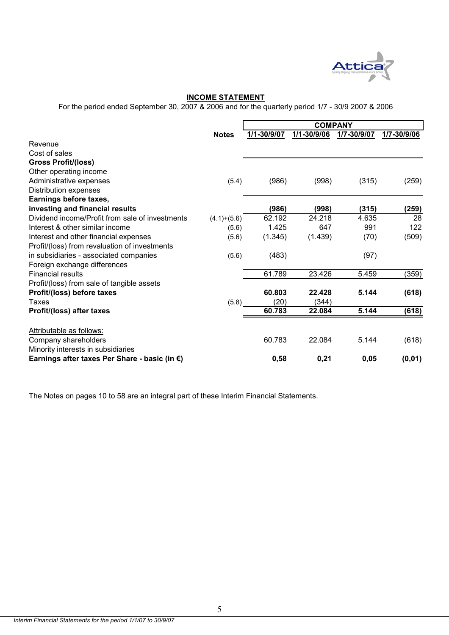

## **INCOME STATEMENT**

For the period ended September 30, 2007 & 2006 and for the quarterly period 1/7 - 30/9 2007 & 2006

|                                                 |               |             | <b>COMPANY</b> |             |             |
|-------------------------------------------------|---------------|-------------|----------------|-------------|-------------|
|                                                 | <b>Notes</b>  | 1/1-30/9/07 | 1/1-30/9/06    | 1/7-30/9/07 | 1/7-30/9/06 |
| Revenue                                         |               |             |                |             |             |
| Cost of sales                                   |               |             |                |             |             |
| <b>Gross Profit/(loss)</b>                      |               |             |                |             |             |
| Other operating income                          |               |             |                |             |             |
| Administrative expenses                         | (5.4)         | (986)       | (998)          | (315)       | (259)       |
| Distribution expenses                           |               |             |                |             |             |
| Earnings before taxes,                          |               |             |                |             |             |
| investing and financial results                 |               | (986)       | (998)          | (315)       | (259)       |
| Dividend income/Profit from sale of investments | $(4.1)+(5.6)$ | 62.192      | 24.218         | 4.635       | 28          |
| Interest & other similar income                 | (5.6)         | 1.425       | 647            | 991         | 122         |
| Interest and other financial expenses           | (5.6)         | (1.345)     | (1.439)        | (70)        | (509)       |
| Profit/(loss) from revaluation of investments   |               |             |                |             |             |
| in subsidiaries - associated companies          | (5.6)         | (483)       |                | (97)        |             |
| Foreign exchange differences                    |               |             |                |             |             |
| <b>Financial results</b>                        |               | 61.789      | 23.426         | 5.459       | (359)       |
| Profit/(loss) from sale of tangible assets      |               |             |                |             |             |
| Profit/(loss) before taxes                      |               | 60.803      | 22.428         | 5.144       | (618)       |
| Taxes                                           | (5.8)         | (20)        | (344)          |             |             |
| Profit/(loss) after taxes                       |               | 60.783      | 22.084         | 5.144       | (618)       |
| Attributable as follows:                        |               |             |                |             |             |
| Company shareholders                            |               | 60.783      | 22.084         | 5.144       | (618)       |
| Minority interests in subsidiaries              |               |             |                |             |             |
| Earnings after taxes Per Share - basic (in €)   |               | 0,58        | 0,21           | 0,05        | (0, 01)     |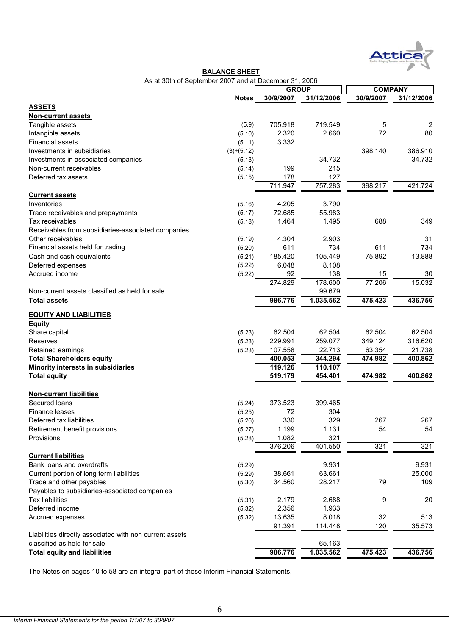

#### **BALANCE SHEET**

As at 30th of September 2007 and at December 31, 2006

|                                                         |              | <b>GROUP</b> |            | <b>COMPANY</b> |                |
|---------------------------------------------------------|--------------|--------------|------------|----------------|----------------|
|                                                         | <b>Notes</b> | 30/9/2007    | 31/12/2006 | 30/9/2007      | 31/12/2006     |
| <b>ASSETS</b>                                           |              |              |            |                |                |
| <b>Non-current assets</b>                               |              |              |            |                |                |
| Tangible assets                                         | (5.9)        | 705.918      | 719.549    | 5              | $\overline{2}$ |
| Intangible assets                                       | (5.10)       | 2.320        | 2.660      | 72             | 80             |
| <b>Financial assets</b>                                 | (5.11)       | 3.332        |            |                |                |
| Investments in subsidiaries                             | $(3)+(5.12)$ |              |            | 398.140        | 386.910        |
| Investments in associated companies                     | (5.13)       |              | 34.732     |                | 34.732         |
| Non-current receivables                                 | (5.14)       | 199          | 215        |                |                |
| Deferred tax assets                                     | (5.15)       | 178          | 127        |                |                |
|                                                         |              | 711.947      | 757.283    | 398.217        | 421.724        |
| <b>Current assets</b>                                   |              |              |            |                |                |
| Inventories                                             | (5.16)       | 4.205        | 3.790      |                |                |
| Trade receivables and prepayments                       | (5.17)       | 72.685       | 55.983     |                |                |
| Tax receivables                                         | (5.18)       | 1.464        | 1.495      | 688            | 349            |
| Receivables from subsidiaries-associated companies      |              |              |            |                |                |
| Other receivables                                       | (5.19)       | 4.304        | 2.903      |                | 31             |
| Financial assets held for trading                       | (5.20)       | 611          | 734        | 611            | 734            |
| Cash and cash equivalents                               | (5.21)       | 185.420      | 105.449    | 75.892         | 13.888         |
| Deferred expenses                                       | (5.22)       | 6.048        | 8.108      |                |                |
| Accrued income                                          | (5.22)       | 92           | 138        | 15             | 30             |
|                                                         |              | 274.829      | 178.600    | 77.206         | 15.032         |
| Non-current assets classified as held for sale          |              |              | 99.679     |                |                |
| <b>Total assets</b>                                     |              | 986.776      | 1.035.562  | 475.423        | 436.756        |
|                                                         |              |              |            |                |                |
| <b>EQUITY AND LIABILITIES</b><br>Equity                 |              |              |            |                |                |
| Share capital                                           | (5.23)       | 62.504       | 62.504     | 62.504         | 62.504         |
| Reserves                                                | (5.23)       | 229.991      | 259.077    | 349.124        | 316.620        |
| Retained earnings                                       | (5.23)       | 107.558      | 22.713     | 63.354         | 21.738         |
| <b>Total Shareholders equity</b>                        |              | 400.053      | 344.294    | 474.982        | 400.862        |
| Minority interests in subsidiaries                      |              | 119.126      | 110.107    |                |                |
| <b>Total equity</b>                                     |              | 519.179      | 454.401    | 474.982        | 400.862        |
|                                                         |              |              |            |                |                |
| <b>Non-current liabilities</b>                          |              |              |            |                |                |
| Secured loans                                           | (5.24)       | 373.523      | 399.465    |                |                |
| Finance leases                                          | (5.25)       | 72           | 304        |                |                |
| Deferred tax liabilities                                | (5.26)       | 330          | 329        | 267            | 267            |
| Retirement benefit provisions                           | (5.27)       | 1.199        | 1.131      | 54             | 54             |
| Provisions                                              | (5.28)       | 1.082        | 321        |                |                |
|                                                         |              | 376.206      | 401.550    | 321            | 321            |
| <b>Current liabilities</b>                              |              |              |            |                |                |
| Bank loans and overdrafts                               | (5.29)       |              | 9.931      |                | 9.931          |
| Current portion of long term liabilities                | (5.29)       | 38.661       | 63.661     |                | 25.000         |
| Trade and other payables                                | (5.30)       | 34.560       | 28.217     | 79             | 109            |
| Payables to subsidiaries-associated companies           |              |              |            |                |                |
| <b>Tax liabilities</b>                                  | (5.31)       | 2.179        | 2.688      | 9              | 20             |
| Deferred income                                         | (5.32)       | 2.356        | 1.933      |                |                |
| Accrued expenses                                        | (5.32)       | 13.635       | 8.018      | 32             | 513            |
|                                                         |              | 91.391       | 114.448    | 120            | 35.573         |
| Liabilities directly associated with non current assets |              |              |            |                |                |
| classified as held for sale                             |              |              | 65.163     |                |                |
| <b>Total equity and liabilities</b>                     |              | 986.776      | 1.035.562  | 475.423        | 436.756        |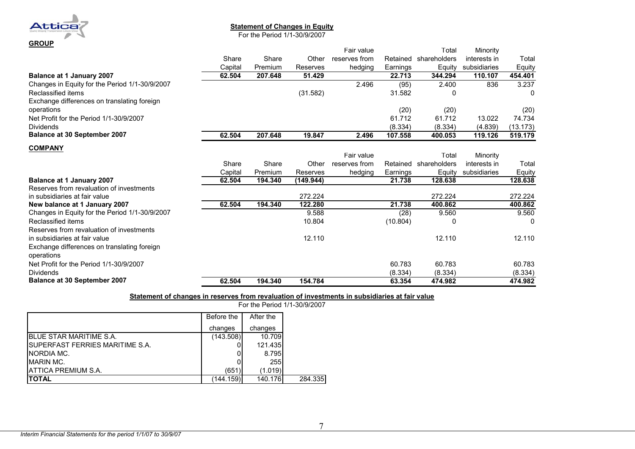

#### **Statement of Changes in Equity**

For the Period 1/1-30/9/2007

|                                                |         |         |           | Fair value    |          | Total                 | Minority     |          |
|------------------------------------------------|---------|---------|-----------|---------------|----------|-----------------------|--------------|----------|
|                                                | Share   | Share   | Other     | reserves from |          | Retained shareholders | interests in | Total    |
|                                                | Capital | Premium | Reserves  | hedging       | Earnings | Equity                | subsidiaries | Equity   |
| <b>Balance at 1 January 2007</b>               | 62.504  | 207.648 | 51.429    |               | 22.713   | 344.294               | 110.107      | 454.401  |
| Changes in Equity for the Period 1/1-30/9/2007 |         |         |           | 2.496         | (95)     | 2.400                 | 836          | 3.237    |
| Reclassified items                             |         |         | (31.582)  |               | 31.582   | 0                     |              | 0        |
| Exchange differences on translating foreign    |         |         |           |               |          |                       |              |          |
| operations                                     |         |         |           |               | (20)     | (20)                  |              | (20)     |
| Net Profit for the Period 1/1-30/9/2007        |         |         |           |               | 61.712   | 61.712                | 13.022       | 74.734   |
| <b>Dividends</b>                               |         |         |           |               | (8.334)  | (8.334)               | (4.839)      | (13.173) |
| Balance at 30 September 2007                   | 62.504  | 207.648 | 19.847    | 2.496         | 107.558  | 400.053               | 119.126      | 519.179  |
| <b>COMPANY</b>                                 |         |         |           |               |          |                       |              |          |
|                                                |         |         |           | Fair value    |          | Total                 | Minority     |          |
|                                                | Share   | Share   | Other     | reserves from |          | Retained shareholders | interests in | Total    |
|                                                | Capital | Premium | Reserves  | hedging       | Earnings | Equity                | subsidiaries | Equity   |
| <b>Balance at 1 January 2007</b>               | 62.504  | 194.340 | (149.944) |               | 21.738   | 128.638               |              | 128.638  |
| Reserves from revaluation of investments       |         |         |           |               |          |                       |              |          |
| in subsidiaries at fair value                  |         |         | 272.224   |               |          | 272.224               |              | 272.224  |
| New balance at 1 January 2007                  | 62.504  | 194.340 | 122.280   |               | 21.738   | 400.862               |              | 400.862  |
| Changes in Equity for the Period 1/1-30/9/2007 |         |         | 9.588     |               | (28)     | 9.560                 |              | 9.560    |
| Reclassified items                             |         |         | 10.804    |               | (10.804) | 0                     |              | O        |
| Reserves from revaluation of investments       |         |         |           |               |          |                       |              |          |
| in subsidiaries at fair value                  |         |         | 12.110    |               |          | 12.110                |              | 12.110   |
| Exchange differences on translating foreign    |         |         |           |               |          |                       |              |          |
| operations                                     |         |         |           |               |          |                       |              |          |
| Net Profit for the Period 1/1-30/9/2007        |         |         |           |               | 60.783   | 60.783                |              | 60.783   |
| <b>Dividends</b>                               |         |         |           |               | (8.334)  | (8.334)               |              | (8.334)  |
| <b>Balance at 30 September 2007</b>            | 62.504  | 194.340 | 154.784   |               | 63.354   | 474.982               |              | 474.982  |

#### **Statement of changes in reserves from revaluation of investments in subsidiaries at fair value**

For the Period 1/1-30/9/2007

|                                         | Before the | After the |         |
|-----------------------------------------|------------|-----------|---------|
|                                         | changes    | changes   |         |
| <b>I</b> BLUE STAR MARITIME S.A.        | (143.508)  | 10.709    |         |
| <b>ISUPERFAST FERRIES MARITIME S.A.</b> |            | 121.435   |         |
| <b>INORDIA MC.</b>                      |            | 8.795     |         |
| <b>IMARIN MC.</b>                       |            | 255       |         |
| <b>IATTICA PREMIUM S.A.</b>             | (651)      | (1.019)   |         |
| ΙΤΟΤΑL                                  | (144.159)  | 140.176   | 284.335 |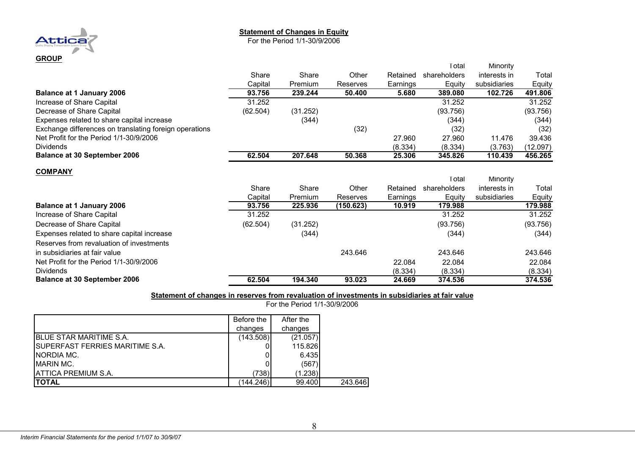#### **Statement of Changes in Equity**

For the Period 1/1-30/9/2006



|                                                        |          |          |           |          | Total        | Minority     |          |
|--------------------------------------------------------|----------|----------|-----------|----------|--------------|--------------|----------|
|                                                        | Share    | Share    | Other     | Retained | shareholders | interests in | Total    |
|                                                        | Capital  | Premium  | Reserves  | Earnings | Equity       | subsidiaries | Equity   |
| <b>Balance at 1 January 2006</b>                       | 93.756   | 239.244  | 50.400    | 5.680    | 389.080      | 102.726      | 491.806  |
| Increase of Share Capital                              | 31.252   |          |           |          | 31.252       |              | 31.252   |
| Decrease of Share Capital                              | (62.504) | (31.252) |           |          | (93.756)     |              | (93.756) |
| Expenses related to share capital increase             |          | (344)    |           |          | (344)        |              | (344)    |
| Exchange differences on translating foreign operations |          |          | (32)      |          | (32)         |              | (32)     |
| Net Profit for the Period 1/1-30/9/2006                |          |          |           | 27.960   | 27.960       | 11.476       | 39.436   |
| <b>Dividends</b>                                       |          |          |           | (8.334)  | (8.334)      | (3.763)      | (12.097) |
| <b>Balance at 30 September 2006</b>                    | 62.504   | 207.648  | 50.368    | 25.306   | 345.826      | 110.439      | 456.265  |
| <b>COMPANY</b>                                         |          |          |           |          |              |              |          |
|                                                        |          |          |           |          | Total        | Minority     |          |
|                                                        | Share    | Share    | Other     | Retained | shareholders | interests in | Total    |
|                                                        | Capital  | Premium  | Reserves  | Earnings | Equity       | subsidiaries | Equity   |
| <b>Balance at 1 January 2006</b>                       | 93.756   | 225.936  | (150.623) | 10.919   | 179.988      |              | 179.988  |
| Increase of Share Capital                              | 31.252   |          |           |          | 31.252       |              | 31.252   |
| Decrease of Share Capital                              | (62.504) | (31.252) |           |          | (93.756)     |              | (93.756) |
| Expenses related to share capital increase             |          | (344)    |           |          | (344)        |              | (344)    |
| Reserves from revaluation of investments               |          |          |           |          |              |              |          |
| in subsidiaries at fair value                          |          |          | 243.646   |          | 243.646      |              | 243.646  |
| Net Profit for the Period 1/1-30/9/2006                |          |          |           | 22.084   | 22.084       |              | 22.084   |
| <b>Dividends</b>                                       |          |          |           | (8.334)  | (8.334)      |              | (8.334)  |
| <b>Balance at 30 September 2006</b>                    | 62.504   | 194.340  | 93.023    | 24.669   | 374.536      |              | 374.536  |

#### **Statement of changes in reserves from revaluation of investments in subsidiaries at fair value**

For the Period 1/1-30/9/2006

|                                         | Before the | After the |         |
|-----------------------------------------|------------|-----------|---------|
|                                         | changes    | changes   |         |
| IBLUE STAR MARITIME S.A.                | (143.508)  | (21.057)  |         |
| <b>ISUPERFAST FERRIES MARITIME S.A.</b> |            | 115.826   |         |
| INORDIA MC.                             |            | 6.435     |         |
| <b>MARIN MC.</b>                        |            | (567)     |         |
| IATTICA PREMIUM S.A.                    | (738)      | (1.238)   |         |
| <b>TOTAL</b>                            | (144.246)  | 99.400    | 243.646 |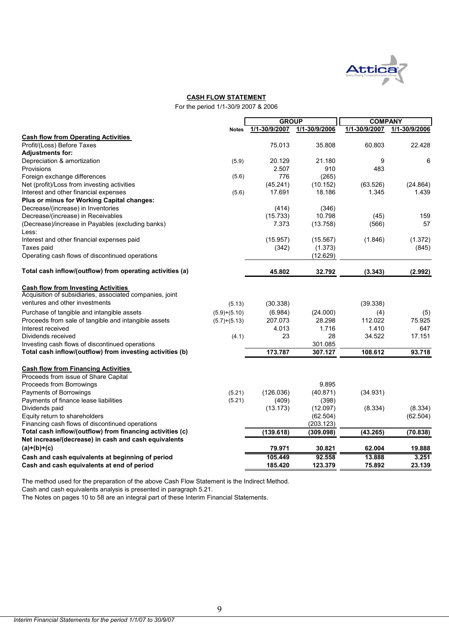

#### **CASH FLOW STATEMENT**

For the period 1/1-30/9 2007 & 2006

|                                                           |                | <b>GROUP</b>  |               | <b>COMPANY</b> |               |
|-----------------------------------------------------------|----------------|---------------|---------------|----------------|---------------|
|                                                           | <b>Notes</b>   | 1/1-30/9/2007 | 1/1-30/9/2006 | 1/1-30/9/2007  | 1/1-30/9/2006 |
| <b>Cash flow from Operating Activities</b>                |                |               |               |                |               |
| Profit/(Loss) Before Taxes                                |                | 75.013        | 35.808        | 60.803         | 22.428        |
| <b>Adjustments for:</b>                                   |                |               |               |                |               |
| Depreciation & amortization                               | (5.9)          | 20.129        | 21.180        | 9              | 6             |
| Provisions                                                |                | 2.507         | 910           | 483            |               |
| Foreign exchange differences                              | (5.6)          | 776           | (265)         |                |               |
| Net (profit)/Loss from investing activities               |                | (45.241)      | (10.152)      | (63.526)       | (24.864)      |
| Interest and other financial expenses                     | (5.6)          | 17.691        | 18.186        | 1.345          | 1.439         |
| Plus or minus for Working Capital changes:                |                |               |               |                |               |
| Decrease/(increase) in Inventories                        |                | (414)         | (346)         |                |               |
| Decrease/(increase) in Receivables                        |                | (15.733)      | 10.798        | (45)           | 159           |
| (Decrease)/increase in Payables (excluding banks)         |                | 7.373         | (13.758)      | (566)          | 57            |
| Less:                                                     |                |               |               |                |               |
| Interest and other financial expenses paid                |                | (15.957)      | (15.567)      | (1.846)        | (1.372)       |
| Taxes paid                                                |                | (342)         | (1.373)       |                | (845)         |
| Operating cash flows of discontinued operations           |                |               | (12.629)      |                |               |
|                                                           |                |               |               |                |               |
| Total cash inflow/(outflow) from operating activities (a) |                | 45.802        | 32.792        | (3.343)        | (2.992)       |
| <b>Cash flow from Investing Activities</b>                |                |               |               |                |               |
| Acquisition of subsidiaries, associated companies, joint  |                |               |               |                |               |
| ventures and other investments                            | (5.13)         | (30.338)      |               | (39.338)       |               |
| Purchase of tangible and intangible assets                | $(5.9)+(5.10)$ | (6.984)       | (24.000)      | (4)            | (5)           |
| Proceeds from sale of tangible and intangible assets      | $(5.7)+(5.13)$ | 207.073       | 28.298        | 112.022        | 75.925        |
| Interest received                                         |                | 4.013         | 1.716         | 1.410          | 647           |
| Dividends received                                        | (4.1)          | 23            | 28            | 34.522         | 17.151        |
| Investing cash flows of discontinued operations           |                |               | 301.085       |                |               |
| Total cash inflow/(outflow) from investing activities (b) |                | 173.787       | 307.127       | 108.612        | 93.718        |
| <b>Cash flow from Financing Activities</b>                |                |               |               |                |               |
| Proceeds from issue of Share Capital                      |                |               |               |                |               |
| Proceeds from Borrowings                                  |                |               | 9.895         |                |               |
| Payments of Borrowings                                    | (5.21)         | (126.036)     | (40.871)      | (34.931)       |               |
| Payments of finance lease liabilities                     | (5.21)         | (409)         | (398)         |                |               |
| Dividends paid                                            |                | (13.173)      | (12.097)      | (8.334)        | (8.334)       |
| Equity return to shareholders                             |                |               | (62.504)      |                | (62.504)      |
| Financing cash flows of discontinued operations           |                |               | (203.123)     |                |               |
| Total cash inflow/(outflow) from financing activities (c) |                | (139.618)     | (309.098)     | (43.265)       | (70.838)      |
| Net increase/(decrease) in cash and cash equivalents      |                |               |               |                |               |
| $(a)+(b)+(c)$                                             |                | 79.971        | 30.821        | 62.004         | 19.888        |
| Cash and cash equivalents at beginning of period          |                | 105.449       | 92.558        | 13.888         | 3.251         |
| Cash and cash equivalents at end of period                |                | 185.420       | 123.379       | 75.892         | 23.139        |

The method used for the preparation of the above Cash Flow Statement is the Indirect Method.

Cash and cash equivalents analysis is presented in paragraph 5.21.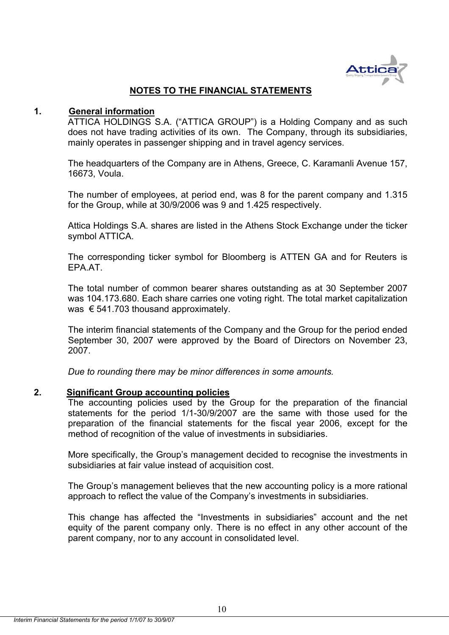

## **NOTES TO THE FINANCIAL STATEMENTS**

#### **1. General information**

ATTICA HOLDINGS S.A. ("ATTICA GROUP") is a Holding Company and as such does not have trading activities of its own. The Company, through its subsidiaries, mainly operates in passenger shipping and in travel agency services.

The headquarters of the Company are in Athens, Greece, C. Karamanli Avenue 157, 16673, Voula.

The number of employees, at period end, was 8 for the parent company and 1.315 for the Group, while at 30/9/2006 was 9 and 1.425 respectively.

Attica Holdings S.A. shares are listed in the Athens Stock Exchange under the ticker symbol ATTICA.

The corresponding ticker symbol for Bloomberg is ATTEN GA and for Reuters is EPA.AT.

The total number of common bearer shares outstanding as at 30 September 2007 was 104.173.680. Each share carries one voting right. The total market capitalization was € 541.703 thousand approximately.

The interim financial statements of the Company and the Group for the period ended September 30, 2007 were approved by the Board of Directors on November 23, 2007.

*Due to rounding there may be minor differences in some amounts.* 

#### **2. Significant Group accounting policies**

The accounting policies used by the Group for the preparation of the financial statements for the period 1/1-30/9/2007 are the same with those used for the preparation of the financial statements for the fiscal year 2006, except for the method of recognition of the value of investments in subsidiaries.

More specifically, the Group's management decided to recognise the investments in subsidiaries at fair value instead of acquisition cost.

The Group's management believes that the new accounting policy is a more rational approach to reflect the value of the Company's investments in subsidiaries.

This change has affected the "Investments in subsidiaries" account and the net equity of the parent company only. There is no effect in any other account of the parent company, nor to any account in consolidated level.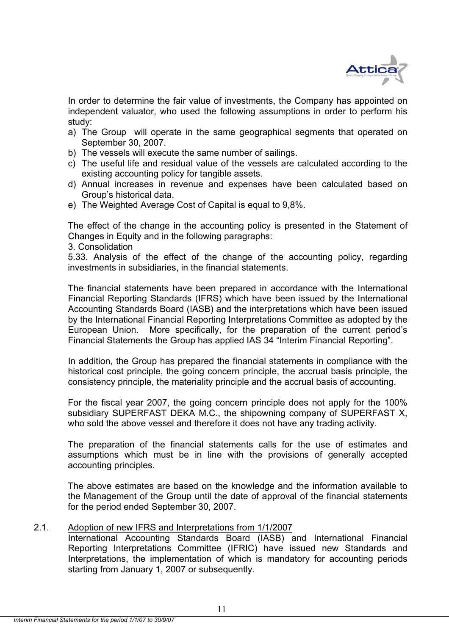

In order to determine the fair value of investments, the Company has appointed on independent valuator, who used the following assumptions in order to perform his study:

- a) The Group will operate in the same geographical segments that operated on September 30, 2007.
- b) The vessels will execute the same number of sailings.
- c) The useful life and residual value of the vessels are calculated according to the existing accounting policy for tangible assets.
- d) Annual increases in revenue and expenses have been calculated based on Group's historical data.
- e) The Weighted Average Cost of Capital is equal to 9,8%.

The effect of the change in the accounting policy is presented in the Statement of Changes in Equity and in the following paragraphs:

3. Consolidation

5.33. Analysis of the effect of the change of the accounting policy, regarding investments in subsidiaries, in the financial statements.

The financial statements have been prepared in accordance with the International Financial Reporting Standards (IFRS) which have been issued by the International Accounting Standards Board (IASB) and the interpretations which have been issued by the International Financial Reporting Interpretations Committee as adopted by the European Union. More specifically, for the preparation of the current period's Financial Statements the Group has applied IAS 34 "Interim Financial Reporting".

In addition, the Group has prepared the financial statements in compliance with the historical cost principle, the going concern principle, the accrual basis principle, the consistency principle, the materiality principle and the accrual basis of accounting.

For the fiscal year 2007, the going concern principle does not apply for the 100% subsidiary SUPERFAST DEKA M.C., the shipowning company of SUPERFAST X, who sold the above vessel and therefore it does not have any trading activity.

The preparation of the financial statements calls for the use of estimates and assumptions which must be in line with the provisions of generally accepted accounting principles.

The above estimates are based οn the knowledge and the information available to the Management of the Group until the date of approval of the financial statements for the period ended September 30, 2007.

#### 2.1. Adoption of new IFRS and Interpretations from 1/1/2007

 International Accounting Standards Board (IASB) and International Financial Reporting Interpretations Committee (IFRIC) have issued new Standards and Interpretations, the implementation of which is mandatory for accounting periods starting from January 1, 2007 or subsequently.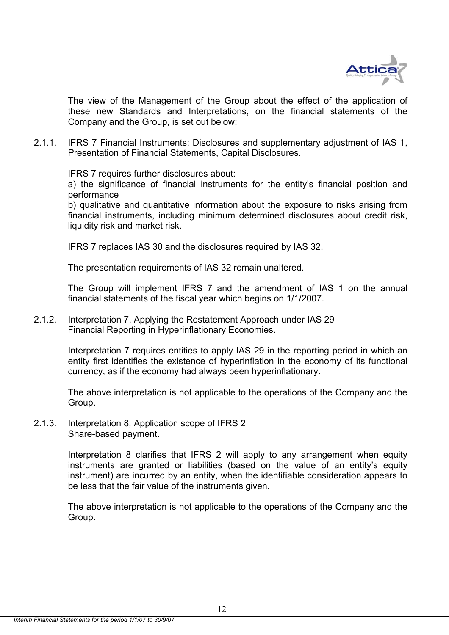

 The view of the Management of the Group about the effect of the application of these new Standards and Interpretations, on the financial statements of the Company and the Group, is set out below:

2.1.1. IFRS 7 Financial Instruments: Disclosures and supplementary adjustment of IAS 1, Presentation of Financial Statements, Capital Disclosures.

IFRS 7 requires further disclosures about:

 a) the significance of financial instruments for the entity's financial position and performance

 b) qualitative and quantitative information about the exposure to risks arising from financial instruments, including minimum determined disclosures about credit risk, liquidity risk and market risk.

IFRS 7 replaces IAS 30 and the disclosures required by IAS 32.

The presentation requirements of IAS 32 remain unaltered.

The Group will implement IFRS 7 and the amendment of IAS 1 on the annual financial statements of the fiscal year which begins on 1/1/2007.

2.1.2. Interpretation 7, Applying the Restatement Approach under IAS 29 Financial Reporting in Hyperinflationary Economies.

> Interpretation 7 requires entities to apply IAS 29 in the reporting period in which an entity first identifies the existence of hyperinflation in the economy of its functional currency, as if the economy had always been hyperinflationary.

> The above interpretation is not applicable to the operations of the Company and the Group.

2.1.3. Interpretation 8, Application scope of IFRS 2 Share-based payment.

> Interpretation 8 clarifies that IFRS 2 will apply to any arrangement when equity instruments are granted or liabilities (based on the value of an entity's equity instrument) are incurred by an entity, when the identifiable consideration appears to be less that the fair value of the instruments given.

> The above interpretation is not applicable to the operations of the Company and the Group.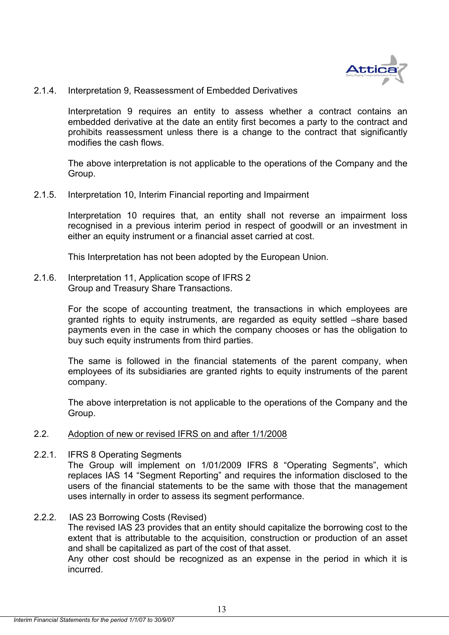

2.1.4. Interpretation 9, Reassessment of Embedded Derivatives

Interpretation 9 requires an entity to assess whether a contract contains an embedded derivative at the date an entity first becomes a party to the contract and prohibits reassessment unless there is a change to the contract that significantly modifies the cash flows.

The above interpretation is not applicable to the operations of the Company and the Group.

2.1.5. Interpretation 10, Interim Financial reporting and Impairment

Interpretation 10 requires that, an entity shall not reverse an impairment loss recognised in a previous interim period in respect of goodwill or an investment in either an equity instrument or a financial asset carried at cost.

This Interpretation has not been adopted by the European Union.

2.1.6. Interpretation 11, Application scope of IFRS 2 Group and Treasury Share Transactions.

> For the scope of accounting treatment, the transactions in which employees are granted rights to equity instruments, are regarded as equity settled –share based payments even in the case in which the company chooses or has the obligation to buy such equity instruments from third parties.

> The same is followed in the financial statements of the parent company, when employees of its subsidiaries are granted rights to equity instruments of the parent company.

> The above interpretation is not applicable to the operations of the Company and the Group.

- 2.2. Adoption of new or revised IFRS on and after 1/1/2008
- 2.2.1. IFRS 8 Operating Segments

The Group will implement on 1/01/2009 IFRS 8 "Operating Segments", which replaces IAS 14 "Segment Reporting" and requires the information disclosed to the users of the financial statements to be the same with those that the management uses internally in order to assess its segment performance.

2.2.2. IAS 23 Borrowing Costs (Revised)

The revised IAS 23 provides that an entity should capitalize the borrowing cost to the extent that is attributable to the acquisition, construction or production of an asset and shall be capitalized as part of the cost of that asset.

Any other cost should be recognized as an expense in the period in which it is incurred.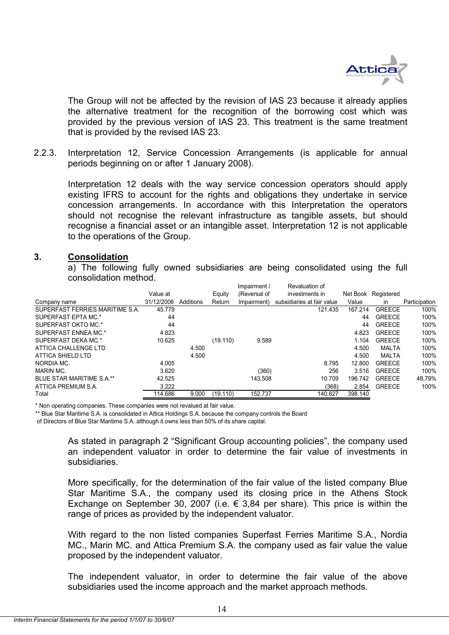

The Group will not be affected by the revision of IAS 23 because it already applies the alternative treatment for the recognition of the borrowing cost which was provided by the previous version of IAS 23. This treatment is the same treatment that is provided by the revised IAS 23.

2.2.3. Interpretation 12, Service Concession Arrangements (is applicable for annual periods beginning on or after 1 January 2008).

Interpretation 12 deals with the way service concession operators should apply existing IFRS to account for the rights and obligations they undertake in service concession arrangements. In accordance with this Interpretation the operators should not recognise the relevant infrastructure as tangible assets, but should recognise a financial asset or an intangible asset. Interpretation 12 is not applicable to the operations of the Group.

#### **3. Consolidation**

a) The following fully owned subsidiaries are being consolidated using the full consolidation method.

|                                 |            |           |          | Impairment / | Revaluation of             |          |               |               |
|---------------------------------|------------|-----------|----------|--------------|----------------------------|----------|---------------|---------------|
|                                 | Value at   |           | Equity   | (Reversal of | investments in             | Net Book | Registered    |               |
| Company name                    | 31/12/2006 | Additions | Return   | Impairment)  | subsidiaries at fair value | Value    | <sub>in</sub> | Participation |
| SUPERFAST FERRIES MARITIME S.A. | 45.779     |           |          |              | 121.435                    | 167.214  | <b>GREECE</b> | 100%          |
| SUPERFAST EPTA MC.*             | 44         |           |          |              |                            | 44       | <b>GREECE</b> | 100%          |
| SUPERFAST OKTO MC.*             | 44         |           |          |              |                            | 44       | <b>GREECE</b> | 100%          |
| SUPERFAST ENNEA MC.*            | 4.823      |           |          |              |                            | 4.823    | <b>GREECE</b> | 100%          |
| SUPERFAST DEKA MC.*             | 10.625     |           | (19.110) | 9.589        |                            | 1.104    | <b>GREECE</b> | 100%          |
| ATTICA CHALLENGE LTD            |            | 4.500     |          |              |                            | 4.500    | MALTA         | 100%          |
| ATTICA SHIELD LTD               |            | 4.500     |          |              |                            | 4.500    | MALTA         | 100%          |
| NORDIA MC.                      | 4.005      |           |          |              | 8.795                      | 12.800   | <b>GREECE</b> | 100%          |
| <b>MARIN MC.</b>                | 3.620      |           |          | (360)        | 256                        | 3.516    | <b>GREECE</b> | 100%          |
| BLUE STAR MARITIME S.A.**       | 42.525     |           |          | 143.508      | 10.709                     | 196.742  | <b>GREECE</b> | 48.79%        |
| ATTICA PREMIUM S.A.             | 3.222      |           |          |              | (368)                      | 2.854    | <b>GREECE</b> | 100%          |
| Total                           | 114.686    | 9.000     | (19.110) | 152.737      | 140.827                    | 398.140  |               |               |

\* Non operating companies. These companies were not revalued at fair value.

\*\* Blue Star Maritime S.A. is consolidated in Attica Holdings S.A. because the company controls the Board

of Directors of Blue Star Maritime S.A. although it owns less than 50% of its share capital.

As stated in paragraph 2 "Significant Group accounting policies", the company used an independent valuator in order to determine the fair value of investments in subsidiaries.

More specifically, for the determination of the fair value of the listed company Blue Star Maritime S.A., the company used its closing price in the Athens Stock Exchange on September 30, 2007 (i.e.  $\epsilon$  3,84 per share). This price is within the range of prices as provided by the independent valuator.

With regard to the non listed companies Superfast Ferries Maritime S.A., Nordia MC., Marin MC. and Attica Premium S.A. the company used as fair value the value proposed by the independent valuator.

The independent valuator, in order to determine the fair value of the above subsidiaries used the income approach and the market approach methods.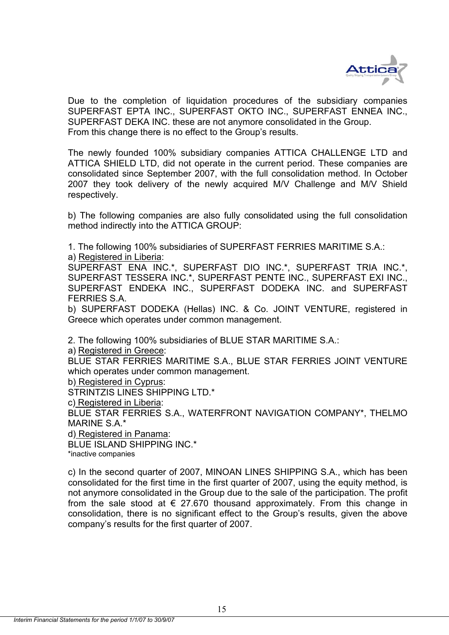

Due to the completion of liquidation procedures of the subsidiary companies SUPERFAST EPTA INC., SUPERFAST OKTO INC., SUPERFAST ENNEA INC., SUPERFAST DEKA INC. these are not anymore consolidated in the Group. From this change there is no effect to the Group's results.

The newly founded 100% subsidiary companies ATTICA CHALLENGE LTD and ATTICA SHIELD LTD, did not operate in the current period. These companies are consolidated since September 2007, with the full consolidation method. In October 2007 they took delivery of the newly acquired M/V Challenge and M/V Shield respectively.

b) The following companies are also fully consolidated using the full consolidation method indirectly into the ATTICA GROUP:

1. The following 100% subsidiaries of SUPERFAST FERRIES MARITIME S.A.:

a) Registered in Liberia:

SUPERFAST ENA INC.\*, SUPERFAST DIO INC.\*, SUPERFAST TRIA INC.\*, SUPERFAST TESSERA INC.\*, SUPERFAST PENTE INC., SUPERFAST EXI INC., SUPERFAST ENDEKA INC., SUPERFAST DODEKA INC. and SUPERFAST FERRIES S.A.

b) SUPERFAST DODEKA (Hellas) INC. & Co. JOINT VENTURE, registered in Greece which operates under common management.

2. The following 100% subsidiaries of BLUE STAR MARITIME S.A.:

a) Registered in Greece:

BLUE STAR FERRIES MARITIME S.A., BLUE STAR FERRIES JOINT VENTURE which operates under common management.

b) Registered in Cyprus:

STRINTZIS LINES SHIPPING LTD.\*

c) Registered in Liberia:

BLUE STAR FERRIES S.A., WATERFRONT NAVIGATION COMPANY\*, THELMO MARINE S.A.\*

d) Registered in Panama:

BLUE ISLAND SHIPPING INC.\*

\*inactive companies

c) In the second quarter of 2007, MINOAN LINES SHIPPING S.A., which has been consolidated for the first time in the first quarter of 2007, using the equity method, is not anymore consolidated in the Group due to the sale of the participation. The profit from the sale stood at  $\epsilon$  27.670 thousand approximately. From this change in consolidation, there is no significant effect to the Group's results, given the above company's results for the first quarter of 2007.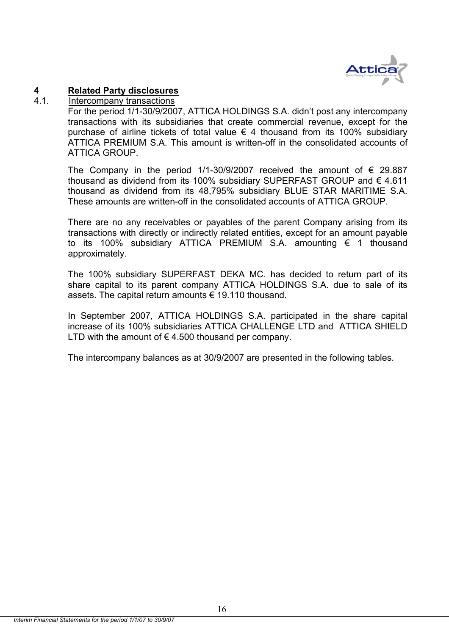

## **4 Related Party disclosures**

## 4.1. Intercompany transactions

For the period 1/1-30/9/2007, ATTICA HOLDINGS S.A. didn't post any intercompany transactions with its subsidiaries that create commercial revenue, except for the purchase of airline tickets of total value  $\epsilon$  4 thousand from its 100% subsidiary ATTICA PREMIUM S.A. This amount is written-off in the consolidated accounts of ATTICA GROUP.

The Company in the period 1/1-30/9/2007 received the amount of  $\epsilon$  29.887 thousand as dividend from its 100% subsidiary SUPERFAST GROUP and  $\epsilon$  4.611 thousand as dividend from its 48,795% subsidiary BLUE STAR MARITIME S.A. These amounts are written-off in the consolidated accounts of ATTICA GROUP.

There are no any receivables or payables of the parent Company arising from its transactions with directly or indirectly related entities, except for an amount payable to its 100% subsidiary ATTICA PREMIUM S.A. amounting € 1 thousand approximately.

The 100% subsidiary SUPERFAST DEKA MC. has decided to return part of its share capital to its parent company ATTICA HOLDINGS S.A. due to sale of its assets. The capital return amounts € 19.110 thousand.

In September 2007, ATTICA HOLDINGS S.A. participated in the share capital increase of its 100% subsidiaries ATTICA CHALLENGE LTD and ATTICA SHIELD LTD with the amount of  $\epsilon$  4.500 thousand per company.

The intercompany balances as at 30/9/2007 are presented in the following tables.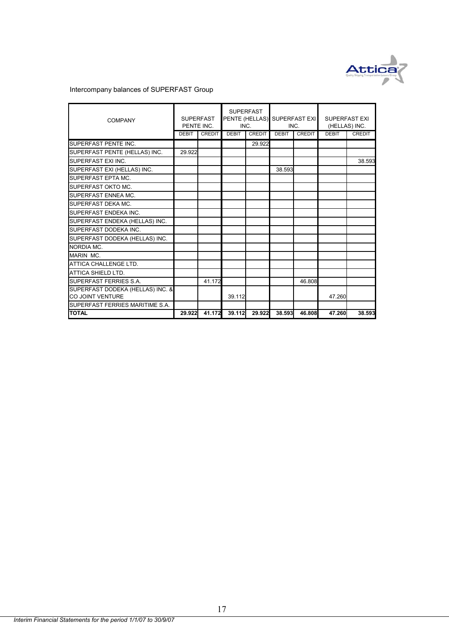

## Intercompany balances of SUPERFAST Group

| <b>COMPANY</b>                   | <b>SUPERFAST</b><br>PENTE INC. |               | INC.         | <b>SUPERFAST</b><br>PENTE (HELLAS) SUPERFAST EXI | INC.         |               | <b>SUPERFAST EXI</b><br>(HELLAS) INC. |        |
|----------------------------------|--------------------------------|---------------|--------------|--------------------------------------------------|--------------|---------------|---------------------------------------|--------|
|                                  | <b>DEBIT</b>                   | <b>CREDIT</b> | <b>DEBIT</b> | <b>CREDIT</b>                                    | <b>DEBIT</b> | <b>CREDIT</b> | <b>DEBIT</b>                          | CREDIT |
| SUPERFAST PENTE INC.             |                                |               |              | 29.922                                           |              |               |                                       |        |
| SUPERFAST PENTE (HELLAS) INC.    | 29.922                         |               |              |                                                  |              |               |                                       |        |
| SUPERFAST EXI INC.               |                                |               |              |                                                  |              |               |                                       | 38.593 |
| SUPERFAST EXI (HELLAS) INC.      |                                |               |              |                                                  | 38.593       |               |                                       |        |
| SUPERFAST EPTA MC.               |                                |               |              |                                                  |              |               |                                       |        |
| SUPERFAST OKTO MC.               |                                |               |              |                                                  |              |               |                                       |        |
| SUPERFAST ENNEA MC.              |                                |               |              |                                                  |              |               |                                       |        |
| SUPERFAST DEKA MC.               |                                |               |              |                                                  |              |               |                                       |        |
| SUPERFAST ENDEKA INC.            |                                |               |              |                                                  |              |               |                                       |        |
| SUPERFAST ENDEKA (HELLAS) INC.   |                                |               |              |                                                  |              |               |                                       |        |
| SUPERFAST DODEKA INC.            |                                |               |              |                                                  |              |               |                                       |        |
| SUPERFAST DODEKA (HELLAS) INC.   |                                |               |              |                                                  |              |               |                                       |        |
| NORDIA MC.                       |                                |               |              |                                                  |              |               |                                       |        |
| MARIN MC.                        |                                |               |              |                                                  |              |               |                                       |        |
| ATTICA CHALLENGE LTD.            |                                |               |              |                                                  |              |               |                                       |        |
| <b>ATTICA SHIELD LTD.</b>        |                                |               |              |                                                  |              |               |                                       |        |
| SUPERFAST FERRIES S.A.           |                                | 41.172        |              |                                                  |              | 46.808        |                                       |        |
| SUPERFAST DODEKA (HELLAS) INC. & |                                |               |              |                                                  |              |               |                                       |        |
| CO JOINT VENTURE                 |                                |               | 39.112       |                                                  |              |               | 47.260                                |        |
| SUPERFAST FERRIES MARITIME S.A.  |                                |               |              |                                                  |              |               |                                       |        |
| <b>TOTAL</b>                     | 29.922                         | 41.172        | 39.112       | 29.922                                           | 38.593       | 46.808        | 47.260                                | 38.593 |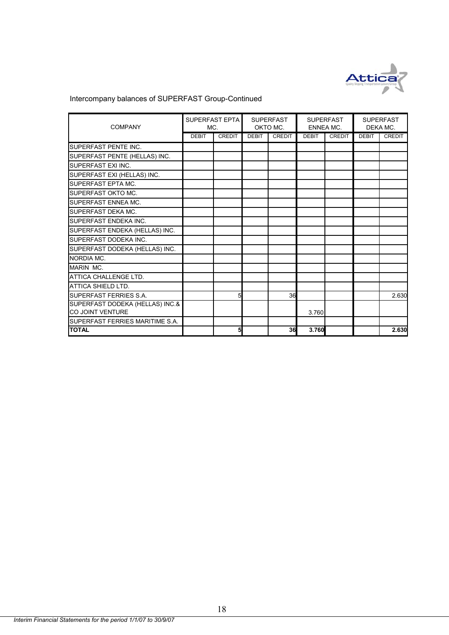

## Intercompany balances of SUPERFAST Group-Continued

| <b>COMPANY</b>                                      | MC.          | SUPERFAST EPTA | <b>SUPERFAST</b><br>OKTO MC. |               | <b>SUPERFAST</b><br><b>ENNEA MC.</b> |               | <b>SUPERFAST</b><br>DEKA MC. |               |
|-----------------------------------------------------|--------------|----------------|------------------------------|---------------|--------------------------------------|---------------|------------------------------|---------------|
|                                                     | <b>DEBIT</b> | <b>CREDIT</b>  | <b>DEBIT</b>                 | <b>CREDIT</b> | <b>DEBIT</b>                         | <b>CREDIT</b> | <b>DEBIT</b>                 | <b>CREDIT</b> |
| <b>SUPERFAST PENTE INC.</b>                         |              |                |                              |               |                                      |               |                              |               |
| SUPERFAST PENTE (HELLAS) INC.                       |              |                |                              |               |                                      |               |                              |               |
| SUPERFAST EXI INC.                                  |              |                |                              |               |                                      |               |                              |               |
| SUPERFAST EXI (HELLAS) INC.                         |              |                |                              |               |                                      |               |                              |               |
| SUPERFAST EPTA MC.                                  |              |                |                              |               |                                      |               |                              |               |
| SUPERFAST OKTO MC.                                  |              |                |                              |               |                                      |               |                              |               |
| SUPERFAST ENNEA MC.                                 |              |                |                              |               |                                      |               |                              |               |
| SUPERFAST DEKA MC.                                  |              |                |                              |               |                                      |               |                              |               |
| SUPERFAST ENDEKA INC.                               |              |                |                              |               |                                      |               |                              |               |
| SUPERFAST ENDEKA (HELLAS) INC.                      |              |                |                              |               |                                      |               |                              |               |
| SUPERFAST DODEKA INC.                               |              |                |                              |               |                                      |               |                              |               |
| SUPERFAST DODEKA (HELLAS) INC.                      |              |                |                              |               |                                      |               |                              |               |
| NORDIA MC.                                          |              |                |                              |               |                                      |               |                              |               |
| <b>MARIN MC.</b>                                    |              |                |                              |               |                                      |               |                              |               |
| ATTICA CHALLENGE LTD.                               |              |                |                              |               |                                      |               |                              |               |
| ATTICA SHIELD LTD.                                  |              |                |                              |               |                                      |               |                              |               |
| <b>SUPERFAST FERRIES S.A.</b>                       |              |                |                              | 36            |                                      |               |                              | 2.630         |
| SUPERFAST DODEKA (HELLAS) INC.&<br>CO JOINT VENTURE |              |                |                              |               | 3.760                                |               |                              |               |
| SUPERFAST FERRIES MARITIME S.A.                     |              |                |                              |               |                                      |               |                              |               |
| <b>TOTAL</b>                                        |              | 5              |                              | 36            | 3.760                                |               |                              | 2.630         |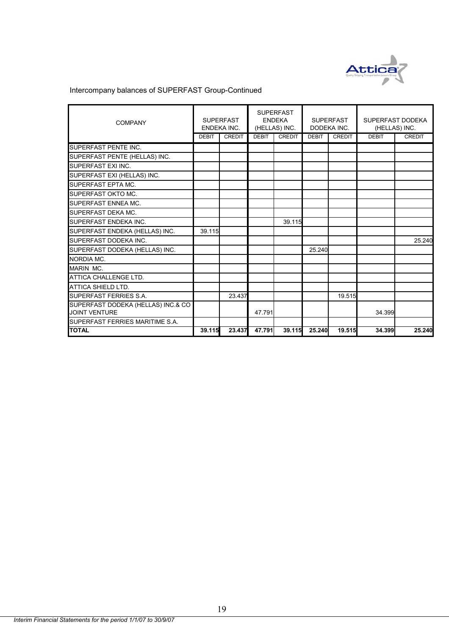

## Intercompany balances of SUPERFAST Group-Continued

| <b>COMPANY</b>                     | <b>SUPERFAST</b><br><b>ENDEKA INC.</b> |               | <b>SUPERFAST</b><br><b>ENDEKA</b><br>(HELLAS) INC. |               | <b>SUPERFAST</b><br>DODEKA INC. |               | SUPERFAST DODEKA<br>(HELLAS) INC. |               |
|------------------------------------|----------------------------------------|---------------|----------------------------------------------------|---------------|---------------------------------|---------------|-----------------------------------|---------------|
|                                    | <b>DEBIT</b>                           | <b>CREDIT</b> | <b>DEBIT</b>                                       | <b>CREDIT</b> | <b>DEBIT</b>                    | <b>CREDIT</b> | <b>DEBIT</b>                      | <b>CREDIT</b> |
| SUPERFAST PENTE INC.               |                                        |               |                                                    |               |                                 |               |                                   |               |
| SUPERFAST PENTE (HELLAS) INC.      |                                        |               |                                                    |               |                                 |               |                                   |               |
| SUPERFAST EXI INC.                 |                                        |               |                                                    |               |                                 |               |                                   |               |
| SUPERFAST EXI (HELLAS) INC.        |                                        |               |                                                    |               |                                 |               |                                   |               |
| <b>SUPERFAST EPTA MC.</b>          |                                        |               |                                                    |               |                                 |               |                                   |               |
| SUPERFAST OKTO MC.                 |                                        |               |                                                    |               |                                 |               |                                   |               |
| <b>SUPERFAST ENNEA MC.</b>         |                                        |               |                                                    |               |                                 |               |                                   |               |
| SUPERFAST DEKA MC.                 |                                        |               |                                                    |               |                                 |               |                                   |               |
| SUPERFAST ENDEKA INC.              |                                        |               |                                                    | 39.115        |                                 |               |                                   |               |
| SUPERFAST ENDEKA (HELLAS) INC.     | 39.115                                 |               |                                                    |               |                                 |               |                                   |               |
| SUPERFAST DODEKA INC.              |                                        |               |                                                    |               |                                 |               |                                   | 25.240        |
| SUPERFAST DODEKA (HELLAS) INC.     |                                        |               |                                                    |               | 25.240                          |               |                                   |               |
| NORDIA MC.                         |                                        |               |                                                    |               |                                 |               |                                   |               |
| MARIN MC.                          |                                        |               |                                                    |               |                                 |               |                                   |               |
| ATTICA CHALLENGE LTD.              |                                        |               |                                                    |               |                                 |               |                                   |               |
| ATTICA SHIELD LTD.                 |                                        |               |                                                    |               |                                 |               |                                   |               |
| SUPERFAST FERRIES S.A.             |                                        | 23.437        |                                                    |               |                                 | 19.515        |                                   |               |
| SUPERFAST DODEKA (HELLAS) INC.& CO |                                        |               |                                                    |               |                                 |               |                                   |               |
| <b>JOINT VENTURE</b>               |                                        |               | 47.791                                             |               |                                 |               | 34.399                            |               |
| SUPERFAST FERRIES MARITIME S.A.    |                                        |               |                                                    |               |                                 |               |                                   |               |
| <b>TOTAL</b>                       | 39.115                                 | 23.437        | 47.791                                             | 39.115        | 25.240                          | 19.515        | 34.399                            | 25.240        |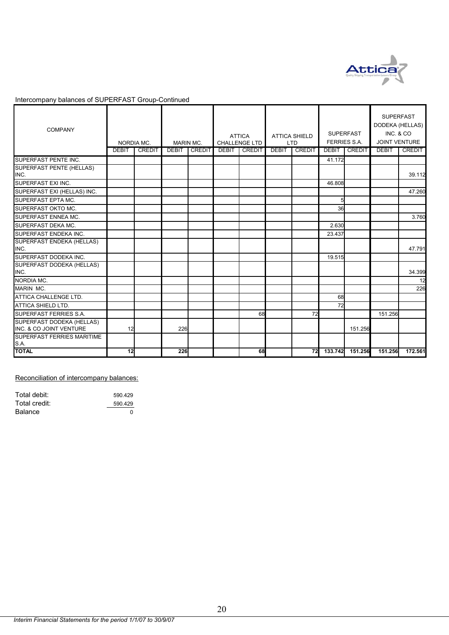

#### Intercompany balances of SUPERFAST Group-Continued

| <b>COMPANY</b>                                       |              | NORDIA MC.    | <b>MARIN MC.</b> |               |              | <b>ATTICA</b><br>CHALLENGE LTD |              | <b>ATTICA SHIELD</b><br><b>LTD</b> | <b>SUPERFAST</b><br><b>FERRIES S.A.</b> |         | <b>SUPERFAST</b><br>DODEKA (HELLAS)<br>INC. & CO<br>JOINT VENTURE |               |
|------------------------------------------------------|--------------|---------------|------------------|---------------|--------------|--------------------------------|--------------|------------------------------------|-----------------------------------------|---------|-------------------------------------------------------------------|---------------|
|                                                      | <b>DEBIT</b> | <b>CREDIT</b> | <b>DEBIT</b>     | <b>CREDIT</b> | <b>DEBIT</b> | <b>CREDIT</b>                  | <b>DEBIT</b> | CREDIT                             | <b>DEBIT</b>                            | CREDIT  | <b>DEBIT</b>                                                      | <b>CREDIT</b> |
| SUPERFAST PENTE INC.                                 |              |               |                  |               |              |                                |              |                                    | 41.172                                  |         |                                                                   |               |
| SUPERFAST PENTE (HELLAS)<br>INC.                     |              |               |                  |               |              |                                |              |                                    |                                         |         |                                                                   | 39.112        |
| SUPERFAST EXI INC.                                   |              |               |                  |               |              |                                |              |                                    | 46.808                                  |         |                                                                   |               |
| SUPERFAST EXI (HELLAS) INC.                          |              |               |                  |               |              |                                |              |                                    |                                         |         |                                                                   | 47.260        |
| SUPERFAST EPTA MC.                                   |              |               |                  |               |              |                                |              |                                    | 5                                       |         |                                                                   |               |
| SUPERFAST OKTO MC.                                   |              |               |                  |               |              |                                |              |                                    | 36                                      |         |                                                                   |               |
| SUPERFAST ENNEA MC.                                  |              |               |                  |               |              |                                |              |                                    |                                         |         |                                                                   | 3.760         |
| SUPERFAST DEKA MC.                                   |              |               |                  |               |              |                                |              |                                    | 2.630                                   |         |                                                                   |               |
| SUPERFAST ENDEKA INC.                                |              |               |                  |               |              |                                |              |                                    | 23.437                                  |         |                                                                   |               |
| SUPERFAST ENDEKA (HELLAS)<br>INC.                    |              |               |                  |               |              |                                |              |                                    |                                         |         |                                                                   | 47.791        |
| SUPERFAST DODEKA INC.                                |              |               |                  |               |              |                                |              |                                    | 19.515                                  |         |                                                                   |               |
| SUPERFAST DODEKA (HELLAS)<br>INC.                    |              |               |                  |               |              |                                |              |                                    |                                         |         |                                                                   | 34.399        |
| <b>NORDIA MC.</b>                                    |              |               |                  |               |              |                                |              |                                    |                                         |         |                                                                   | 12            |
| MARIN MC.                                            |              |               |                  |               |              |                                |              |                                    |                                         |         |                                                                   | 226           |
| ATTICA CHALLENGE LTD.                                |              |               |                  |               |              |                                |              |                                    | 68                                      |         |                                                                   |               |
| <b>ATTICA SHIELD LTD.</b>                            |              |               |                  |               |              |                                |              |                                    | 72                                      |         |                                                                   |               |
| SUPERFAST FERRIES S.A.                               |              |               |                  |               |              | 68                             |              | 72                                 |                                         |         | 151.256                                                           |               |
| SUPERFAST DODEKA (HELLAS)<br>INC. & CO JOINT VENTURE | 12           |               | 226              |               |              |                                |              |                                    |                                         | 151.256 |                                                                   |               |
| <b>SUPERFAST FERRIES MARITIME</b><br><b>S.A.</b>     |              |               |                  |               |              |                                |              |                                    |                                         |         |                                                                   |               |
| <b>TOTAL</b>                                         | 12           |               | 226              |               |              | 68                             |              | 72                                 | 133.742                                 | 151.256 | 151.256                                                           | 172.561       |

#### Reconciliation of intercompany balances:

| Total debit:   | 590.429 |
|----------------|---------|
| Total credit:  | 590.429 |
| <b>Balance</b> | ŋ       |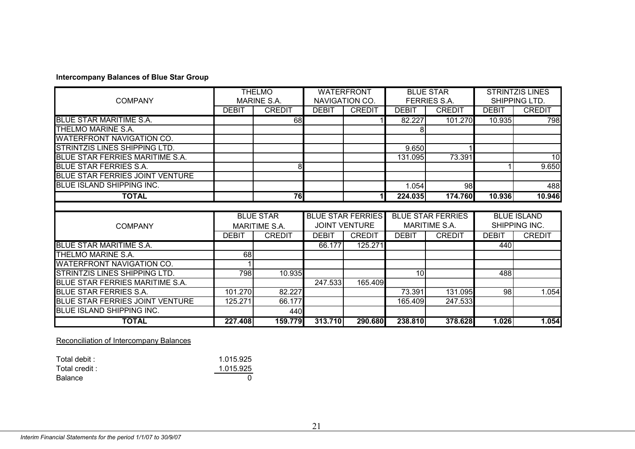#### **Intercompany Balances of Blue Star Group**

|                                        | <b>THELMO</b> |                      | <b>WATERFRONT</b>                     |                          | <b>BLUE STAR</b> |                          | <b>STRINTZIS LINES</b> |               |
|----------------------------------------|---------------|----------------------|---------------------------------------|--------------------------|------------------|--------------------------|------------------------|---------------|
| <b>COMPANY</b>                         |               | <b>MARINE S.A.</b>   |                                       | NAVIGATION CO.           |                  | <b>FERRIES S.A.</b>      |                        | SHIPPING LTD. |
|                                        | <b>DEBIT</b>  | <b>CREDIT</b>        | <b>DEBIT</b>                          | <b>CREDIT</b>            | <b>DEBIT</b>     | <b>CREDIT</b>            | <b>DEBIT</b>           | <b>CREDIT</b> |
| <b>BLUE STAR MARITIME S.A.</b>         |               | 681                  |                                       |                          | 82.227           | 101.270                  | 10.935                 | 798           |
| THELMO MARINE S.A.                     |               |                      |                                       |                          | 8                |                          |                        |               |
| <b>WATERFRONT NAVIGATION CO.</b>       |               |                      |                                       |                          |                  |                          |                        |               |
| <b>STRINTZIS LINES SHIPPING LTD.</b>   |               |                      |                                       |                          | 9.650            |                          |                        |               |
| BLUE STAR FERRIES MARITIME S.A.        |               |                      |                                       |                          | 131.095          | 73.391                   |                        | 10            |
| <b>BLUE STAR FERRIES S.A.</b>          |               | 8                    |                                       |                          |                  |                          |                        | 9.650         |
| BLUE STAR FERRIES JOINT VENTURE        |               |                      |                                       |                          |                  |                          |                        |               |
| <b>BLUE ISLAND SHIPPING INC.</b>       |               |                      |                                       |                          | 1.054            | 98                       |                        | 488           |
| <b>TOTAL</b>                           |               | 76                   |                                       | 11                       | 224.035          | 174.760                  | 10.936                 | 10.946        |
|                                        |               |                      |                                       |                          |                  |                          |                        |               |
|                                        |               | <b>BLUE STAR</b>     |                                       | <b>BLUE STAR FERRIES</b> |                  | <b>BLUE STAR FERRIES</b> | <b>BLUE ISLAND</b>     |               |
| <b>COMPANY</b>                         |               | <b>MARITIME S.A.</b> | <b>JOINT VENTURE</b><br>MARITIME S.A. |                          |                  |                          | SHIPPING INC.          |               |
|                                        | <b>DEBIT</b>  | <b>CREDIT</b>        | <b>DEBIT</b>                          | <b>CREDIT</b>            | <b>DEBIT</b>     | <b>CREDIT</b>            | <b>DEBIT</b>           | <b>CREDIT</b> |
| <b>BLUE STAR MARITIME S.A.</b>         |               |                      | 66.177                                | 125.271                  |                  |                          | 440                    |               |
| THELMO MARINE S.A.                     | 68            |                      |                                       |                          |                  |                          |                        |               |
| <b>WATERFRONT NAVIGATION CO.</b>       |               |                      |                                       |                          |                  |                          |                        |               |
| STRINTZIS LINES SHIPPING LTD.          | 798           | 10.935               |                                       |                          | 10 <sup>1</sup>  |                          | 488                    |               |
| BLUE STAR FERRIES MARITIME S.A.        |               |                      | 247.533                               | 165.409                  |                  |                          |                        |               |
| <b>BLUE STAR FERRIES S.A.</b>          | 101.270       | 82.227               |                                       |                          | 73.391           | 131.095                  | 98                     | 1.054         |
| <b>BLUE STAR FERRIES JOINT VENTURE</b> | 125.271       | 66.177               |                                       |                          | 165.409          | 247.533                  |                        |               |
| <b>BLUE ISLAND SHIPPING INC.</b>       |               |                      |                                       |                          |                  |                          |                        |               |
|                                        |               | 440                  |                                       |                          |                  |                          |                        |               |

Reconciliation of Intercompany Balances

| Total debit :  | 1.015.925 |
|----------------|-----------|
| Total credit : | 1.015.925 |
| Balance        |           |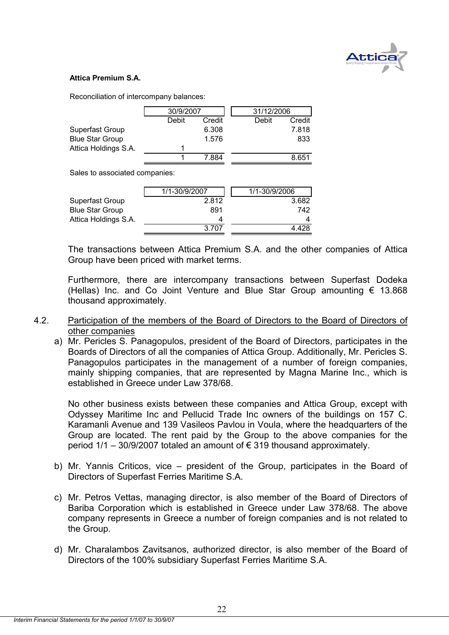

#### **Attica Premium S.A.**

Reconciliation of intercompany balances:

|                        | 30/9/2007 |        | 31/12/2006 |        |
|------------------------|-----------|--------|------------|--------|
|                        | Debit     | Credit | Debit      | Credit |
| Superfast Group        |           | 6.308  |            | 7.818  |
| <b>Blue Star Group</b> |           | 1.576  |            | 833    |
| Attica Holdings S.A.   |           |        |            |        |
|                        |           | 7 884  |            | 8.651  |

Sales to associated companies:

| 1/1-30/9/2007 | 1/1-30/9/2006 |
|---------------|---------------|
| 2.812         | 3.682         |
| 891           | 742           |
| 4             | 4             |
| 3.707         | 4.428         |
|               |               |

The transactions between Attica Premium S.A. and the other companies of Attica Group have been priced with market terms.

Furthermore, there are intercompany transactions between Superfast Dodeka (Hellas) Inc. and Co Joint Venture and Blue Star Group amounting  $\epsilon$  13.868 thousand approximately.

- 4.2. Participation of the members of the Board of Directors to the Board of Directors of other companies
	- a) Mr. Pericles S. Panagopulos, president of the Board of Directors, participates in the Boards of Directors of all the companies of Attica Group. Additionally, Mr. Pericles S. Panagopulos participates in the management of a number of foreign companies, mainly shipping companies, that are represented by Magna Marine Inc., which is established in Greece under Law 378/68.

No other business exists between these companies and Attica Group, except with Odyssey Maritime Inc and Pellucid Trade Inc owners of the buildings on 157 C. Karamanli Avenue and 139 Vasileos Pavlou in Voula, where the headquarters of the Group are located. The rent paid by the Group to the above companies for the period  $1/1 - 30/9/2007$  totaled an amount of  $\epsilon$  319 thousand approximately.

- b) Mr. Yannis Criticos, vice president of the Group, participates in the Board of Directors of Superfast Ferries Maritime S.A.
- c) Mr. Petros Vettas, managing director, is also member of the Board of Directors of Bariba Corporation which is established in Greece under Law 378/68. The above company represents in Greece a number of foreign companies and is not related to the Group.
- d) Mr. Charalambos Zavitsanos, authorized director, is also member of the Board of Directors of the 100% subsidiary Superfast Ferries Maritime S.A.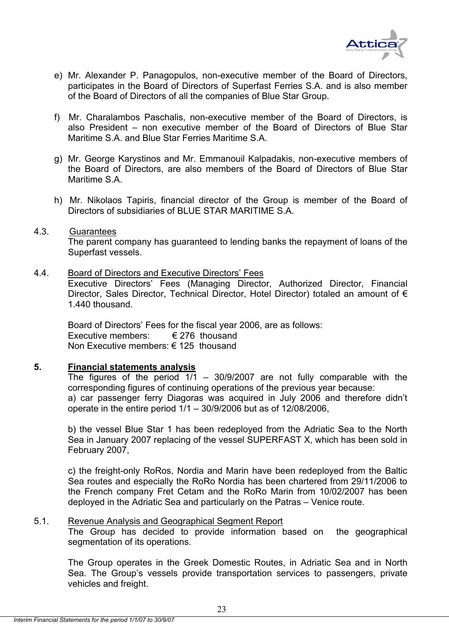

- e) Mr. Alexander P. Panagopulos, non-executive member of the Board of Directors, participates in the Board of Directors of Superfast Ferries S.A. and is also member of the Board of Directors of all the companies of Blue Star Group.
- f) Mr. Charalambos Paschalis, non-executive member of the Board of Directors, is also President – non executive member of the Board of Directors of Blue Star Maritime S.A. and Blue Star Ferries Maritime S.A.
- g) Mr. George Karystinos and Mr. Emmanouil Kalpadakis, non-executive members of the Board of Directors, are also members of the Board of Directors of Blue Star Maritime S.A.
- h) Mr. Nikolaos Tapiris, financial director of the Group is member of the Board of Directors of subsidiaries of BLUE STAR MARITIME S.A.

#### 4.3. Guarantees

 The parent company has guaranteed to lending banks the repayment of loans of the Superfast vessels.

## 4.4. Board of Directors and Executive Directors' Fees

Executive Directors' Fees (Managing Director, Authorized Director, Financial Director, Sales Director, Technical Director, Hotel Director) totaled an amount of € 1.440 thousand.

Board of Directors' Fees for the fiscal year 2006, are as follows: Executive members:  $\epsilon$  276 thousand Non Executive members: € 125 thousand

## **5. Financial statements analysis**

The figures of the period  $1/1$  – 30/9/2007 are not fully comparable with the corresponding figures of continuing operations of the previous year because: a) car passenger ferry Diagoras was acquired in July 2006 and therefore didn't operate in the entire period 1/1 – 30/9/2006 but as of 12/08/2006,

b) the vessel Blue Star 1 has been redeployed from the Adriatic Sea to the North Sea in January 2007 replacing of the vessel SUPERFAST X, which has been sold in February 2007,

c) the freight-only RoRos, Nordia and Marin have been redeployed from the Baltic Sea routes and especially the RoRo Nordia has been chartered from 29/11/2006 to the French company Fret Cetam and the RoRo Marin from 10/02/2007 has been deployed in the Adriatic Sea and particularly on the Patras – Venice route.

## 5.1. Revenue Analysis and Geographical Segment Report

The Group has decided to provide information based on the geographical segmentation of its operations.

The Group operates in the Greek Domestic Routes, in Adriatic Sea and in North Sea. The Group's vessels provide transportation services to passengers, private vehicles and freight.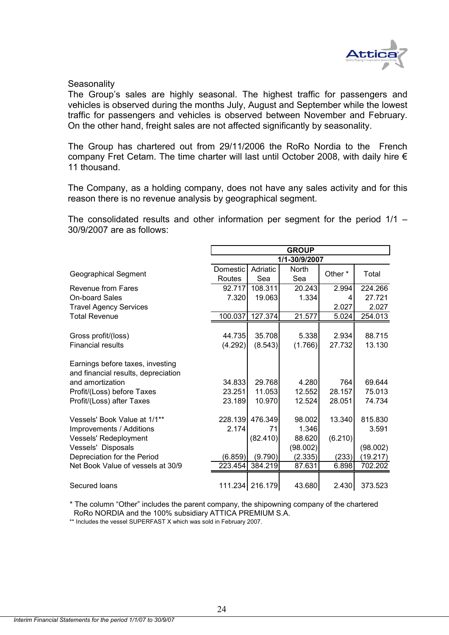

#### **Seasonality**

The Group's sales are highly seasonal. The highest traffic for passengers and vehicles is observed during the months July, August and September while the lowest traffic for passengers and vehicles is observed between November and February. On the other hand, freight sales are not affected significantly by seasonality.

Τhe Group has chartered out from 29/11/2006 the RoRo Nordia to the French company Fret Cetam. The time charter will last until October 2008, with daily hire  $\epsilon$ 11 thousand.

The Company, as a holding company, does not have any sales activity and for this reason there is no revenue analysis by geographical segment.

The consolidated results and other information per segment for the period 1/1 – 30/9/2007 are as follows:

|                                     | <b>GROUP</b>  |                 |              |                    |          |  |  |  |  |
|-------------------------------------|---------------|-----------------|--------------|--------------------|----------|--|--|--|--|
|                                     | 1/1-30/9/2007 |                 |              |                    |          |  |  |  |  |
| <b>Geographical Segment</b>         | Domestic      | Adriatic        | <b>North</b> | Other <sup>*</sup> | Total    |  |  |  |  |
|                                     | Routes        | Sea             | Sea          |                    |          |  |  |  |  |
| Revenue from Fares                  | 92.717        | 108.311         | 20.243       | 2.994              | 224.266  |  |  |  |  |
| <b>On-board Sales</b>               | 7.320         | 19.063          | 1.334        | 4                  | 27.721   |  |  |  |  |
| <b>Travel Agency Services</b>       |               |                 |              | 2.027              | 2.027    |  |  |  |  |
| <b>Total Revenue</b>                | 100.037       | 127.374         | 21.577       | 5.024              | 254.013  |  |  |  |  |
|                                     |               |                 |              |                    |          |  |  |  |  |
| Gross profit/(loss)                 | 44.735        | 35.708          | 5.338        | 2.934              | 88.715   |  |  |  |  |
| <b>Financial results</b>            | (4.292)       | (8.543)         | (1.766)      | 27.732             | 13.130   |  |  |  |  |
| Earnings before taxes, investing    |               |                 |              |                    |          |  |  |  |  |
| and financial results, depreciation |               |                 |              |                    |          |  |  |  |  |
| and amortization                    | 34.833        | 29.768          | 4.280        | 764                | 69.644   |  |  |  |  |
| Profit/(Loss) before Taxes          | 23.251        | 11.053          | 12.552       | 28.157             | 75.013   |  |  |  |  |
| Profit/(Loss) after Taxes           | 23.189        | 10.970          | 12.524       | 28.051             | 74.734   |  |  |  |  |
| Vessels' Book Value at 1/1**        | 228.139       | 476.349         | 98.002       | 13.340             | 815.830  |  |  |  |  |
| Improvements / Additions            | 2.174         | 71              | 1.346        |                    | 3.591    |  |  |  |  |
| Vessels' Redeployment               |               | (82.410)        | 88.620       | (6.210)            |          |  |  |  |  |
| Vessels' Disposals                  |               |                 | (98.002)     |                    | (98.002) |  |  |  |  |
| Depreciation for the Period         | (6.859)       | (9.790)         | (2.335)      | (233)              | (19.217) |  |  |  |  |
| Net Book Value of vessels at 30/9   | 223.454       | 384.219         | 87.631       | 6.898              | 702.202  |  |  |  |  |
|                                     |               |                 |              |                    |          |  |  |  |  |
| Secured Ioans                       |               | 111.234 216.179 | 43.680       | 2.430              | 373.523  |  |  |  |  |

\* The column "Other" includes the parent company, the shipowning company of the chartered RoRo NORDIA and the 100% subsidiary ATTICA PREMIUM S.A.

\*\* Includes the vessel SUPERFAST X which was sold in February 2007.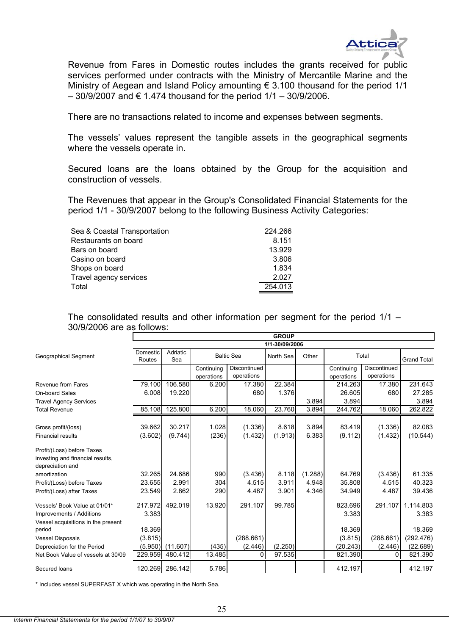

Revenue from Fares in Domestic routes includes the grants received for public services performed under contracts with the Ministry of Mercantile Marine and the Ministry of Aegean and Island Policy amounting  $\epsilon$  3.100 thousand for the period 1/1  $-$  30/9/2007 and € 1.474 thousand for the period 1/1 – 30/9/2006.

There are no transactions related to income and expenses between segments.

The vessels' values represent the tangible assets in the geographical segments where the vessels operate in.

Secured loans are the loans obtained by the Group for the acquisition and construction of vessels.

The Revenues that appear in the Group's Consolidated Financial Statements for the period 1/1 - 30/9/2007 belong to the following Business Activity Categories:

| Sea & Coastal Transportation | 224.266 |
|------------------------------|---------|
| Restaurants on board         | 8.151   |
| Bars on board                | 13.929  |
| Casino on board              | 3.806   |
| Shops on board               | 1.834   |
| Travel agency services       | 2.027   |
| Total                        | 254.013 |
|                              |         |

The consolidated results and other information per segment for the period 1/1 – 30/9/2006 are as follows:

|                                    | <b>GROUP</b> |                 |            |                   |                |         |            |              |                    |
|------------------------------------|--------------|-----------------|------------|-------------------|----------------|---------|------------|--------------|--------------------|
|                                    |              |                 |            |                   | 1/1-30/09/2006 |         |            |              |                    |
| <b>Geographical Segment</b>        | Domestic     | Adriatic        |            | <b>Baltic Sea</b> | North Sea      | Other   |            | Total        |                    |
|                                    | Routes       | Sea             |            |                   |                |         |            |              | <b>Grand Total</b> |
|                                    |              |                 | Continuing | Discontinued      |                |         | Continuing | Discontinued |                    |
|                                    |              |                 | operations | operations        |                |         | operations | operations   |                    |
| Revenue from Fares                 | 79.100       | 106.580         | 6.200      | 17.380            | 22.384         |         | 214.263    | 17.380       | 231.643            |
| On-board Sales                     | 6.008        | 19.220          |            | 680               | 1.376          |         | 26.605     | 680          | 27.285             |
| <b>Travel Agency Services</b>      |              |                 |            |                   |                | 3.894   | 3.894      |              | 3.894              |
| <b>Total Revenue</b>               | 85.108       | 125.800         | 6.200      | 18.060            | 23.760         | 3.894   | 244.762    | 18.060       | 262.822            |
|                                    |              |                 |            |                   |                |         |            |              |                    |
| Gross profit/(loss)                | 39.662       | 30.217          | 1.028      | (1.336)           | 8.618          | 3.894   | 83.419     | (1.336)      | 82.083             |
| <b>Financial results</b>           | (3.602)      | (9.744)         | (236)      | (1.432)           | (1.913)        | 6.383   | (9.112)    | (1.432)      | (10.544)           |
| Profit/(Loss) before Taxes         |              |                 |            |                   |                |         |            |              |                    |
| investing and financial results,   |              |                 |            |                   |                |         |            |              |                    |
| depreciation and                   |              |                 |            |                   |                |         |            |              |                    |
| amortization                       | 32.265       | 24.686          | 990        | (3.436)           | 8.118          | (1.288) | 64.769     | (3.436)      | 61.335             |
| Profit/(Loss) before Taxes         | 23.655       | 2.991           | 304        | 4.515             | 3.911          | 4.948   | 35.808     | 4.515        | 40.323             |
| Profit/(Loss) after Taxes          | 23.549       | 2.862           | 290        | 4.487             | 3.901          | 4.346   | 34.949     | 4.487        | 39.436             |
| Vessels' Book Value at 01/01*      | 217.972      | 492.019         | 13.920     | 291.107           | 99.785         |         | 823.696    | 291.107      | 1.114.803          |
| Improvements / Additions           | 3.383        |                 |            |                   |                |         | 3.383      |              | 3.383              |
| Vessel acquisitions in the present |              |                 |            |                   |                |         |            |              |                    |
| period                             | 18.369       |                 |            |                   |                |         | 18.369     |              | 18.369             |
| <b>Vessel Disposals</b>            | (3.815)      |                 |            | (288.661)         |                |         | (3.815)    | (288.661)    | (292.476)          |
| Depreciation for the Period        | (5.950)      | (11.607)        | (435)      | (2.446)           | (2.250)        |         | (20.243)   | (2.446)      | (22.689)           |
| Net Book Value of vessels at 30/09 | 229.959      | 480.412         | 13.485     | $\Omega$          | 97.535         |         | 821.390    | ΩI           | 821.390            |
| Secured loans                      |              | 120.269 286.142 | 5.786      |                   |                |         | 412.197    |              | 412.197            |

\* Includes vessel SUPERFAST X which was operating in the North Sea.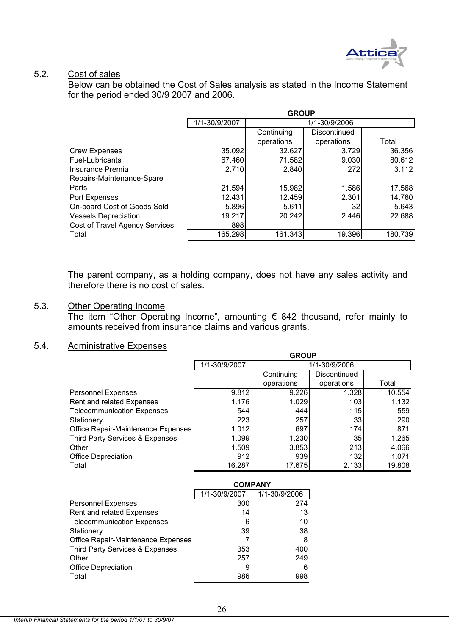

## 5.2. Cost of sales

Below can be obtained the Cost of Sales analysis as stated in the Income Statement for the period ended 30/9 2007 and 2006.

|                                | <b>GROUP</b>  |            |                 |         |  |  |  |  |  |
|--------------------------------|---------------|------------|-----------------|---------|--|--|--|--|--|
|                                | 1/1-30/9/2007 |            | 1/1-30/9/2006   |         |  |  |  |  |  |
|                                |               | Continuing | Discontinued    |         |  |  |  |  |  |
|                                |               | operations | operations      | Total   |  |  |  |  |  |
| <b>Crew Expenses</b>           | 35.092        | 32.627     | 3.729           | 36.356  |  |  |  |  |  |
| Fuel-Lubricants                | 67.460        | 71.582     | 9.030           | 80.612  |  |  |  |  |  |
| Insurance Premia               | 2.710         | 2.840      | 272             | 3.112   |  |  |  |  |  |
| Repairs-Maintenance-Spare      |               |            |                 |         |  |  |  |  |  |
| Parts                          | 21.594        | 15.982     | 1.586           | 17.568  |  |  |  |  |  |
| Port Expenses                  | 12.431        | 12.459     | 2.301           | 14.760  |  |  |  |  |  |
| On-board Cost of Goods Sold    | 5.896         | 5.611      | 32 <sub>1</sub> | 5.643   |  |  |  |  |  |
| <b>Vessels Depreciation</b>    | 19.217        | 20.242     | 2.446           | 22.688  |  |  |  |  |  |
| Cost of Travel Agency Services | 898           |            |                 |         |  |  |  |  |  |
| Total                          | 165.298       | 161.343    | 19.396          | 180.739 |  |  |  |  |  |

The parent company, as a holding company, does not have any sales activity and therefore there is no cost of sales.

## 5.3. Other Operating Income

The item "Other Operating Income", amounting  $\epsilon$  842 thousand, refer mainly to amounts received from insurance claims and various grants.

## 5.4. Administrative Expenses

|                                    | <b>GROUP</b>  |            |               |        |  |  |  |
|------------------------------------|---------------|------------|---------------|--------|--|--|--|
|                                    | 1/1-30/9/2007 |            | 1/1-30/9/2006 |        |  |  |  |
|                                    |               | Continuing | Discontinued  |        |  |  |  |
|                                    |               | operations | operations    | Total  |  |  |  |
| <b>Personnel Expenses</b>          | 9.812         | 9.226      | 1.328         | 10.554 |  |  |  |
| Rent and related Expenses          | 1.176         | 1.029      | 103           | 1.132  |  |  |  |
| <b>Telecommunication Expenses</b>  | 544           | 444        | <b>115</b>    | 559    |  |  |  |
| Stationery                         | 223           | 257        | 33            | 290    |  |  |  |
| Office Repair-Maintenance Expenses | 1.012         | 697        | 174           | 871    |  |  |  |
| Third Party Services & Expenses    | 1.099         | 1.230      | 35            | 1.265  |  |  |  |
| Other                              | 1.509         | 3.853      | 213           | 4.066  |  |  |  |
| Office Depreciation                | 912           | 939        | 132           | 1.071  |  |  |  |
| Total                              | 16.287        | 17.675     | 2.133         | 19.808 |  |  |  |

|                                    | <b>COMPANY</b> |               |
|------------------------------------|----------------|---------------|
|                                    | 1/1-30/9/2007  | 1/1-30/9/2006 |
| <b>Personnel Expenses</b>          | 300            | 274           |
| Rent and related Expenses          | 14             | 13            |
| <b>Telecommunication Expenses</b>  | 6              | 10            |
| Stationery                         | 39             | 38            |
| Office Repair-Maintenance Expenses |                | 8             |
| Third Party Services & Expenses    | 353            | 400           |
| Other                              | 257            | 249           |
| <b>Office Depreciation</b>         | 9              | 6             |
| Total                              | 986            | 998           |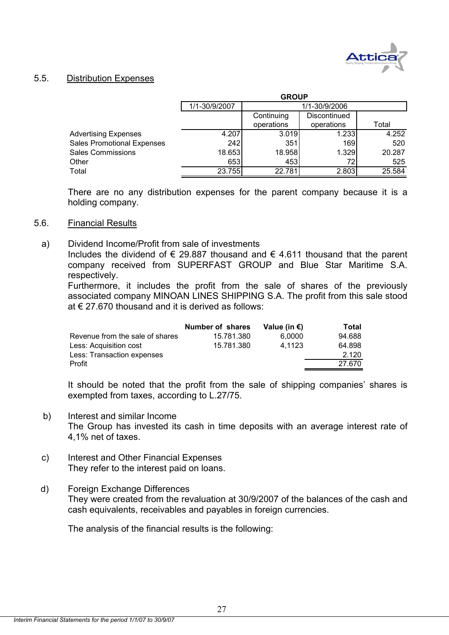

#### 5.5. Distribution Expenses

|                                   | <b>GROUP</b>  |                            |            |        |  |  |  |
|-----------------------------------|---------------|----------------------------|------------|--------|--|--|--|
|                                   | 1/1-30/9/2007 | 1/1-30/9/2006              |            |        |  |  |  |
|                                   |               | Discontinued<br>Continuing |            |        |  |  |  |
|                                   |               | operations                 | operations | Total  |  |  |  |
| <b>Advertising Expenses</b>       | 4.207         | 3.019                      | 1.233      | 4.252  |  |  |  |
| <b>Sales Promotional Expenses</b> | 242           | 351                        | 169        | 520    |  |  |  |
| <b>Sales Commissions</b>          | 18.653        | 18.958                     | 1.329      | 20.287 |  |  |  |
| Other                             | 653           | 453                        | 72         | 525    |  |  |  |
| Total                             | 23.755        | 22.781                     | 2.803      | 25.584 |  |  |  |

There are no any distribution expenses for the parent company because it is a holding company.

#### 5.6. Financial Results

 a) Dividend Income/Profit from sale of investments Includes the dividend of  $\epsilon$  29.887 thousand and  $\epsilon$  4.611 thousand that the parent company received from SUPERFAST GROUP and Blue Star Maritime S.A. respectively.

Furthermore, it includes the profit from the sale of shares of the previously associated company MINOAN LINES SHIPPING S.A. The profit from this sale stood at  $\epsilon$  27.670 thousand and it is derived as follows:

| Number of shares | Value (in €) | Total  |
|------------------|--------------|--------|
| 15.781.380       | 6.0000       | 94.688 |
| 15.781.380       | 4.1123       | 64.898 |
|                  |              | 2.120  |
|                  |              | 27.670 |
|                  |              |        |

It should be noted that the profit from the sale of shipping companies' shares is exempted from taxes, according to L.27/75.

- b) Interest and similar Income The Group has invested its cash in time deposits with an average interest rate of 4,1% net of taxes.
- c) Interest and Other Financial Expenses They refer to the interest paid on loans.
- d) Foreign Exchange Differences They were created from the revaluation at 30/9/2007 of the balances of the cash and cash equivalents, receivables and payables in foreign currencies.

The analysis of the financial results is the following: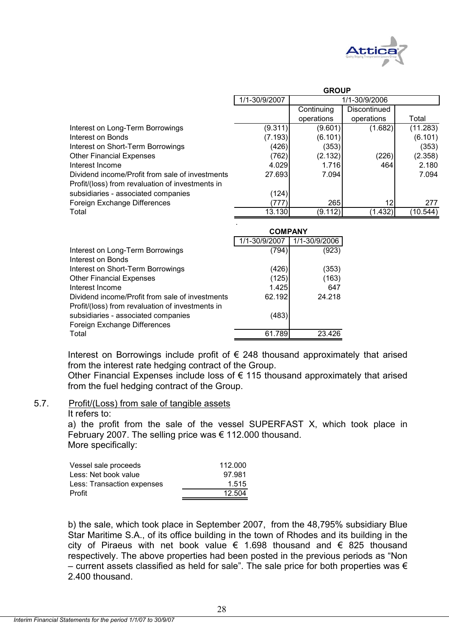

|                                                  | <b>GROUP</b>  |               |              |          |  |  |  |
|--------------------------------------------------|---------------|---------------|--------------|----------|--|--|--|
|                                                  | 1/1-30/9/2007 | 1/1-30/9/2006 |              |          |  |  |  |
|                                                  |               | Continuing    | Discontinued |          |  |  |  |
|                                                  |               | operations    | operations   | Total    |  |  |  |
| Interest on Long-Term Borrowings                 | (9.311)       | (9.601)       | (1.682)      | (11.283) |  |  |  |
| Interest on Bonds                                | (7.193)       | (6.101)       |              | (6.101)  |  |  |  |
| Interest on Short-Term Borrowings                | (426)         | (353)         |              | (353)    |  |  |  |
| <b>Other Financial Expenses</b>                  | (762)         | (2.132)       | (226)        | (2.358)  |  |  |  |
| Interest Income                                  | 4.029         | 1.716         | 464          | 2.180    |  |  |  |
| Dividend income/Profit from sale of investments  | 27.693        | 7.094         |              | 7.094    |  |  |  |
| Profit/(loss) from revaluation of investments in |               |               |              |          |  |  |  |
| subsidiaries - associated companies              | (124)         |               |              |          |  |  |  |
| Foreign Exchange Differences                     | 777           | 265           | 12           | 277      |  |  |  |
| Total                                            | 13.130        | (9.112)       | (1.432)      | (10.544) |  |  |  |

|                                                                                                     | <b>COMPANY</b> |               |
|-----------------------------------------------------------------------------------------------------|----------------|---------------|
|                                                                                                     | 1/1-30/9/2007  | 1/1-30/9/2006 |
| Interest on Long-Term Borrowings<br>Interest on Bonds                                               | (794)          | (923)         |
| Interest on Short-Term Borrowings                                                                   | (426)          | (353)         |
| <b>Other Financial Expenses</b>                                                                     | (125)          | (163)         |
| Interest Income                                                                                     | 1.425          | 647           |
| Dividend income/Profit from sale of investments<br>Profit/(loss) from revaluation of investments in | 62.192         | 24.218        |
| subsidiaries - associated companies<br>Foreign Exchange Differences                                 | (483)          |               |
| Total                                                                                               | 61.789         | 23 426        |

Interest on Borrowings include profit of  $\epsilon$  248 thousand approximately that arised from the interest rate hedging contract of the Group.

Other Financial Expenses include loss of € 115 thousand approximately that arised from the fuel hedging contract of the Group.

#### 5.7. Profit/(Loss) from sale of tangible assets

#### It refers to:

a) the profit from the sale of the vessel SUPERFAST X, which took place in February 2007. The selling price was € 112.000 thousand. More specifically:

| Vessel sale proceeds       | 112.000 |
|----------------------------|---------|
| Less: Net book value       | 97.981  |
| Less: Transaction expenses | 1.515   |
| Profit                     | 12.504  |

b) the sale, which took place in September 2007, from the 48,795% subsidiary Blue Star Maritime S.A., of its office building in the town of Rhodes and its building in the city of Piraeus with net book value  $\epsilon$  1.698 thousand and  $\epsilon$  825 thousand respectively. The above properties had been posted in the previous periods as "Non – current assets classified as held for sale". The sale price for both properties was  $\epsilon$ 2.400 thousand.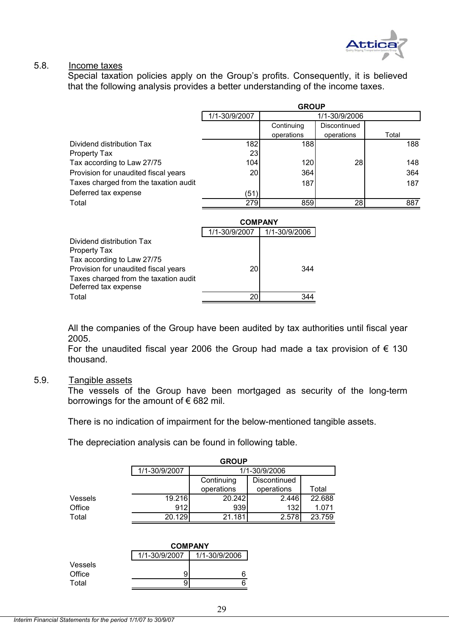

#### 5.8. Income taxes

Special taxation policies apply on the Group's profits. Consequently, it is believed that the following analysis provides a better understanding of the income taxes.

|                                                               | <b>GROUP</b>   |               |               |       |  |  |
|---------------------------------------------------------------|----------------|---------------|---------------|-------|--|--|
|                                                               | 1/1-30/9/2007  |               | 1/1-30/9/2006 |       |  |  |
|                                                               |                | Continuing    | Discontinued  |       |  |  |
|                                                               |                | operations    | operations    | Total |  |  |
| Dividend distribution Tax                                     | 182            | 188           |               | 188   |  |  |
| Property Tax                                                  | 23             |               |               |       |  |  |
| Tax according to Law 27/75                                    | 104            | 120           | 28            | 148   |  |  |
| Provision for unaudited fiscal years                          | 20             | 364           |               | 364   |  |  |
| Taxes charged from the taxation audit                         |                | 187           |               | 187   |  |  |
| Deferred tax expense                                          | (51)           |               |               |       |  |  |
| Total                                                         | 279            | 859           | 28            | 887   |  |  |
|                                                               |                |               |               |       |  |  |
|                                                               | <b>COMPANY</b> |               |               |       |  |  |
|                                                               | 1/1-30/9/2007  | 1/1-30/9/2006 |               |       |  |  |
| Dividend distribution Tax                                     |                |               |               |       |  |  |
| Property Tax                                                  |                |               |               |       |  |  |
| Tax according to Law 27/75                                    |                |               |               |       |  |  |
| Provision for unaudited fiscal years                          | 20             | 344           |               |       |  |  |
| Taxes charged from the taxation audit<br>Deferred tax expense |                |               |               |       |  |  |
| Total                                                         | 20             | 344           |               |       |  |  |

All the companies of the Group have been audited by tax authorities until fiscal year 2005.

For the unaudited fiscal year 2006 the Group had made a tax provision of  $\epsilon$  130 thousand.

#### 5.9. Tangible assets

The vessels of the Group have been mortgaged as security of the long-term borrowings for the amount of  $\epsilon$  682 mil.

There is no indication of impairment for the below-mentioned tangible assets.

The depreciation analysis can be found in following table.

|         |               | <b>GROUP</b>  |              |        |  |  |  |  |
|---------|---------------|---------------|--------------|--------|--|--|--|--|
|         | 1/1-30/9/2007 | 1/1-30/9/2006 |              |        |  |  |  |  |
|         |               | Continuing    | Discontinued |        |  |  |  |  |
|         |               | operations    | operations   | Total  |  |  |  |  |
| Vessels | 19.216        | 20.242        | 2.446        | 22.688 |  |  |  |  |
| Office  | 912           | 939           | 132          | 1.071  |  |  |  |  |
| Total   | 20.129        | 21.181        | 2.578        | 23.759 |  |  |  |  |
|         |               |               |              |        |  |  |  |  |

|         | <b>COMPANY</b> |               |
|---------|----------------|---------------|
|         | 1/1-30/9/2007  | 1/1-30/9/2006 |
| Vessels |                |               |
| Office  | 9              |               |
| Total   | 9              |               |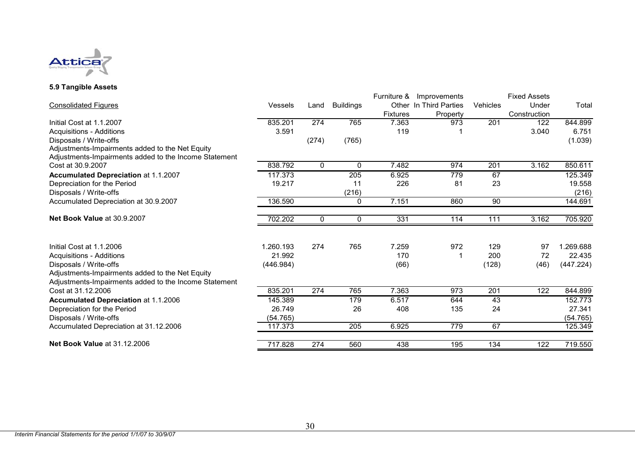

#### **5.9 Tangible Assets**

|                                                       |           |              |                  | Furniture &     | Improvements           |                 | <b>Fixed Assets</b> |           |
|-------------------------------------------------------|-----------|--------------|------------------|-----------------|------------------------|-----------------|---------------------|-----------|
| <b>Consolidated Figures</b>                           | Vessels   | Land         | <b>Buildings</b> |                 | Other In Third Parties | <b>Vehicles</b> | Under               | Total     |
|                                                       |           |              |                  | <b>Fixtures</b> | Property               |                 | Construction        |           |
| Initial Cost at 1.1.2007                              | 835.201   | 274          | 765              | 7.363           | 973                    | 201             | 122                 | 844.899   |
| <b>Acquisitions - Additions</b>                       | 3.591     |              |                  | 119             |                        |                 | 3.040               | 6.751     |
| Disposals / Write-offs                                |           | (274)        | (765)            |                 |                        |                 |                     | (1.039)   |
| Adjustments-Impairments added to the Net Equity       |           |              |                  |                 |                        |                 |                     |           |
| Adjustments-Impairments added to the Income Statement |           |              |                  |                 |                        |                 |                     |           |
| Cost at 30.9.2007                                     | 838.792   | $\Omega$     | $\mathbf{0}$     | 7.482           | 974                    | 201             | 3.162               | 850.611   |
| Accumulated Depreciation at 1.1.2007                  | 117.373   |              | 205              | 6.925           | 779                    | 67              |                     | 125.349   |
| Depreciation for the Period                           | 19.217    |              | 11               | 226             | 81                     | 23              |                     | 19.558    |
| Disposals / Write-offs                                |           |              | (216)            |                 |                        |                 |                     | (216)     |
| Accumulated Depreciation at 30.9.2007                 | 136.590   |              | 0                | 7.151           | 860                    | 90              |                     | 144.691   |
| Net Book Value at 30.9.2007                           | 702.202   | $\mathbf{0}$ | 0                | 331             | 114                    | 111             | 3.162               | 705.920   |
|                                                       |           |              |                  |                 |                        |                 |                     |           |
| Initial Cost at 1.1.2006                              | 1.260.193 | 274          | 765              | 7.259           | 972                    | 129             | 97                  | 1.269.688 |
| <b>Acquisitions - Additions</b>                       | 21.992    |              |                  | 170             |                        | 200             | 72                  | 22.435    |
| Disposals / Write-offs                                | (446.984) |              |                  | (66)            |                        | (128)           | (46)                | (447.224) |
| Adjustments-Impairments added to the Net Equity       |           |              |                  |                 |                        |                 |                     |           |
| Adjustments-Impairments added to the Income Statement |           |              |                  |                 |                        |                 |                     |           |
| Cost at 31.12.2006                                    | 835.201   | $\sqrt{274}$ | 765              | 7.363           | 973                    | 201             | $\overline{122}$    | 844.899   |
| <b>Accumulated Depreciation at 1.1.2006</b>           | 145.389   |              | 179              | 6.517           | 644                    | 43              |                     | 152.773   |
| Depreciation for the Period                           | 26.749    |              | 26               | 408             | 135                    | 24              |                     | 27.341    |
| Disposals / Write-offs                                | (54.765)  |              |                  |                 |                        |                 |                     | (54.765)  |
| Accumulated Depreciation at 31.12.2006                | 117.373   |              | 205              | 6.925           | 779                    | 67              |                     | 125.349   |
| <b>Net Book Value at 31.12.2006</b>                   | 717.828   | 274          | 560              | 438             | 195                    | 134             | 122                 | 719.550   |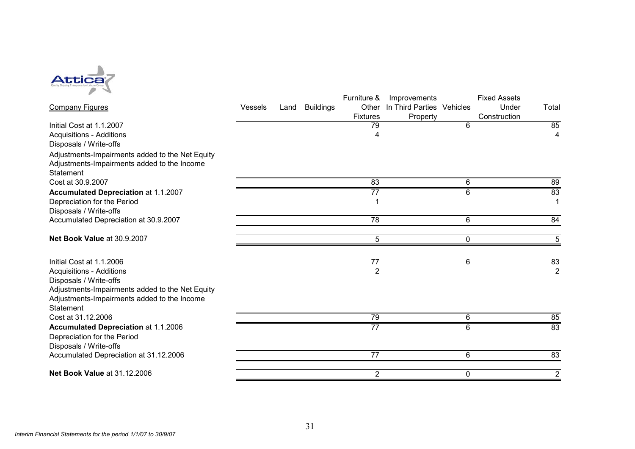

|                                                 |                |      |                  | Furniture &     | Improvements              |   | <b>Fixed Assets</b> |                |
|-------------------------------------------------|----------------|------|------------------|-----------------|---------------------------|---|---------------------|----------------|
| <b>Company Figures</b>                          | <b>Vessels</b> | Land | <b>Buildings</b> | Other           | In Third Parties Vehicles |   | Under               | Total          |
|                                                 |                |      |                  | <b>Fixtures</b> | Property                  |   | Construction        |                |
| Initial Cost at 1.1.2007                        |                |      |                  | 79              |                           | 6 |                     | 85             |
| <b>Acquisitions - Additions</b>                 |                |      |                  | 4               |                           |   |                     | $\overline{4}$ |
| Disposals / Write-offs                          |                |      |                  |                 |                           |   |                     |                |
| Adjustments-Impairments added to the Net Equity |                |      |                  |                 |                           |   |                     |                |
| Adjustments-Impairments added to the Income     |                |      |                  |                 |                           |   |                     |                |
| <b>Statement</b>                                |                |      |                  |                 |                           |   |                     |                |
| Cost at 30.9.2007                               |                |      |                  | 83              |                           | 6 |                     | 89             |
| Accumulated Depreciation at 1.1.2007            |                |      |                  | $\overline{77}$ |                           | 6 |                     | 83             |
| Depreciation for the Period                     |                |      |                  |                 |                           |   |                     |                |
| Disposals / Write-offs                          |                |      |                  |                 |                           |   |                     |                |
| Accumulated Depreciation at 30.9.2007           |                |      |                  | 78              |                           | 6 |                     | 84             |
| Net Book Value at 30.9.2007                     |                |      |                  | 5               |                           | 0 |                     | 5 <sup>5</sup> |
|                                                 |                |      |                  |                 |                           |   |                     |                |
| Initial Cost at 1.1.2006                        |                |      |                  | $77$            |                           | 6 |                     | 83             |
| <b>Acquisitions - Additions</b>                 |                |      |                  | $\overline{2}$  |                           |   |                     | $\overline{2}$ |
| Disposals / Write-offs                          |                |      |                  |                 |                           |   |                     |                |
| Adjustments-Impairments added to the Net Equity |                |      |                  |                 |                           |   |                     |                |
| Adjustments-Impairments added to the Income     |                |      |                  |                 |                           |   |                     |                |
| <b>Statement</b>                                |                |      |                  |                 |                           |   |                     |                |
| Cost at 31.12.2006                              |                |      |                  | 79              |                           | 6 |                     | 85             |
| <b>Accumulated Depreciation at 1.1.2006</b>     |                |      |                  | $\overline{77}$ |                           | 6 |                     | 83             |
| Depreciation for the Period                     |                |      |                  |                 |                           |   |                     |                |
| Disposals / Write-offs                          |                |      |                  |                 |                           |   |                     |                |
| Accumulated Depreciation at 31.12.2006          |                |      |                  | 77              |                           | 6 |                     | 83             |
| <b>Net Book Value at 31.12.2006</b>             |                |      |                  | $\overline{2}$  |                           | 0 |                     | $\overline{2}$ |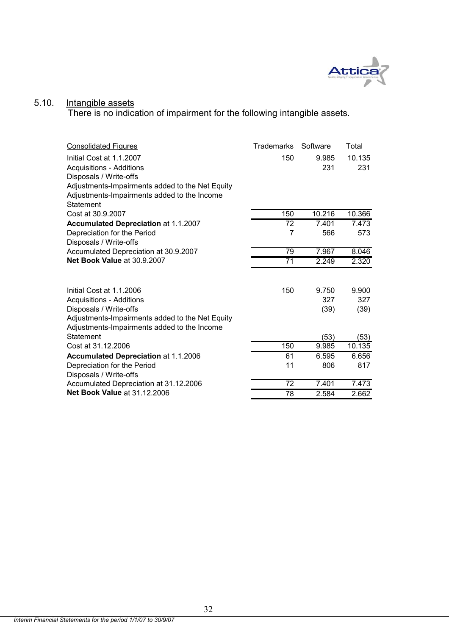

#### 5.10. Intangible assets

There is no indication of impairment for the following intangible assets.

| <b>Consolidated Figures</b>                     | <b>Trademarks</b> | Software | Total  |
|-------------------------------------------------|-------------------|----------|--------|
| Initial Cost at 1.1.2007                        | 150               | 9.985    | 10.135 |
| <b>Acquisitions - Additions</b>                 |                   | 231      | 231    |
| Disposals / Write-offs                          |                   |          |        |
| Adjustments-Impairments added to the Net Equity |                   |          |        |
| Adjustments-Impairments added to the Income     |                   |          |        |
| Statement                                       |                   |          |        |
| Cost at 30.9.2007                               | 150               | 10.216   | 10.366 |
| <b>Accumulated Depreciation at 1.1.2007</b>     | 72                | 7.401    | 7.473  |
| Depreciation for the Period                     | $\overline{7}$    | 566      | 573    |
| Disposals / Write-offs                          |                   |          |        |
| Accumulated Depreciation at 30.9.2007           | 79                | 7.967    | 8.046  |
| Net Book Value at 30.9.2007                     | $\overline{71}$   | 2.249    | 2.320  |
|                                                 |                   |          |        |
| Initial Cost at 1.1.2006                        | 150               | 9.750    | 9.900  |
| <b>Acquisitions - Additions</b>                 |                   | 327      | 327    |
| Disposals / Write-offs                          |                   | (39)     | (39)   |
| Adjustments-Impairments added to the Net Equity |                   |          |        |
| Adjustments-Impairments added to the Income     |                   |          |        |
| <b>Statement</b>                                |                   | (53)     | (53)   |
| Cost at 31.12.2006                              | 150               | 9.985    | 10.135 |
| <b>Accumulated Depreciation at 1.1.2006</b>     | 61                | 6.595    | 6.656  |
| Depreciation for the Period                     | 11                | 806      | 817    |
| Disposals / Write-offs                          |                   |          |        |
| Accumulated Depreciation at 31.12.2006          | 72                | 7.401    | 7.473  |
| <b>Net Book Value at 31.12.2006</b>             | 78                | 2.584    | 2.662  |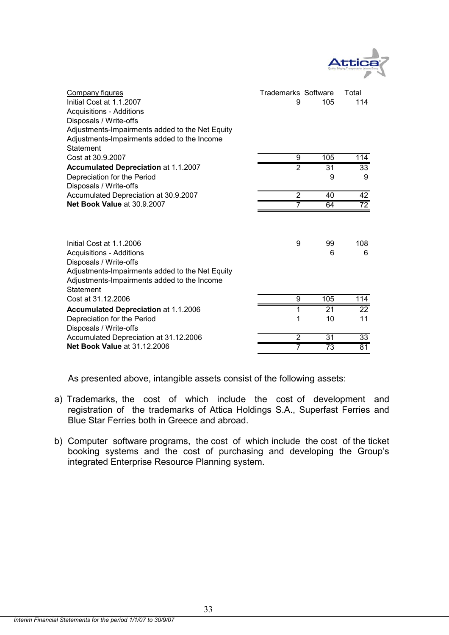

| Company figures<br>Initial Cost at 1.1.2007<br><b>Acquisitions - Additions</b><br>Disposals / Write-offs<br>Adjustments-Impairments added to the Net Equity<br>Adjustments-Impairments added to the Income<br>Statement | Trademarks Software<br>9 | 105     | Total<br>114         |
|-------------------------------------------------------------------------------------------------------------------------------------------------------------------------------------------------------------------------|--------------------------|---------|----------------------|
| Cost at 30.9.2007                                                                                                                                                                                                       | 9                        | 105     | 114                  |
| <b>Accumulated Depreciation at 1.1.2007</b><br>Depreciation for the Period<br>Disposals / Write-offs                                                                                                                    | $\overline{2}$           | 31<br>9 | $\overline{33}$<br>9 |
| Accumulated Depreciation at 30.9.2007                                                                                                                                                                                   | $\overline{2}$           | 40      | 42                   |
| Net Book Value at 30.9.2007                                                                                                                                                                                             | 7                        | 64      | $\overline{72}$      |
| Initial Cost at 1.1.2006<br><b>Acquisitions - Additions</b><br>Disposals / Write-offs<br>Adjustments-Impairments added to the Net Equity<br>Adjustments-Impairments added to the Income<br>Statement                    | 9                        | 99<br>6 | 108<br>6             |
| Cost at 31.12.2006                                                                                                                                                                                                      | 9                        | 105     | 114                  |
| <b>Accumulated Depreciation at 1.1.2006</b>                                                                                                                                                                             | 1                        | 21      | 22                   |
| Depreciation for the Period<br>Disposals / Write-offs                                                                                                                                                                   | 1                        | 10      | 11                   |
| Accumulated Depreciation at 31.12.2006                                                                                                                                                                                  | $\overline{2}$           | 31      | 33                   |
| <b>Net Book Value at 31.12.2006</b>                                                                                                                                                                                     | 7                        | 73      | 81                   |

As presented above, intangible assets consist of the following assets:

- a) Trademarks, the cost of which include the cost of development and registration of the trademarks of Attica Holdings S.A., Superfast Ferries and Blue Star Ferries both in Greece and abroad.
- b) Computer software programs, the cost of which include the cost of the ticket booking systems and the cost of purchasing and developing the Group's integrated Enterprise Resource Planning system.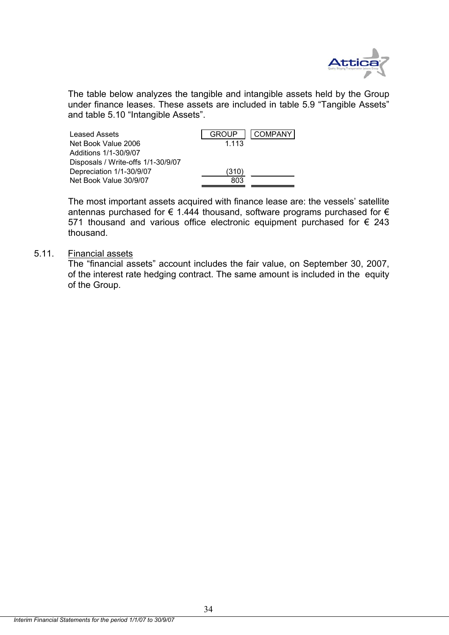

The table below analyzes the tangible and intangible assets held by the Group under finance leases. These assets are included in table 5.9 "Tangible Assets" and table 5.10 "Intangible Assets".

| Leased Assets                      | COMPANY I<br><b>GROUP</b> |
|------------------------------------|---------------------------|
| Net Book Value 2006                | 1.113                     |
| Additions 1/1-30/9/07              |                           |
| Disposals / Write-offs 1/1-30/9/07 |                           |
| Depreciation 1/1-30/9/07           | (310)                     |
| Net Book Value 30/9/07             | 803                       |
|                                    |                           |

The most important assets acquired with finance lease are: the vessels' satellite antennas purchased for  $\epsilon$  1.444 thousand, software programs purchased for  $\epsilon$ 571 thousand and various office electronic equipment purchased for  $\epsilon$  243 thousand.

## 5.11. Financial assets

The "financial assets" account includes the fair value, on September 30, 2007, of the interest rate hedging contract. The same amount is included in the equity of the Group.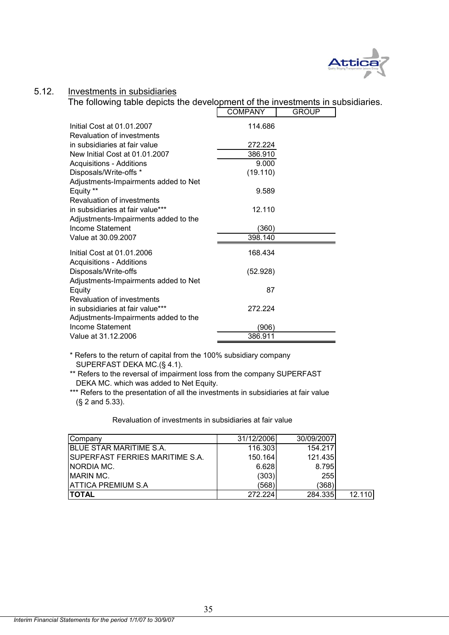

#### 5.12. Investments in subsidiaries

**The following table depicts the development of the investments in subsidiaries.** 

|                                      | <b>COMPANY</b> | <b>GROUP</b> |
|--------------------------------------|----------------|--------------|
| Initial Cost at 01.01.2007           | 114.686        |              |
| Revaluation of investments           |                |              |
| in subsidiaries at fair value        | 272.224        |              |
| New Initial Cost at 01.01.2007       | 386.910        |              |
| <b>Acquisitions - Additions</b>      | 9.000          |              |
| Disposals/Write-offs *               | (19.110)       |              |
| Adjustments-Impairments added to Net |                |              |
| Equity **                            | 9.589          |              |
| Revaluation of investments           |                |              |
| in subsidiaries at fair value***     | 12.110         |              |
| Adjustments-Impairments added to the |                |              |
| Income Statement                     | (360)          |              |
| Value at 30.09.2007                  | 398.140        |              |
| Initial Cost at 01.01.2006           | 168.434        |              |
| <b>Acquisitions - Additions</b>      |                |              |
| Disposals/Write-offs                 | (52.928)       |              |
| Adjustments-Impairments added to Net |                |              |
| Equity                               | 87             |              |
| Revaluation of investments           |                |              |
| in subsidiaries at fair value***     | 272.224        |              |
| Adjustments-Impairments added to the |                |              |
| <b>Income Statement</b>              | (906)          |              |
| Value at 31.12.2006                  | 386.911        |              |

\* Refers to the return of capital from the 100% subsidiary company SUPERFAST DEKA MC.(§ 4.1).

\*\* Refers to the reversal of impairment loss from the company SUPERFAST DEKA MC. which was added to Net Equity.

\*\*\* Refers to the presentation of all the investments in subsidiaries at fair value (§ 2 and 5.33).

Revaluation of investments in subsidiaries at fair value

| Company                          | 31/12/2006 | 30/09/2007 |        |
|----------------------------------|------------|------------|--------|
| <b>BLUE STAR MARITIME S.A.</b>   | 116.303    | 154.217    |        |
| ISUPERFAST FERRIES MARITIME S.A. | 150.164    | 121.435    |        |
| <b>NORDIA MC.</b>                | 6.628      | 8.795      |        |
| <b>IMARIN MC.</b>                | (303)      | 255        |        |
| <b>ATTICA PREMIUM S.A</b>        | (568)      | (368)      |        |
| <b>ITOTAL</b>                    | 272.224    | 284.335    | 12.110 |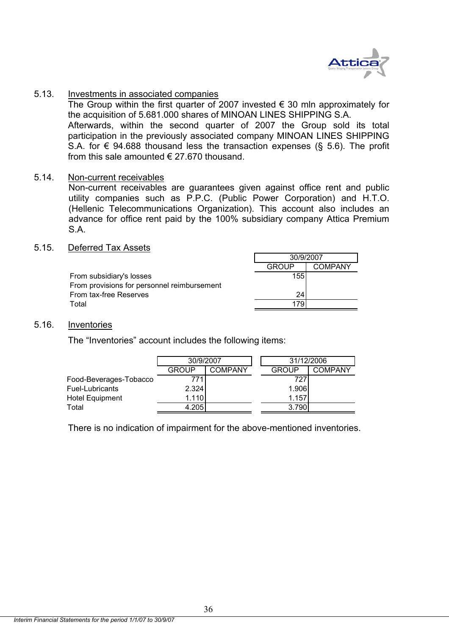

#### 5.13. Investments in associated companies

The Group within the first quarter of 2007 invested  $\epsilon$  30 mln approximately for the acquisition of 5.681.000 shares of MINOAN LINES SHIPPING S.A. Afterwards, within the second quarter of 2007 the Group sold its total participation in the previously associated company MINOAN LINES SHIPPING S.A. for  $\epsilon$  94.688 thousand less the transaction expenses (§ 5.6). The profit from this sale amounted  $\epsilon$  27.670 thousand.

#### 5.14. Non-current receivables

Non-current receivables are guarantees given against office rent and public utility companies such as P.P.C. (Public Power Corporation) and H.T.O. (Hellenic Telecommunications Organization). This account also includes an advance for office rent paid by the 100% subsidiary company Attica Premium S.A.

#### 5.15. Deferred Tax Assets

|                                             | 30/9/2007    |         |
|---------------------------------------------|--------------|---------|
|                                             | <b>GROUP</b> | COMPANY |
| From subsidiary's losses                    | 155          |         |
| From provisions for personnel reimbursement |              |         |
| From tax-free Reserves                      | 24           |         |
| Total                                       |              |         |

#### 5.16. Inventories

The "Inventories" account includes the following items:

|                        | 30/9/2007 |         | 31/12/2006   |         |
|------------------------|-----------|---------|--------------|---------|
|                        | GROUP     | COMPANY | <b>GROUP</b> | COMPANY |
| Food-Beverages-Tobacco | 771       |         | 727          |         |
| Fuel-Lubricants        | 2.324     |         | 1.906        |         |
| <b>Hotel Equipment</b> | 1.110     |         | 1.157        |         |
| Total                  | 4.205     |         | 3.790        |         |

There is no indication of impairment for the above-mentioned inventories.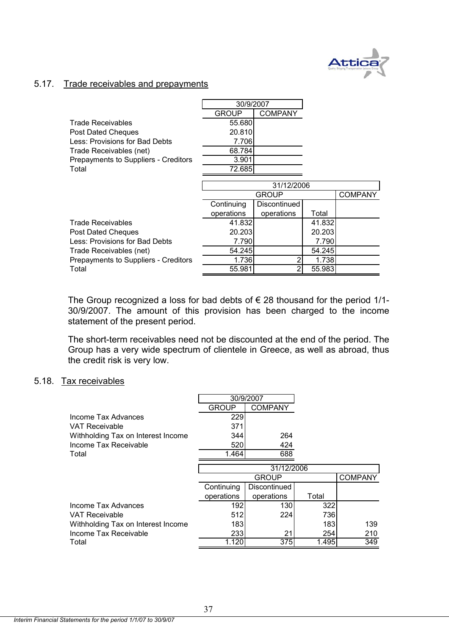

#### 5.17. Trade receivables and prepayments

|                                      | 30/9/2007    |                |        |                |
|--------------------------------------|--------------|----------------|--------|----------------|
|                                      | <b>GROUP</b> | <b>COMPANY</b> |        |                |
| Trade Receivables                    | 55.680       |                |        |                |
| Post Dated Cheques                   | 20.810       |                |        |                |
| Less: Provisions for Bad Debts       | 7.706        |                |        |                |
| Trade Receivables (net)              | 68.784       |                |        |                |
| Prepayments to Suppliers - Creditors | 3.901        |                |        |                |
| Total                                | 72.685       |                |        |                |
|                                      |              |                |        |                |
|                                      | 31/12/2006   |                |        |                |
|                                      |              | <b>GROUP</b>   |        | <b>COMPANY</b> |
|                                      | Continuing   | Discontinued   |        |                |
|                                      | operations   | operations     | Total  |                |
| <b>Trade Receivables</b>             | 41.832       |                | 41.832 |                |
| Post Dated Cheques                   | 20.203       |                | 20.203 |                |
| Less: Provisions for Bad Debts       | 7.790        |                | 7.790  |                |
| Trade Receivables (net)              | 54.245       |                | 54.245 |                |
| Prepayments to Suppliers - Creditors | 1.736        |                | 1.738  |                |
| Total                                | 55.981       |                | 55.983 |                |

The Group recognized a loss for bad debts of  $\epsilon$  28 thousand for the period 1/1-30/9/2007. The amount of this provision has been charged to the income statement of the present period.

The short-term receivables need not be discounted at the end of the period. The Group has a very wide spectrum of clientele in Greece, as well as abroad, thus the credit risk is very low.

#### 5.18. Tax receivables

|                                    | 30/9/2007    |                |            |                |
|------------------------------------|--------------|----------------|------------|----------------|
|                                    | <b>GROUP</b> | <b>COMPANY</b> |            |                |
| Income Tax Advances                | 229          |                |            |                |
| VAT Receivable                     | 371          |                |            |                |
| Withholding Tax on Interest Income | 344          | 264            |            |                |
| Income Tax Receivable              | 520          | 424            |            |                |
| Total                              | 1.464        | 688            |            |                |
|                                    |              | 31/12/2006     |            |                |
|                                    |              | <b>GROUP</b>   |            | <b>COMPANY</b> |
|                                    | Continuing   | Discontinued   |            |                |
|                                    | operations   | operations     | Total      |                |
| Income Tax Advances                | 192          | 130            | 322        |                |
| VAT Receivable                     | 512          | 224            | <b>736</b> |                |
| Withholding Tax on Interest Income | 183          |                | 1831       | 139            |
| Income Tax Receivable              | 233          | 21             | 254        | 210            |
| Total                              | 1.120        | 375            | 1.495      | 349            |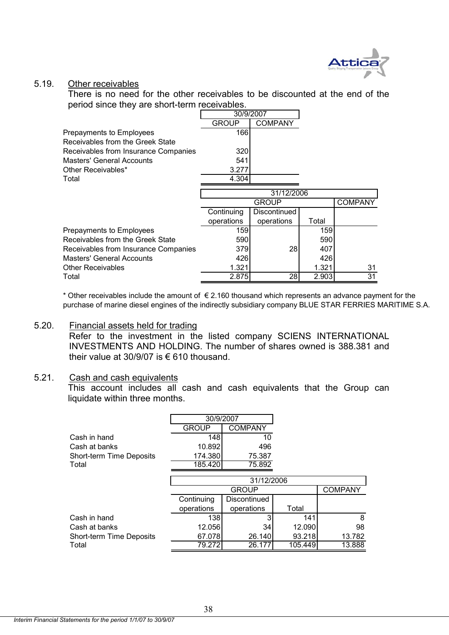

#### 5.19. Other receivables

There is no need for the other receivables to be discounted at the end of the period since they are short-term receivables.

|                                      | 30/9/2007    |                |       |                |
|--------------------------------------|--------------|----------------|-------|----------------|
|                                      | <b>GROUP</b> | <b>COMPANY</b> |       |                |
| Prepayments to Employees             | 166          |                |       |                |
| Receivables from the Greek State     |              |                |       |                |
| Receivables from Insurance Companies | 320          |                |       |                |
| Masters' General Accounts            | 541          |                |       |                |
| Other Receivables*                   | 3.277        |                |       |                |
| Total                                | 4.304        |                |       |                |
|                                      |              | 31/12/2006     |       |                |
|                                      |              | <b>GROUP</b>   |       | <b>COMPANY</b> |
|                                      |              |                |       |                |
|                                      | Continuing   | Discontinued   |       |                |
|                                      | operations   | operations     | Total |                |
| Prepayments to Employees             | 159          |                | 159   |                |
| Receivables from the Greek State     | 590          |                | 590   |                |
| Receivables from Insurance Companies | 379          | 28             | 407   |                |
| <b>Masters' General Accounts</b>     | 426          |                | 426   |                |
| <b>Other Receivables</b>             | 1.321        |                | 1.321 | 31             |
| Total                                | 2.875        | 28             | 2.903 | 31             |

purchase of marine diesel engines of the indirectly subsidiary company BLUE STAR FERRIES MARITIME S.A. \* Other receivables include the amount of  $\epsilon$  2.160 thousand which represents an advance payment for the

#### 5.20. Financial assets held for trading

Refer to the investment in the listed company SCIENS INTERNATIONAL INVESTMENTS AND HOLDING. The number of shares owned is 388.381 and their value at 30/9/07 is € 610 thousand.

#### 5.21. Cash and cash equivalents

This account includes all cash and cash equivalents that the Group can liquidate within three months.

|                                 | 30/9/2007    |                |         |                |
|---------------------------------|--------------|----------------|---------|----------------|
|                                 | <b>GROUP</b> | <b>COMPANY</b> |         |                |
| Cash in hand                    | 148          | 10             |         |                |
| Cash at banks                   | 10.892       | 496            |         |                |
| <b>Short-term Time Deposits</b> | 174.380      | 75.387         |         |                |
| Total                           | 185.420      | 75.892         |         |                |
|                                 |              |                |         |                |
|                                 | 31/12/2006   |                |         |                |
|                                 |              | <b>GROUP</b>   |         | <b>COMPANY</b> |
|                                 | Continuing   | Discontinued   |         |                |
|                                 | operations   | operations     | Total   |                |
| Cash in hand                    | 138l         |                | 141     | 8              |
| Cash at banks                   | 12.056       | 34             | 12.090  | 98             |
| Short-term Time Deposits        | 67.078       | 26.140         | 93.218  | 13.782         |
| Total                           | 79.272       | 26.177         | 105.449 | 13.888         |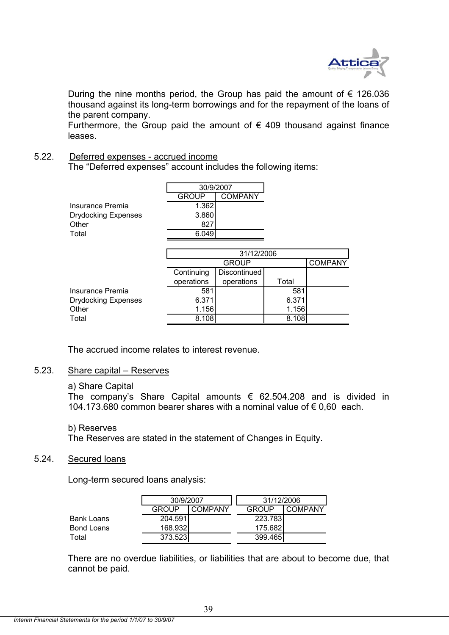

During the nine months period, the Group has paid the amount of  $\epsilon$  126.036 thousand against its long-term borrowings and for the repayment of the loans of the parent company.

Furthermore, the Group paid the amount of  $\epsilon$  409 thousand against finance leases.

## 5.22. Deferred expenses - accrued income

The "Deferred expenses" account includes the following items:

|                            | 30/9/2007                      |  |
|----------------------------|--------------------------------|--|
|                            | <b>COMPANY</b><br><b>GROUP</b> |  |
| Insurance Premia           | 1.362                          |  |
| <b>Drydocking Expenses</b> | 3.860                          |  |
| Other                      | 827                            |  |
| Total                      | 6.049                          |  |

|                            | 31/12/2006 |              |       |  |  |
|----------------------------|------------|--------------|-------|--|--|
|                            |            | <b>GROUP</b> |       |  |  |
|                            | Continuing | Discontinued |       |  |  |
|                            | operations | operations   | Total |  |  |
| Insurance Premia           | 581        |              | 581   |  |  |
| <b>Drydocking Expenses</b> | 6.371      |              | 6.371 |  |  |
| Other                      | 1.156      |              | 1.156 |  |  |
| Total                      | 8.108      |              | 8.108 |  |  |

The accrued income relates to interest revenue.

## 5.23. Share capital – Reserves

#### a) Share Capital

The company's Share Capital amounts  $\epsilon$  62.504.208 and is divided in 104.173.680 common bearer shares with a nominal value of € 0,60 each.

b) Reserves

The Reserves are stated in the statement of Changes in Equity.

### 5.24. Secured loans

Long-term secured loans analysis:

|            | 30/9/2007    |         | 31/12/2006   |         |
|------------|--------------|---------|--------------|---------|
|            | <b>GROUP</b> | COMPANY | <b>GROUP</b> | COMPANY |
| Bank Loans | 204.591      |         | 223.783      |         |
| Bond Loans | 168.932      |         | 175.682      |         |
| Total      | 373.5231     |         | 399.465      |         |

There are no overdue liabilities, or liabilities that are about to become due, that cannot be paid.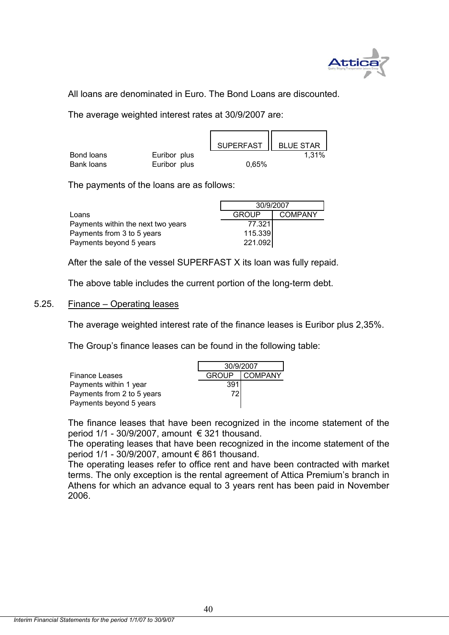

All loans are denominated in Euro. The Bond Loans are discounted.

The average weighted interest rates at 30/9/2007 are:

|            |              | SUPERFAST   BLUE STAR |       |
|------------|--------------|-----------------------|-------|
| Bond loans | Euribor plus |                       | 1.31% |
| Bank loans | Euribor plus | 0,65%                 |       |

The payments of the loans are as follows:

|                                    | 30/9/2007               |  |  |
|------------------------------------|-------------------------|--|--|
| Loans                              | <b>COMPANY</b><br>GROUP |  |  |
| Payments within the next two years | 77.321                  |  |  |
| Payments from 3 to 5 years         | 115.339                 |  |  |
| Payments beyond 5 years            | 221.092                 |  |  |

After the sale of the vessel SUPERFAST X its loan was fully repaid.

The above table includes the current portion of the long-term debt.

## 5.25. Finance – Operating leases

The average weighted interest rate of the finance leases is Euribor plus 2,35%.

The Group's finance leases can be found in the following table:

|                            | 30/9/2007 |               |  |
|----------------------------|-----------|---------------|--|
| <b>Finance Leases</b>      |           | GROUP COMPANY |  |
| Payments within 1 year     | 391       |               |  |
| Payments from 2 to 5 years | 72        |               |  |
| Payments beyond 5 years    |           |               |  |

The finance leases that have been recognized in the income statement of the period  $1/1$  - 30/9/2007, amount  $\epsilon$  321 thousand.

The operating leases that have been recognized in the income statement of the period 1/1 - 30/9/2007, amount € 861 thousand.

The operating leases refer to office rent and have been contracted with market terms. The only exception is the rental agreement of Attica Premium's branch in Athens for which an advance equal to 3 years rent has been paid in November 2006.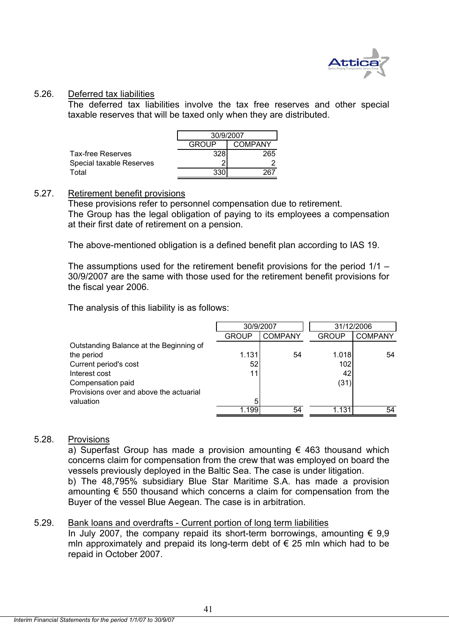

#### 5.26. Deferred tax liabilities

The deferred tax liabilities involve the tax free reserves and other special taxable reserves that will be taxed only when they are distributed.

|                          | 30/9/2007               |     |  |
|--------------------------|-------------------------|-----|--|
|                          | GROUP<br><b>COMPANY</b> |     |  |
| Tax-free Reserves        | 328                     | 265 |  |
| Special taxable Reserves |                         |     |  |
| Total                    | 330                     |     |  |

## 5.27. Retirement benefit provisions

These provisions refer to personnel compensation due to retirement. The Group has the legal obligation of paying to its employees a compensation at their first date of retirement on a pension.

The above-mentioned obligation is a defined benefit plan according to IAS 19.

The assumptions used for the retirement benefit provisions for the period 1/1 – 30/9/2007 are the same with those used for the retirement benefit provisions for the fiscal year 2006.

The analysis of this liability is as follows:

|                                         | 30/9/2007    |                |              | 31/12/2006     |
|-----------------------------------------|--------------|----------------|--------------|----------------|
|                                         | <b>GROUP</b> | <b>COMPANY</b> | <b>GROUP</b> | <b>COMPANY</b> |
| Outstanding Balance at the Beginning of |              |                |              |                |
| the period                              | 1.131        | 54             | 1.018        | 54             |
| Current period's cost                   | 52           |                | 102          |                |
| Interest cost                           | 11           |                | 42           |                |
| Compensation paid                       |              |                | (31)         |                |
| Provisions over and above the actuarial |              |                |              |                |
| valuation                               | 5            |                |              |                |
|                                         | 1.199        | 54             | 1.131        | 54             |

## 5.28. Provisions

a) Superfast Group has made a provision amounting  $\epsilon$  463 thousand which concerns claim for compensation from the crew that was employed on board the vessels previously deployed in the Baltic Sea. The case is under litigation.

b) The 48,795% subsidiary Blue Star Maritime S.A. has made a provision amounting  $\epsilon$  550 thousand which concerns a claim for compensation from the Buyer of the vessel Blue Aegean. The case is in arbitration.

## 5.29. Bank loans and overdrafts - Current portion of long term liabilities

In July 2007, the company repaid its short-term borrowings, amounting  $\epsilon$  9,9 mln approximately and prepaid its long-term debt of  $\epsilon$  25 mln which had to be repaid in October 2007.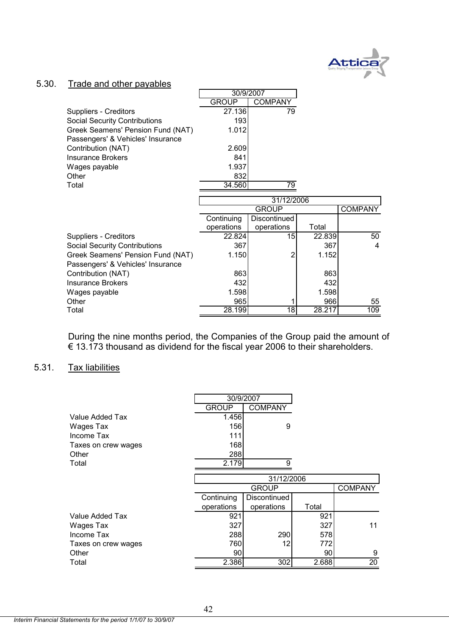

## 5.30. Trade and other payables

|                                      | 30/9/2007    |                 |        |                |
|--------------------------------------|--------------|-----------------|--------|----------------|
|                                      | <b>GROUP</b> | <b>COMPANY</b>  |        |                |
| Suppliers - Creditors                | 27.136       | 79              |        |                |
| <b>Social Security Contributions</b> | 193          |                 |        |                |
| Greek Seamens' Pension Fund (NAT)    | 1.012        |                 |        |                |
| Passengers' & Vehicles' Insurance    |              |                 |        |                |
| Contribution (NAT)                   | 2.609        |                 |        |                |
| <b>Insurance Brokers</b>             | 841          |                 |        |                |
| Wages payable                        | 1.937        |                 |        |                |
| Other                                | 832          |                 |        |                |
| Total                                | 34.560       | 79              |        |                |
|                                      |              |                 |        |                |
|                                      |              | 31/12/2006      |        |                |
|                                      |              | <b>GROUP</b>    |        | <b>COMPANY</b> |
|                                      | Continuing   | Discontinued    |        |                |
|                                      | operations   | operations      | Total  |                |
| Suppliers - Creditors                | 22.824       | 15              | 22.839 | 50             |
| <b>Social Security Contributions</b> | 367          |                 | 367    | 4              |
| Greek Seamens' Pension Fund (NAT)    | 1.150        |                 | 1.152  |                |
| Passengers' & Vehicles' Insurance    |              |                 |        |                |
| Contribution (NAT)                   | 863          |                 | 863    |                |
| <b>Insurance Brokers</b>             | 432          |                 | 432    |                |
| Wages payable                        | 1.598        |                 | 1.598  |                |
| Other                                | 965          |                 | 966    | 55             |
| Total                                | 28.199       | $\overline{18}$ | 28.217 | 109            |

During the nine months period, the Companies of the Group paid the amount of € 13.173 thousand as dividend for the fiscal year 2006 to their shareholders.

## 5.31. Tax liabilities

|                     | 30/9/2007  |                |                 |                |
|---------------------|------------|----------------|-----------------|----------------|
|                     | GROUP      | <b>COMPANY</b> |                 |                |
| Value Added Tax     | 1.456      |                |                 |                |
| Wages Tax           | 156        | 9              |                 |                |
| Income Tax          | 111        |                |                 |                |
| Taxes on crew wages | 168        |                |                 |                |
| Other               | 288        |                |                 |                |
| Total               | 2.179      | 9              |                 |                |
|                     |            |                |                 |                |
|                     |            | 31/12/2006     |                 |                |
|                     |            | <b>GROUP</b>   |                 | <b>COMPANY</b> |
|                     | Continuing | Discontinued   |                 |                |
|                     | operations | operations     | Total           |                |
| Value Added Tax     | 921        |                | 921             |                |
| Wages Tax           | 327        |                | 327             | 11             |
| Income Tax          | 288        | 290            | 578             |                |
| Taxes on crew wages | 760        | 12             | 772             |                |
| Other               | 90         |                | 90 <sub>1</sub> | 9              |
| Total               | 2.386      | 302            | 2.688           | 20             |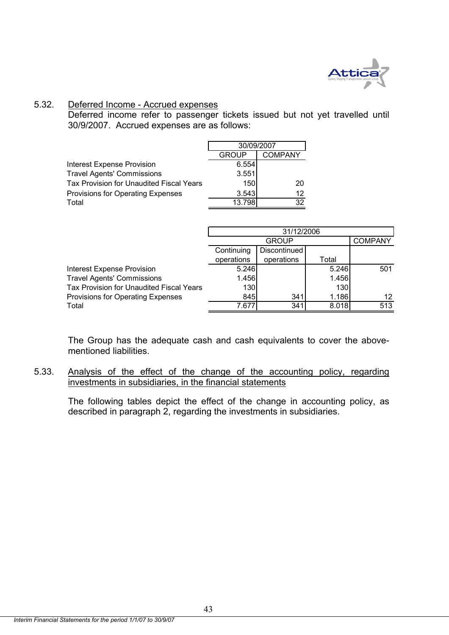

## 5.32. Deferred Income - Accrued expenses

Deferred income refer to passenger tickets issued but not yet travelled until 30/9/2007. Accrued expenses are as follows:

|                                          | 30/09/2007 |         |  |
|------------------------------------------|------------|---------|--|
|                                          | GROUP      | COMPANY |  |
| <b>Interest Expense Provision</b>        | 6.554      |         |  |
| <b>Travel Agents' Commissions</b>        | 3.551      |         |  |
| Tax Provision for Unaudited Fiscal Years | 150        | 20      |  |
| Provisions for Operating Expenses        | 3.543      | 12      |  |
| Total                                    | 13.798     | 32      |  |

|                                          | 31/12/2006 |              |       |                |  |
|------------------------------------------|------------|--------------|-------|----------------|--|
|                                          |            | <b>GROUP</b> |       | <b>COMPANY</b> |  |
|                                          | Continuing | Discontinued |       |                |  |
|                                          | operations | operations   | Total |                |  |
| <b>Interest Expense Provision</b>        | 5.246      |              | 5.246 | 501            |  |
| <b>Travel Agents' Commissions</b>        | 1.456      |              | 1.456 |                |  |
| Tax Provision for Unaudited Fiscal Years | 130        |              | 130   |                |  |
| Provisions for Operating Expenses        | 845        | 341          | 1.186 | 12             |  |
| Total                                    | 7.677      | 341          | 8.018 | 513            |  |

The Group has the adequate cash and cash equivalents to cover the abovementioned liabilities.

5.33. Analysis of the effect of the change of the accounting policy, regarding investments in subsidiaries, in the financial statements

The following tables depict the effect of the change in accounting policy, as described in paragraph 2, regarding the investments in subsidiaries.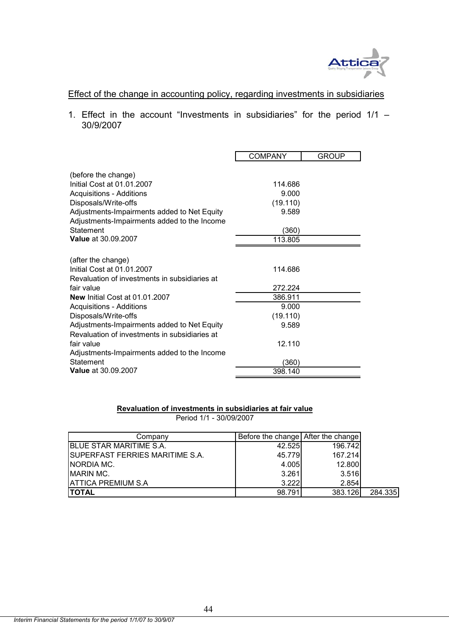

## Effect of the change in accounting policy, regarding investments in subsidiaries

1. Effect in the account "Investments in subsidiaries" for the period  $1/1 -$ 30/9/2007

|                                               | <b>COMPANY</b> | <b>GROUP</b> |
|-----------------------------------------------|----------------|--------------|
|                                               |                |              |
| (before the change)                           |                |              |
| Initial Cost at 01.01.2007                    | 114.686        |              |
| <b>Acquisitions - Additions</b>               | 9.000          |              |
| Disposals/Write-offs                          | (19.110)       |              |
| Adjustments-Impairments added to Net Equity   | 9.589          |              |
| Adjustments-Impairments added to the Income   |                |              |
| Statement                                     | (360)          |              |
| <b>Value at 30.09.2007</b>                    | 113.805        |              |
|                                               |                |              |
| (after the change)                            |                |              |
| Initial Cost at 01.01.2007                    | 114.686        |              |
| Revaluation of investments in subsidiaries at |                |              |
| fair value                                    | 272.224        |              |
| <b>New Initial Cost at 01.01.2007</b>         | 386.911        |              |
| <b>Acquisitions - Additions</b>               | 9.000          |              |
| Disposals/Write-offs                          | (19.110)       |              |
| Adjustments-Impairments added to Net Equity   | 9.589          |              |
| Revaluation of investments in subsidiaries at |                |              |
| fair value                                    | 12.110         |              |
| Adjustments-Impairments added to the Income   |                |              |
| <b>Statement</b>                              | (360)          |              |
| Value at 30.09.2007                           | 398.140        |              |

#### **Revaluation of investments in subsidiaries at fair value**

Period 1/1 - 30/09/2007

| Company                          | Before the change After the change |         |         |
|----------------------------------|------------------------------------|---------|---------|
| <b>BLUE STAR MARITIME S.A.</b>   | 42.525                             | 196.742 |         |
| ISUPERFAST FERRIES MARITIME S.A. | 45.779                             | 167.214 |         |
| <b>NORDIA MC.</b>                | 4.005                              | 12.800  |         |
| <b>IMARIN MC.</b>                | 3.261                              | 3.516   |         |
| <b>ATTICA PREMIUM S.A</b>        | 3.222                              | 2.854   |         |
| <b>ITOTAL</b>                    | 98.791                             | 383.126 | 284.335 |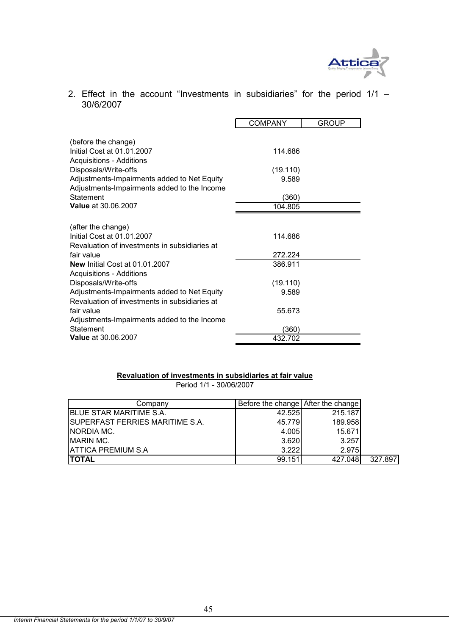

2. Effect in the account "Investments in subsidiaries" for the period 1/1 – 30/6/2007

|                                                                                            | <b>COMPANY</b> | <b>GROUP</b> |
|--------------------------------------------------------------------------------------------|----------------|--------------|
| (before the change)<br>Initial Cost at 01.01.2007                                          | 114.686        |              |
| <b>Acquisitions - Additions</b><br>Disposals/Write-offs                                    | (19.110)       |              |
| Adjustments-Impairments added to Net Equity<br>Adjustments-Impairments added to the Income | 9.589          |              |
| Statement                                                                                  | (360)          |              |
| <b>Value at 30.06.2007</b>                                                                 | 104.805        |              |
|                                                                                            |                |              |
| (after the change)                                                                         |                |              |
| Initial Cost at 01.01.2007                                                                 | 114.686        |              |
| Revaluation of investments in subsidiaries at                                              |                |              |
| fair value                                                                                 | 272.224        |              |
| New Initial Cost at 01.01.2007                                                             | 386.911        |              |
| <b>Acquisitions - Additions</b>                                                            |                |              |
| Disposals/Write-offs                                                                       | (19.110)       |              |
| Adjustments-Impairments added to Net Equity                                                | 9.589          |              |
| Revaluation of investments in subsidiaries at                                              |                |              |
| fair value                                                                                 | 55.673         |              |
| Adjustments-Impairments added to the Income                                                |                |              |
| Statement                                                                                  | (360)          |              |
| <b>Value</b> at 30.06.2007                                                                 | 432.702        |              |

#### **Revaluation of investments in subsidiaries at fair value** Period 1/1 - 30/06/2007

| Company                                | Before the change After the change |         |         |
|----------------------------------------|------------------------------------|---------|---------|
| <b>BLUE STAR MARITIME S.A.</b>         | 42.525                             | 215.187 |         |
| <b>SUPERFAST FERRIES MARITIME S.A.</b> | 45.779                             | 189.958 |         |
| <b>NORDIA MC.</b>                      | 4.005                              | 15.671  |         |
| <b>MARIN MC.</b>                       | 3.620                              | 3.257   |         |
| IATTICA PREMIUM S.A                    | 3.222                              | 2.975   |         |
| <b>TOTAL</b>                           | 99.151                             | 427.048 | 327.897 |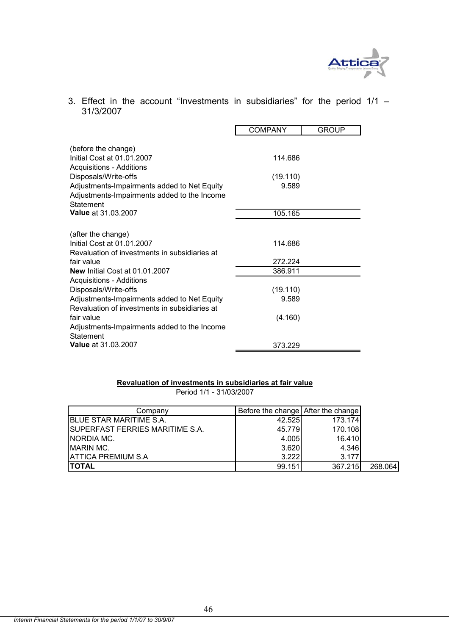

## 3. Effect in the account "Investments in subsidiaries" for the period  $1/1 -$ 31/3/2007

|                                               | <b>COMPANY</b> | <b>GROUP</b> |  |
|-----------------------------------------------|----------------|--------------|--|
|                                               |                |              |  |
| (before the change)                           |                |              |  |
| Initial Cost at 01.01.2007                    | 114.686        |              |  |
| <b>Acquisitions - Additions</b>               |                |              |  |
| Disposals/Write-offs                          | (19.110)       |              |  |
| Adjustments-Impairments added to Net Equity   | 9.589          |              |  |
| Adjustments-Impairments added to the Income   |                |              |  |
| Statement                                     |                |              |  |
| <b>Value at 31.03.2007</b>                    | 105.165        |              |  |
|                                               |                |              |  |
| (after the change)                            |                |              |  |
| Initial Cost at 01.01.2007                    | 114.686        |              |  |
| Revaluation of investments in subsidiaries at |                |              |  |
| fair value                                    | 272.224        |              |  |
| New Initial Cost at 01.01.2007                | 386.911        |              |  |
| <b>Acquisitions - Additions</b>               |                |              |  |
| Disposals/Write-offs                          | (19.110)       |              |  |
| Adjustments-Impairments added to Net Equity   | 9.589          |              |  |
| Revaluation of investments in subsidiaries at |                |              |  |
| fair value                                    | (4.160)        |              |  |
| Adjustments-Impairments added to the Income   |                |              |  |
| Statement                                     |                |              |  |
| <b>Value</b> at 31.03.2007                    | 373.229        |              |  |

#### **Revaluation of investments in subsidiaries at fair value**

Period 1/1 - 31/03/2007

| Company                          | Before the change After the change |         |         |
|----------------------------------|------------------------------------|---------|---------|
| <b>BLUE STAR MARITIME S.A.</b>   | 42.525                             | 173.174 |         |
| ISUPERFAST FERRIES MARITIME S.A. | 45.779                             | 170.108 |         |
| NORDIA MC.                       | 4.005                              | 16.410  |         |
| <b>MARIN MC.</b>                 | 3.620                              | 4.346   |         |
| <b>ATTICA PREMIUM S.A</b>        | 3.222                              | 3.177   |         |
| <b>TOTAL</b>                     | 99.151                             | 367.215 | 268.064 |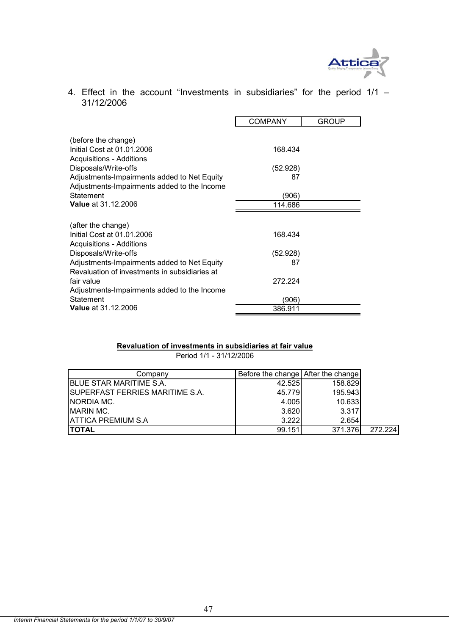

4. Effect in the account "Investments in subsidiaries" for the period 1/1 – 31/12/2006

|                                                                                                        | <b>COMPANY</b>   | <b>GROUP</b> |
|--------------------------------------------------------------------------------------------------------|------------------|--------------|
| (before the change)<br>Initial Cost at 01.01.2006                                                      | 168.434          |              |
| <b>Acquisitions - Additions</b><br>Disposals/Write-offs<br>Adjustments-Impairments added to Net Equity | (52.928)<br>87   |              |
| Adjustments-Impairments added to the Income<br>Statement<br><b>Value</b> at 31.12.2006                 | (906)<br>114.686 |              |
|                                                                                                        |                  |              |
| (after the change)                                                                                     |                  |              |
| Initial Cost at 01.01.2006<br><b>Acquisitions - Additions</b>                                          | 168.434          |              |
| Disposals/Write-offs                                                                                   | (52.928)         |              |
| Adjustments-Impairments added to Net Equity<br>Revaluation of investments in subsidiaries at           | 87               |              |
| fair value                                                                                             | 272 224          |              |
| Adjustments-Impairments added to the Income<br>Statement                                               | (906)            |              |
| <b>Value</b> at 31.12.2006                                                                             | 386.911          |              |

#### **Revaluation of investments in subsidiaries at fair value** Period 1/1 - 31/12/2006

| Company                          | Before the change After the change |         |         |
|----------------------------------|------------------------------------|---------|---------|
| <b>BLUE STAR MARITIME S.A.</b>   | 42.525                             | 158.829 |         |
| ISUPERFAST FERRIES MARITIME S.A. | 45.779                             | 195.943 |         |
| INORDIA MC.                      | 4.005                              | 10.633  |         |
| <b>IMARIN MC.</b>                | 3.620                              | 3.317   |         |
| IATTICA PREMIUM S.A              | 3.222                              | 2.654   |         |
| <b>ITOTAL</b>                    | 99.151                             | 371.376 | 272.224 |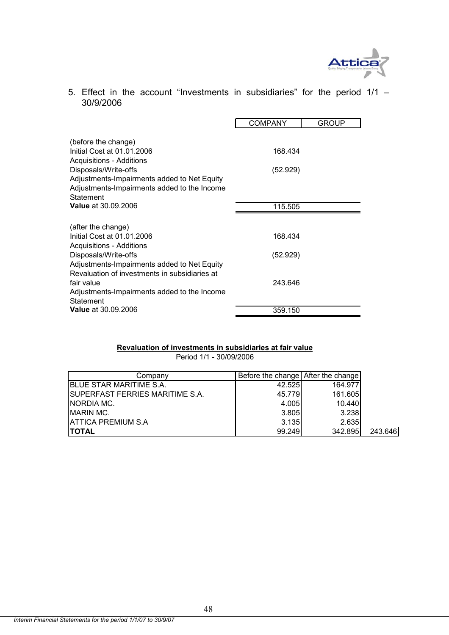

5. Effect in the account "Investments in subsidiaries" for the period 1/1 – 30/9/2006

|                                                                     | COMPANY  | GROUP |
|---------------------------------------------------------------------|----------|-------|
| (before the change)                                                 |          |       |
| Initial Cost at 01.01.2006<br><b>Acquisitions - Additions</b>       | 168.434  |       |
| Disposals/Write-offs                                                | (52.929) |       |
| Adjustments-Impairments added to Net Equity                         |          |       |
| Adjustments-Impairments added to the Income<br>Statement            |          |       |
| <b>Value</b> at 30.09.2006                                          | 115.505  |       |
|                                                                     |          |       |
| (after the change)<br>Initial Cost at 01.01.2006                    | 168.434  |       |
| <b>Acquisitions - Additions</b>                                     |          |       |
| Disposals/Write-offs<br>Adjustments-Impairments added to Net Equity | (52.929) |       |
| Revaluation of investments in subsidiaries at                       |          |       |
| fair value                                                          | 243.646  |       |
| Adjustments-Impairments added to the Income<br>Statement            |          |       |
| <b>Value</b> at 30.09.2006                                          | 359.150  |       |

#### **Revaluation of investments in subsidiaries at fair value**

Period 1/1 - 30/09/2006

| Companv                                | Before the change After the change |         |         |
|----------------------------------------|------------------------------------|---------|---------|
| BLUE STAR MARITIME S.A.                | 42.525                             | 164.977 |         |
| <b>SUPERFAST FERRIES MARITIME S.A.</b> | 45.779                             | 161.605 |         |
| NORDIA MC.                             | 4.005                              | 10.440  |         |
| <b>MARIN MC.</b>                       | 3.805                              | 3.238   |         |
| <b>ATTICA PREMIUM S.A</b>              | 3.135                              | 2.635   |         |
| <b>TOTAL</b>                           | 99.249                             | 342.895 | 243.646 |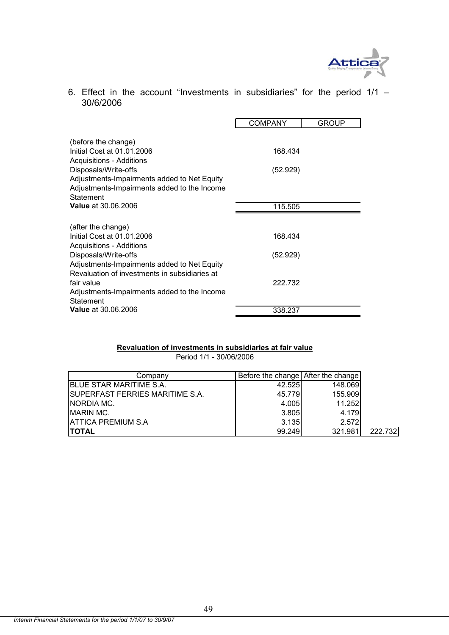

6. Effect in the account "Investments in subsidiaries" for the period  $1/1$  – 30/6/2006

|                                                                     | COMPANY  | GROUP |
|---------------------------------------------------------------------|----------|-------|
| (before the change)                                                 |          |       |
| Initial Cost at 01.01.2006                                          | 168.434  |       |
| <b>Acquisitions - Additions</b><br>Disposals/Write-offs             | (52.929) |       |
| Adjustments-Impairments added to Net Equity                         |          |       |
| Adjustments-Impairments added to the Income<br>Statement            |          |       |
| <b>Value at 30.06.2006</b>                                          | 115.505  |       |
|                                                                     |          |       |
| (after the change)<br>Initial Cost at 01.01.2006                    | 168.434  |       |
| <b>Acquisitions - Additions</b>                                     |          |       |
| Disposals/Write-offs<br>Adjustments-Impairments added to Net Equity | (52.929) |       |
| Revaluation of investments in subsidiaries at                       |          |       |
| fair value<br>Adjustments-Impairments added to the Income           | 222 732  |       |
| Statement                                                           |          |       |
| <b>Value</b> at 30.06.2006                                          | 338.237  |       |

#### **Revaluation of investments in subsidiaries at fair value**

Period 1/1 - 30/06/2006

| Company                                | Before the change After the change |         |         |
|----------------------------------------|------------------------------------|---------|---------|
| <b>BLUE STAR MARITIME S.A.</b>         | 42.525                             | 148.069 |         |
| <b>SUPERFAST FERRIES MARITIME S.A.</b> | 45.779                             | 155.909 |         |
| NORDIA MC.                             | 4.005                              | 11.252  |         |
| <b>MARIN MC.</b>                       | 3.805                              | 4.179   |         |
| <b>ATTICA PREMIUM S.A</b>              | 3.135                              | 2.572   |         |
| <b>TOTAL</b>                           | 99.249                             | 321.981 | 222.732 |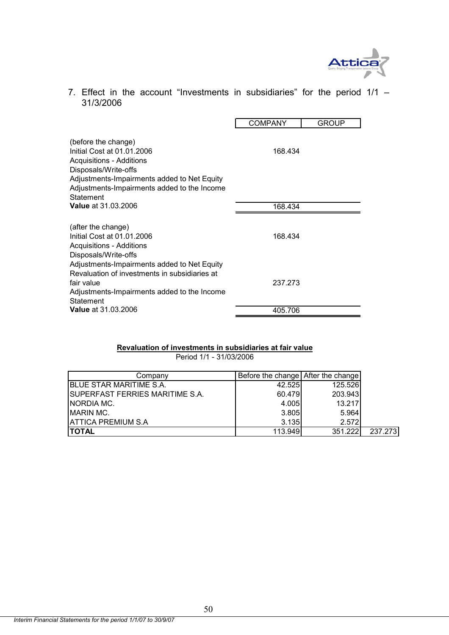

7. Effect in the account "Investments in subsidiaries" for the period  $1/1$  – 31/3/2006

|                                                                                                                                                                                                                         | <b>COMPANY</b> | <b>GROUP</b> |
|-------------------------------------------------------------------------------------------------------------------------------------------------------------------------------------------------------------------------|----------------|--------------|
| (before the change)<br>Initial Cost at 01.01.2006<br><b>Acquisitions - Additions</b><br>Disposals/Write-offs<br>Adjustments-Impairments added to Net Equity<br>Adjustments-Impairments added to the Income<br>Statement | 168.434        |              |
| <b>Value at 31.03.2006</b>                                                                                                                                                                                              | 168.434        |              |
| (after the change)<br>Initial Cost at 01.01.2006<br><b>Acquisitions - Additions</b><br>Disposals/Write-offs                                                                                                             | 168.434        |              |
| Adjustments-Impairments added to Net Equity<br>Revaluation of investments in subsidiaries at<br>fair value<br>Adjustments-Impairments added to the Income<br>Statement                                                  | 237.273        |              |
| <b>Value</b> at 31.03.2006                                                                                                                                                                                              | 405.706        |              |

#### **Revaluation of investments in subsidiaries at fair value**

Period 1/1 - 31/03/2006

| Company                                | Before the change After the change |         |         |
|----------------------------------------|------------------------------------|---------|---------|
| BLUE STAR MARITIME S.A.                | 42.525                             | 125.526 |         |
| <b>SUPERFAST FERRIES MARITIME S.A.</b> | 60.479                             | 203.943 |         |
| NORDIA MC.                             | 4.005                              | 13.217  |         |
| <b>IMARIN MC.</b>                      | 3.805                              | 5.964   |         |
| <b>ATTICA PREMIUM S.A</b>              | 3.135                              | 2.572   |         |
| <b>TOTAL</b>                           | 113.949                            | 351.222 | 237.273 |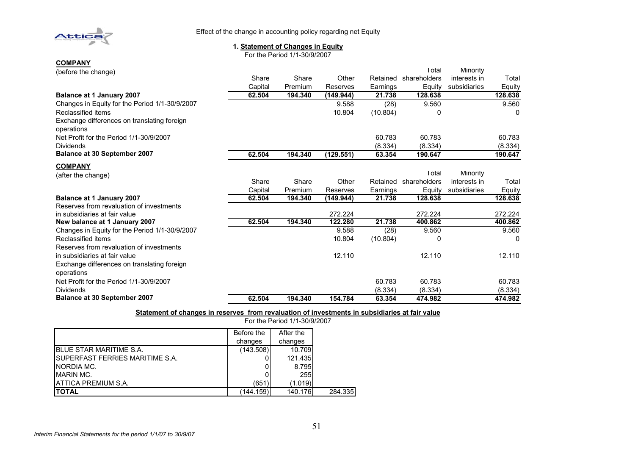

Effect of the change in accounting policy regarding net Equity

#### **1. Statement of Changes in Equity**

For the Period 1/1-30/9/2007

| <b>COMPANY</b>  |  |
|-----------------|--|
| rhang the chang |  |

| (before the change)                                       |         |         |           |          | Total        | Minority     |         |
|-----------------------------------------------------------|---------|---------|-----------|----------|--------------|--------------|---------|
|                                                           | Share   | Share   | Other     | Retained | shareholders | interests in | Total   |
|                                                           | Capital | Premium | Reserves  | Earnings | Equity       | subsidiaries | Equity  |
| Balance at 1 January 2007                                 | 62.504  | 194.340 | (149.944) | 21.738   | 128.638      |              | 128.638 |
| Changes in Equity for the Period 1/1-30/9/2007            |         |         | 9.588     | (28)     | 9.560        |              | 9.560   |
| Reclassified items                                        |         |         | 10.804    | (10.804) | 0            |              | 0       |
| Exchange differences on translating foreign<br>operations |         |         |           |          |              |              |         |
| Net Profit for the Period 1/1-30/9/2007                   |         |         |           | 60.783   | 60.783       |              | 60.783  |
| <b>Dividends</b>                                          |         |         |           | (8.334)  | (8.334)      |              | (8.334) |
| Balance at 30 September 2007                              | 62.504  | 194.340 | (129.551) | 63.354   | 190.647      |              | 190.647 |
| <b>COMPANY</b>                                            |         |         |           |          |              |              |         |
| (after the change)                                        |         |         |           |          | Total        | Minority     |         |
|                                                           | Share   | Share   | Other     | Retained | shareholders | interests in | Total   |
|                                                           | Capital | Premium | Reserves  | Earnings | Equity       | subsidiaries | Equity  |
| <b>Balance at 1 January 2007</b>                          | 62.504  | 194.340 | (149.944) | 21.738   | 128.638      |              | 128.638 |
| Reserves from revaluation of investments                  |         |         |           |          |              |              |         |
| in subsidiaries at fair value                             |         |         | 272.224   |          | 272.224      |              | 272.224 |
| New balance at 1 January 2007                             | 62.504  | 194.340 | 122.280   | 21.738   | 400.862      |              | 400.862 |
| Changes in Equity for the Period 1/1-30/9/2007            |         |         | 9.588     | (28)     | 9.560        |              | 9.560   |
| Reclassified items                                        |         |         | 10.804    | (10.804) | C            |              |         |
| Reserves from revaluation of investments                  |         |         |           |          |              |              |         |
| in subsidiaries at fair value                             |         |         | 12.110    |          | 12.110       |              | 12.110  |
| Exchange differences on translating foreign               |         |         |           |          |              |              |         |
| operations                                                |         |         |           |          |              |              |         |
| Net Profit for the Period 1/1-30/9/2007                   |         |         |           | 60.783   | 60.783       |              | 60.783  |
| <b>Dividends</b>                                          |         |         |           | (8.334)  | (8.334)      |              | (8.334) |
| Balance at 30 September 2007                              | 62.504  | 194.340 | 154.784   | 63.354   | 474.982      |              | 474.982 |

**Statement of changes in reserves from revaluation of investments in subsidiaries at fair value**

|                                         | Before the | After the |         |
|-----------------------------------------|------------|-----------|---------|
|                                         | changes    | changes   |         |
| <b>IBLUE STAR MARITIME S.A.</b>         | (143.508)  | 10.709    |         |
| <b>ISUPERFAST FERRIES MARITIME S.A.</b> |            | 121.435   |         |
| <b>NORDIA MC.</b>                       |            | 8.795     |         |
| <b>IMARIN MC.</b>                       |            | 255       |         |
| <b>JATTICA PREMIUM S.A.</b>             | (651)      | (1.019)   |         |
| ΙΤΟΤΑL                                  | (144.159)  | 140.176   | 284.335 |

For the Period 1/1-30/9/2007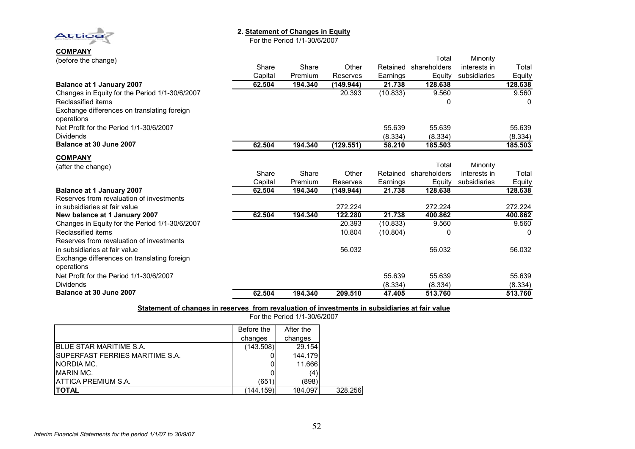**2. Statement of Changes in Equity**

For the Period 1/1-30/6/2007

**COMPANY** (before the change)

**Attica** 

| (before the change)                                       |         |         |           |          | Total        | Minority     |         |
|-----------------------------------------------------------|---------|---------|-----------|----------|--------------|--------------|---------|
|                                                           | Share   | Share   | Other     | Retained | shareholders | interests in | Total   |
|                                                           | Capital | Premium | Reserves  | Earnings | Equity       | subsidiaries | Equity  |
| <b>Balance at 1 January 2007</b>                          | 62.504  | 194.340 | (149.944) | 21.738   | 128.638      |              | 128.638 |
| Changes in Equity for the Period 1/1-30/6/2007            |         |         | 20.393    | (10.833) | 9.560        |              | 9.560   |
| Reclassified items                                        |         |         |           |          | 0            |              | 0       |
| Exchange differences on translating foreign<br>operations |         |         |           |          |              |              |         |
| Net Profit for the Period 1/1-30/6/2007                   |         |         |           | 55.639   | 55.639       |              | 55.639  |
| <b>Dividends</b>                                          |         |         |           | (8.334)  | (8.334)      |              | (8.334) |
| Balance at 30 June 2007                                   | 62.504  | 194.340 | (129.551) | 58.210   | 185.503      |              | 185.503 |
| <b>COMPANY</b>                                            |         |         |           |          |              |              |         |
| (after the change)                                        |         |         |           |          | Total        | Minority     |         |
|                                                           | Share   | Share   | Other     | Retained | shareholders | interests in | Total   |
|                                                           | Capital | Premium | Reserves  | Earnings | Equity       | subsidiaries | Equity  |
| <b>Balance at 1 January 2007</b>                          | 62.504  | 194.340 | (149.944) | 21.738   | 128.638      |              | 128.638 |
| Reserves from revaluation of investments                  |         |         |           |          |              |              |         |
| in subsidiaries at fair value                             |         |         | 272.224   |          | 272.224      |              | 272.224 |
| New balance at 1 January 2007                             | 62.504  | 194.340 | 122.280   | 21.738   | 400.862      |              | 400.862 |
| Changes in Equity for the Period 1/1-30/6/2007            |         |         | 20.393    | (10.833) | 9.560        |              | 9.560   |
| Reclassified items                                        |         |         | 10.804    | (10.804) | 0            |              | 0       |
| Reserves from revaluation of investments                  |         |         |           |          |              |              |         |
| in subsidiaries at fair value                             |         |         | 56.032    |          | 56.032       |              | 56.032  |
| Exchange differences on translating foreign               |         |         |           |          |              |              |         |
| operations                                                |         |         |           |          |              |              |         |
| Net Profit for the Period 1/1-30/6/2007                   |         |         |           | 55.639   | 55.639       |              | 55.639  |
| <b>Dividends</b>                                          |         |         |           | (8.334)  | (8.334)      |              | (8.334) |
| Balance at 30 June 2007                                   | 62.504  | 194.340 | 209.510   | 47.405   | 513.760      |              | 513.760 |

**Statement of changes in reserves from revaluation of investments in subsidiaries at fair value**

|                                         | Before the | After the |         |
|-----------------------------------------|------------|-----------|---------|
|                                         | changes    | changes   |         |
| <b>IBLUE STAR MARITIME S.A.</b>         | (143.508)  | 29.154    |         |
| <b>ISUPERFAST FERRIES MARITIME S.A.</b> |            | 144.179   |         |
| INORDIA MC.                             | 0          | 11.666    |         |
| MARIN MC.                               |            | (4)       |         |
| <b>IATTICA PREMIUM S.A.</b>             | (651)      | (898)     |         |
| <b>ITOTAL</b>                           | (144.159)  | 184.097   | 328.256 |

For the Period 1/1-30/6/2007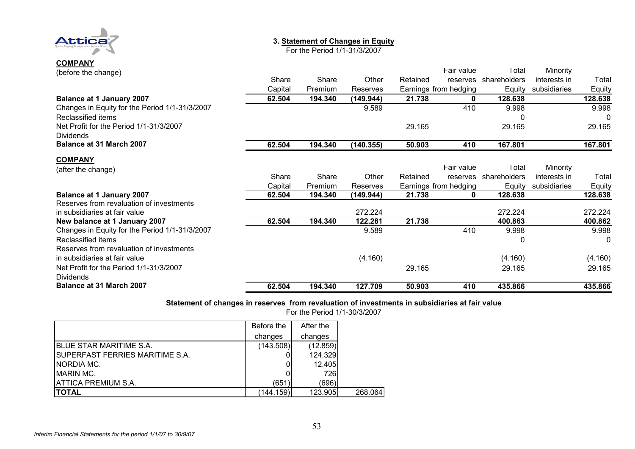

# **COMPANY**

#### **3. Statement of Changes in Equity**

For the Period 1/1-31/3/2007

| (before the change)                            |         |         |           |          | Fair value            | Total        | Minority     |         |
|------------------------------------------------|---------|---------|-----------|----------|-----------------------|--------------|--------------|---------|
|                                                | Share   | Share   | Other     | Retained | reserves              | shareholders | interests in | Total   |
|                                                | Capital | Premium | Reserves  |          | Earnings from hedging | Equity       | subsidiaries | Equity  |
| <b>Balance at 1 January 2007</b>               | 62.504  | 194.340 | (149.944) | 21.738   | 0                     | 128.638      |              | 128.638 |
| Changes in Equity for the Period 1/1-31/3/2007 |         |         | 9.589     |          | 410                   | 9.998        |              | 9.998   |
| Reclassified items                             |         |         |           |          |                       | C            |              | 0       |
| Net Profit for the Period 1/1-31/3/2007        |         |         |           | 29.165   |                       | 29.165       |              | 29.165  |
| <b>Dividends</b>                               |         |         |           |          |                       |              |              |         |
| Balance at 31 March 2007                       | 62.504  | 194.340 | (140.355) | 50.903   | 410                   | 167.801      |              | 167.801 |
| <b>COMPANY</b>                                 |         |         |           |          |                       |              |              |         |
| (after the change)                             |         |         |           |          | Fair value            | Total        | Minority     |         |
|                                                | Share   | Share   | Other     | Retained | reserves              | shareholders | interests in | Total   |
|                                                | Capital | Premium | Reserves  |          | Earnings from hedging | Equity       | subsidiaries | Equity  |
| <b>Balance at 1 January 2007</b>               | 62.504  | 194.340 | (149.944) | 21.738   | 0                     | 128.638      |              | 128.638 |
| Reserves from revaluation of investments       |         |         |           |          |                       |              |              |         |
| in subsidiaries at fair value                  |         |         | 272.224   |          |                       | 272.224      |              | 272.224 |
| New balance at 1 January 2007                  | 62.504  | 194.340 | 122.281   | 21.738   |                       | 400.863      |              | 400.862 |
| Changes in Equity for the Period 1/1-31/3/2007 |         |         | 9.589     |          | 410                   | 9.998        |              | 9.998   |
| Reclassified items                             |         |         |           |          |                       | 0            |              | 0       |
| Reserves from revaluation of investments       |         |         |           |          |                       |              |              |         |
| in subsidiaries at fair value                  |         |         | (4.160)   |          |                       | (4.160)      |              | (4.160) |
| Net Profit for the Period 1/1-31/3/2007        |         |         |           | 29.165   |                       | 29.165       |              | 29.165  |
| <b>Dividends</b>                               |         |         |           |          |                       |              |              |         |
| <b>Balance at 31 March 2007</b>                | 62.504  | 194.340 | 127.709   | 50.903   | 410                   | 435.866      |              | 435.866 |

#### **Statement of changes in reserves from revaluation of investments in subsidiaries at fair value**

Before the changes After the changes BLUE STAR MARITIME S.A. (143.508) (12.859)<br>SUPERFAST FERRIES MARITIME S.A. (143.508) (124.329 SUPERFAST FERRIES MARITIME S.A. 0 124.329NORDIA MC.  $\qquad \qquad$  0 12.405 MARIN MC. 0 726|ATTICA PREMIUM S.A. (696)| (696)| (696)| (696)| **TOTAL** $(144.159)$  123.905 268.064

For the Period 1/1-30/3/2007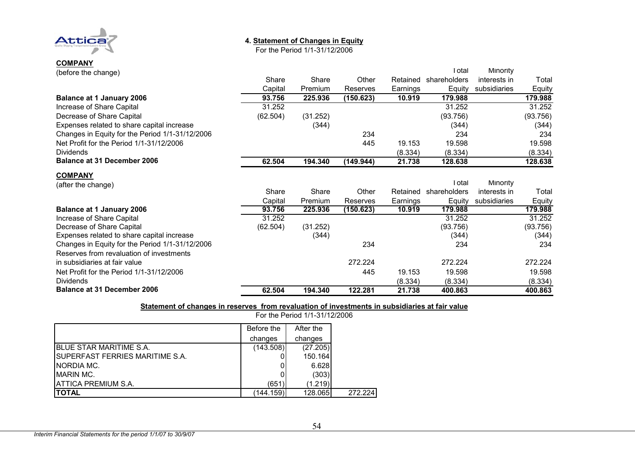

## **4. Statement of Changes in Equity**

For the Period 1/1-31/12/2006

| <b>COMPANY</b>      |  |
|---------------------|--|
| (before the change) |  |

| (before the change)                             |          |          |           |          | Total        | Minority     |          |
|-------------------------------------------------|----------|----------|-----------|----------|--------------|--------------|----------|
|                                                 | Share    | Share    | Other     | Retained | shareholders | interests in | Total    |
|                                                 | Capital  | Premium  | Reserves  | Earnings | Equity       | subsidiaries | Equity   |
| <b>Balance at 1 January 2006</b>                | 93.756   | 225.936  | (150.623) | 10.919   | 179.988      |              | 179.988  |
| Increase of Share Capital                       | 31.252   |          |           |          | 31.252       |              | 31.252   |
| Decrease of Share Capital                       | (62.504) | (31.252) |           |          | (93.756)     |              | (93.756) |
| Expenses related to share capital increase      |          | (344)    |           |          | (344)        |              | (344)    |
| Changes in Equity for the Period 1/1-31/12/2006 |          |          | 234       |          | 234          |              | 234      |
| Net Profit for the Period 1/1-31/12/2006        |          |          | 445       | 19.153   | 19.598       |              | 19.598   |
| <b>Dividends</b>                                |          |          |           | (8.334)  | (8.334)      |              | (8.334)  |
| <b>Balance at 31 December 2006</b>              | 62.504   | 194.340  | (149.944) | 21.738   | 128.638      |              | 128.638  |
| <b>COMPANY</b>                                  |          |          |           |          |              |              |          |
| (after the change)                              |          |          |           |          | Total        | Minority     |          |
|                                                 | Share    | Share    | Other     | Retained | shareholders | interests in | Total    |
|                                                 | Capital  | Premium  | Reserves  | Earnings | Equity       | subsidiaries | Equity   |
| <b>Balance at 1 January 2006</b>                | 93.756   | 225.936  | (150.623) | 10.919   | 179.988      |              | 179.988  |
| Increase of Share Capital                       | 31.252   |          |           |          | 31.252       |              | 31.252   |
| Decrease of Share Capital                       | (62.504) | (31.252) |           |          | (93.756)     |              | (93.756) |
| Expenses related to share capital increase      |          | (344)    |           |          | (344)        |              | (344)    |
| Changes in Equity for the Period 1/1-31/12/2006 |          |          | 234       |          | 234          |              | 234      |
| Reserves from revaluation of investments        |          |          |           |          |              |              |          |
| in subsidiaries at fair value                   |          |          | 272.224   |          | 272.224      |              | 272.224  |
| Net Profit for the Period 1/1-31/12/2006        |          |          | 445       | 19.153   | 19.598       |              | 19.598   |
| <b>Dividends</b>                                |          |          |           | (8.334)  | (8.334)      |              | (8.334)  |
| <b>Balance at 31 December 2006</b>              | 62.504   | 194.340  | 122.281   | 21.738   | 400.863      |              | 400.863  |

#### **Statement of changes in reserves from revaluation of investments in subsidiaries at fair value**

|                                         | Before the | After the |
|-----------------------------------------|------------|-----------|
|                                         | changes    | changes   |
| <b>BLUE STAR MARITIME S.A.</b>          | (143.508)  | (27.205)  |
| <b>ISUPERFAST FERRIES MARITIME S.A.</b> |            | 150.164   |
| NORDIA MC.                              |            | 6.628     |
| <b>IMARIN MC.</b>                       |            | (303)     |
| <b>ATTICA PREMIUM S.A.</b>              | (651)      | (1.219)   |
| <b>TOTAL</b>                            | (144.159)  | 128.065   |

For the Period 1/1-31/12/2006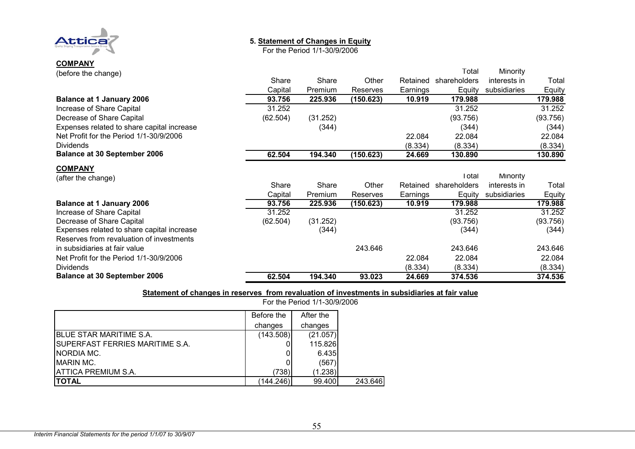

**COMPANY**

#### **5. Statement of Changes in Equity**

For the Period 1/1-30/9/2006

| (before the change)                        |          |          |           |          | Total        | Minority     |          |
|--------------------------------------------|----------|----------|-----------|----------|--------------|--------------|----------|
|                                            | Share    | Share    | Other     | Retained | shareholders | interests in | Total    |
|                                            | Capital  | Premium  | Reserves  | Earnings | Equity       | subsidiaries | Equity   |
| <b>Balance at 1 January 2006</b>           | 93.756   | 225.936  | (150.623) | 10.919   | 179.988      |              | 179.988  |
| Increase of Share Capital                  | 31.252   |          |           |          | 31.252       |              | 31.252   |
| Decrease of Share Capital                  | (62.504) | (31.252) |           |          | (93.756)     |              | (93.756) |
| Expenses related to share capital increase |          | (344)    |           |          | (344)        |              | (344)    |
| Net Profit for the Period 1/1-30/9/2006    |          |          |           | 22.084   | 22.084       |              | 22.084   |
| <b>Dividends</b>                           |          |          |           | (8.334)  | (8.334)      |              | (8.334)  |
| <b>Balance at 30 September 2006</b>        | 62.504   | 194.340  | (150.623) | 24.669   | 130.890      |              | 130.890  |
| <b>COMPANY</b>                             |          |          |           |          |              |              |          |
| (after the change)                         |          |          |           |          | I otal       | Minority     |          |
|                                            | Share    | Share    | Other     | Retained | shareholders | interests in | Total    |
|                                            | Capital  | Premium  | Reserves  | Earnings | Equity       | subsidiaries | Equity   |
| <b>Balance at 1 January 2006</b>           | 93.756   | 225.936  | (150.623) | 10.919   | 179.988      |              | 179.988  |
| Increase of Share Capital                  | 31.252   |          |           |          | 31.252       |              | 31.252   |
| Decrease of Share Capital                  | (62.504) | (31.252) |           |          | (93.756)     |              | (93.756) |
| Expenses related to share capital increase |          | (344)    |           |          | (344)        |              | (344)    |
| Reserves from revaluation of investments   |          |          |           |          |              |              |          |
| in subsidiaries at fair value              |          |          | 243.646   |          | 243.646      |              | 243.646  |
| Net Profit for the Period 1/1-30/9/2006    |          |          |           | 22.084   | 22.084       |              | 22.084   |
| <b>Dividends</b>                           |          |          |           | (8.334)  | (8.334)      |              | (8.334)  |
| <b>Balance at 30 September 2006</b>        | 62.504   | 194.340  | 93.023    | 24.669   | 374.536      |              | 374.536  |

#### **Statement of changes in reserves from revaluation of investments in subsidiaries at fair value**

For the Period 1/1-30/9/2006

|                                  | Before the | After the |         |
|----------------------------------|------------|-----------|---------|
|                                  | changes    | changes   |         |
| <b>BLUE STAR MARITIME S.A.</b>   | (143.508)  | (21.057)  |         |
| ISUPERFAST FERRIES MARITIME S.A. |            | 115.826   |         |
| INORDIA MC.                      |            | 6.435     |         |
| <b>IMARIN MC.</b>                |            | (567      |         |
| <b>ATTICA PREMIUM S.A.</b>       | (738)      | (1.238)   |         |
| ITOTAL                           | (144.246)  | 99.400    | 243.646 |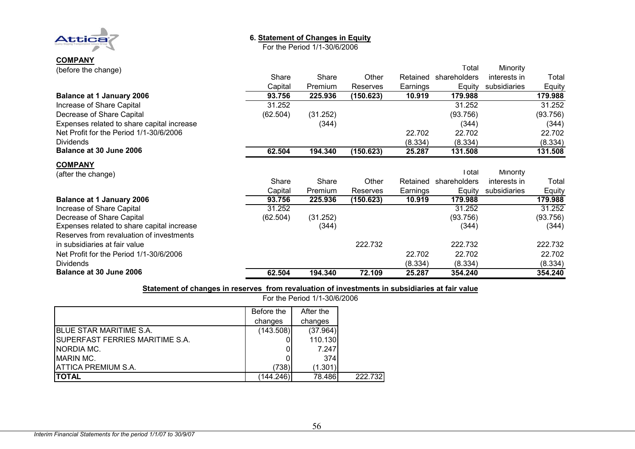

**COMPANY**

### **6. Statement of Changes in Equity**

For the Period 1/1-30/6/2006

| (before the change)                        |          |          |           |          | Total        | Minority        |          |
|--------------------------------------------|----------|----------|-----------|----------|--------------|-----------------|----------|
|                                            | Share    | Share    | Other     | Retained | shareholders | interests in    | Total    |
|                                            | Capital  | Premium  | Reserves  | Earnings | Equity       | subsidiaries    | Equity   |
| <b>Balance at 1 January 2006</b>           | 93.756   | 225.936  | (150.623) | 10.919   | 179.988      |                 | 179.988  |
| Increase of Share Capital                  | 31.252   |          |           |          | 31.252       |                 | 31.252   |
| Decrease of Share Capital                  | (62.504) | (31.252) |           |          | (93.756)     |                 | (93.756) |
| Expenses related to share capital increase |          | (344)    |           |          | (344)        |                 | (344)    |
| Net Profit for the Period 1/1-30/6/2006    |          |          |           | 22.702   | 22.702       |                 | 22.702   |
| <b>Dividends</b>                           |          |          |           | (8.334)  | (8.334)      |                 | (8.334)  |
| Balance at 30 June 2006                    | 62.504   | 194.340  | (150.623) | 25.287   | 131.508      |                 | 131.508  |
| <b>COMPANY</b>                             |          |          |           |          |              |                 |          |
| (after the change)                         |          |          |           |          | Total        | <b>Minority</b> |          |
|                                            | Share    | Share    | Other     | Retained | shareholders | interests in    | Total    |
|                                            | Capital  | Premium  | Reserves  | Earnings | Equity       | subsidiaries    | Equity   |
| <b>Balance at 1 January 2006</b>           | 93.756   | 225.936  | (150.623) | 10.919   | 179.988      |                 | 179.988  |
| Increase of Share Capital                  | 31.252   |          |           |          | 31.252       |                 | 31.252   |
| Decrease of Share Capital                  | (62.504) | (31.252) |           |          | (93.756)     |                 | (93.756) |
| Expenses related to share capital increase |          | (344)    |           |          | (344)        |                 | (344)    |
| Reserves from revaluation of investments   |          |          |           |          |              |                 |          |
| in subsidiaries at fair value              |          |          | 222.732   |          | 222.732      |                 | 222.732  |
| Net Profit for the Period 1/1-30/6/2006    |          |          |           | 22.702   | 22.702       |                 | 22.702   |
| <b>Dividends</b>                           |          |          |           | (8.334)  | (8.334)      |                 | (8.334)  |
| Balance at 30 June 2006                    | 62.504   | 194.340  | 72.109    | 25.287   | 354.240      |                 | 354.240  |

**Statement of changes in reserves from revaluation of investments in subsidiaries at fair value**

For the Period 1/1-30/6/2006

|                                         | Before the | After the |
|-----------------------------------------|------------|-----------|
|                                         | changes    | changes   |
| IBLUE STAR MARITIME S.A.                | (143.508)  | (37.964)  |
| <b>ISUPERFAST FERRIES MARITIME S.A.</b> |            | 110.130   |
| INORDIA MC.                             |            | 7.247     |
| <b>MARIN MC.</b>                        |            | 374       |
| <b>ATTICA PREMIUM S.A.</b>              | (738)      | (1.301)   |
| <b>ITOTAL</b>                           | (144.246)  | 78.486    |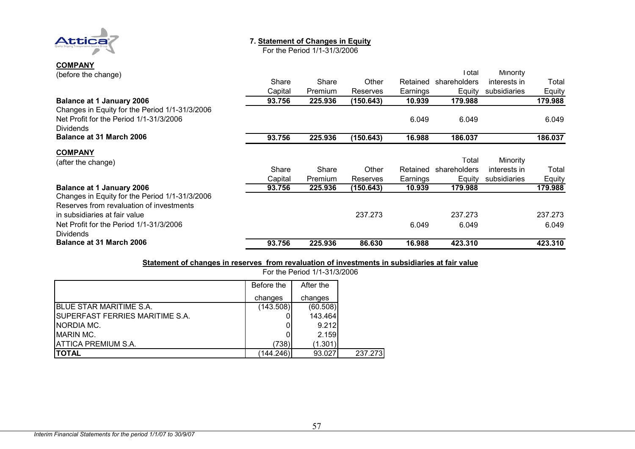

#### **7. Statement of Changes in Equity**

For the Period 1/1-31/3/2006

# **COMPANY** (before the change)

| (before the change)                            |         |         |           |          | I otal       | Minority     |         |
|------------------------------------------------|---------|---------|-----------|----------|--------------|--------------|---------|
|                                                | Share   | Share   | Other     | Retained | shareholders | interests in | Total   |
|                                                | Capital | Premium | Reserves  | Earnings | Equity       | subsidiaries | Equity  |
| <b>Balance at 1 January 2006</b>               | 93.756  | 225,936 | (150.643) | 10.939   | 179.988      |              | 179.988 |
| Changes in Equity for the Period 1/1-31/3/2006 |         |         |           |          |              |              |         |
| Net Profit for the Period 1/1-31/3/2006        |         |         |           | 6.049    | 6.049        |              | 6.049   |
| <b>Dividends</b>                               |         |         |           |          |              |              |         |
| Balance at 31 March 2006                       | 93.756  | 225.936 | (150.643) | 16.988   | 186.037      |              | 186.037 |
| <b>COMPANY</b>                                 |         |         |           |          |              |              |         |
| (after the change)                             |         |         |           |          | Total        | Minority     |         |
|                                                | Share   | Share   | Other     | Retained | shareholders | interests in | Total   |
|                                                | Capital | Premium | Reserves  | Earnings | Equity       | subsidiaries | Equity  |
| <b>Balance at 1 January 2006</b>               | 93.756  | 225.936 | (150.643) | 10.939   | 179.988      |              | 179.988 |
| Changes in Equity for the Period 1/1-31/3/2006 |         |         |           |          |              |              |         |
| Reserves from revaluation of investments       |         |         |           |          |              |              |         |
| in subsidiaries at fair value                  |         |         | 237.273   |          | 237.273      |              | 237.273 |
| Net Profit for the Period 1/1-31/3/2006        |         |         |           | 6.049    | 6.049        |              | 6.049   |
| <b>Dividends</b>                               |         |         |           |          |              |              |         |
| <b>Balance at 31 March 2006</b>                | 93.756  | 225.936 | 86,630    | 16.988   | 423.310      |              | 423.310 |

#### **Statement of changes in reserves from revaluation of investments in subsidiaries at fair value**

|                                  | <u>I UI LIIG I GILUU I<i>I</i> I-9 I<i>I</i> 9/2000</u> |           |         |  |  |
|----------------------------------|---------------------------------------------------------|-----------|---------|--|--|
|                                  | Before the                                              | After the |         |  |  |
|                                  | changes                                                 | changes   |         |  |  |
| IBLUE STAR MARITIME S.A.         | (143.508)                                               | (60.508)  |         |  |  |
| ISUPERFAST FERRIES MARITIME S.A. |                                                         | 143.464   |         |  |  |
| INORDIA MC.                      |                                                         | 9.212     |         |  |  |
| <b>IMARIN MC.</b>                |                                                         | 2.159     |         |  |  |
| IATTICA PREMIUM S.A.             | (738)                                                   | (1.301)   |         |  |  |
| <b>ITOTAL</b>                    | (144.246)                                               | 93.027    | 237.273 |  |  |

For the Period 1/1-31/3/2006